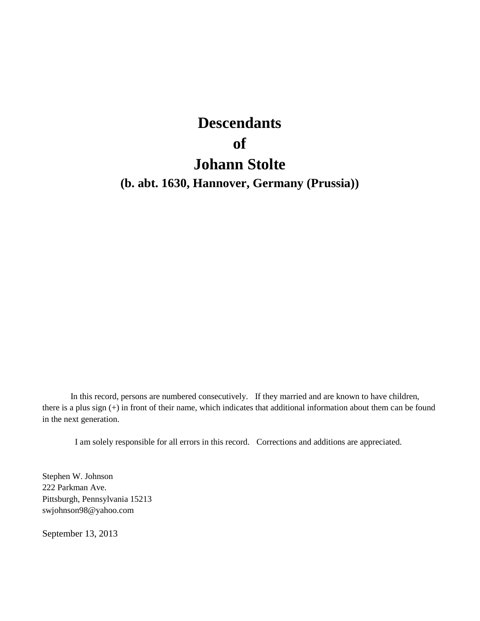# **Descendants of Johann Stolte**

**(b. abt. 1630, Hannover, Germany (Prussia))**

In this record, persons are numbered consecutively. If they married and are known to have children, there is a plus sign (+) in front of their name, which indicates that additional information about them can be found in the next generation.

I am solely responsible for all errors in this record. Corrections and additions are appreciated.

Stephen W. Johnson 222 Parkman Ave. Pittsburgh, Pennsylvania 15213 swjohnson98@yahoo.com

September 13, 2013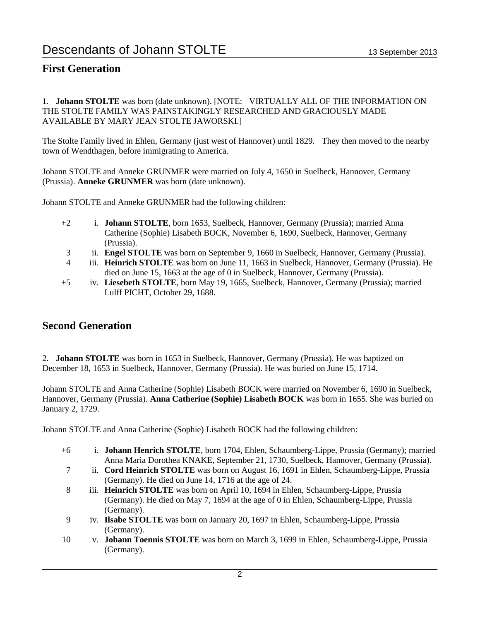## **First Generation**

1. **Johann STOLTE** was born (date unknown). [NOTE: VIRTUALLY ALL OF THE INFORMATION ON THE STOLTE FAMILY WAS PAINSTAKINGLY RESEARCHED AND GRACIOUSLY MADE AVAILABLE BY MARY JEAN STOLTE JAWORSKI.]

The Stolte Family lived in Ehlen, Germany (just west of Hannover) until 1829. They then moved to the nearby town of Wendthagen, before immigrating to America.

Johann STOLTE and Anneke GRUNMER were married on July 4, 1650 in Suelbeck, Hannover, Germany (Prussia). **Anneke GRUNMER** was born (date unknown).

Johann STOLTE and Anneke GRUNMER had the following children:

- +2 i. **Johann STOLTE**, born 1653, Suelbeck, Hannover, Germany (Prussia); married Anna Catherine (Sophie) Lisabeth BOCK, November 6, 1690, Suelbeck, Hannover, Germany (Prussia).
- 3 ii. **Engel STOLTE** was born on September 9, 1660 in Suelbeck, Hannover, Germany (Prussia).
- 4 iii. **Heinrich STOLTE** was born on June 11, 1663 in Suelbeck, Hannover, Germany (Prussia). He died on June 15, 1663 at the age of 0 in Suelbeck, Hannover, Germany (Prussia).
- +5 iv. **Liesebeth STOLTE**, born May 19, 1665, Suelbeck, Hannover, Germany (Prussia); married Lulff PICHT, October 29, 1688.

## **Second Generation**

2. **Johann STOLTE** was born in 1653 in Suelbeck, Hannover, Germany (Prussia). He was baptized on December 18, 1653 in Suelbeck, Hannover, Germany (Prussia). He was buried on June 15, 1714.

Johann STOLTE and Anna Catherine (Sophie) Lisabeth BOCK were married on November 6, 1690 in Suelbeck, Hannover, Germany (Prussia). **Anna Catherine (Sophie) Lisabeth BOCK** was born in 1655. She was buried on January 2, 1729.

Johann STOLTE and Anna Catherine (Sophie) Lisabeth BOCK had the following children:

- +6 i. **Johann Henrich STOLTE**, born 1704, Ehlen, Schaumberg-Lippe, Prussia (Germany); married Anna Maria Dorothea KNAKE, September 21, 1730, Suelbeck, Hannover, Germany (Prussia).
- 7 ii. **Cord Heinrich STOLTE** was born on August 16, 1691 in Ehlen, Schaumberg-Lippe, Prussia (Germany). He died on June 14, 1716 at the age of 24.
- 8 iii. **Heinrich STOLTE** was born on April 10, 1694 in Ehlen, Schaumberg-Lippe, Prussia (Germany). He died on May 7, 1694 at the age of 0 in Ehlen, Schaumberg-Lippe, Prussia (Germany).
- 9 iv. **Ilsabe STOLTE** was born on January 20, 1697 in Ehlen, Schaumberg-Lippe, Prussia (Germany).
- 10 v. **Johann Toennis STOLTE** was born on March 3, 1699 in Ehlen, Schaumberg-Lippe, Prussia (Germany).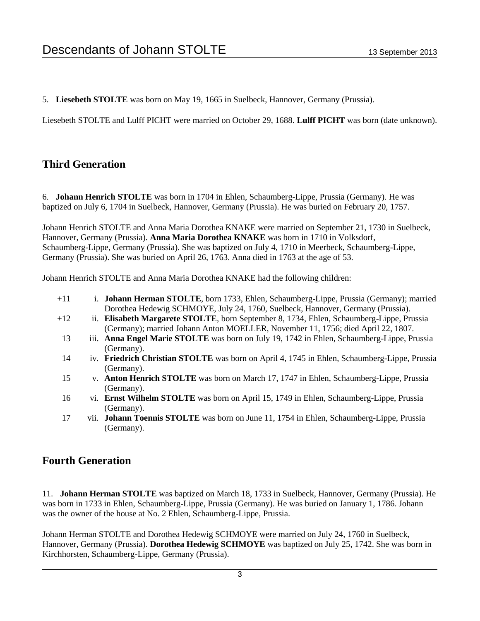5. **Liesebeth STOLTE** was born on May 19, 1665 in Suelbeck, Hannover, Germany (Prussia).

Liesebeth STOLTE and Lulff PICHT were married on October 29, 1688. **Lulff PICHT** was born (date unknown).

## **Third Generation**

6. **Johann Henrich STOLTE** was born in 1704 in Ehlen, Schaumberg-Lippe, Prussia (Germany). He was baptized on July 6, 1704 in Suelbeck, Hannover, Germany (Prussia). He was buried on February 20, 1757.

Johann Henrich STOLTE and Anna Maria Dorothea KNAKE were married on September 21, 1730 in Suelbeck, Hannover, Germany (Prussia). **Anna Maria Dorothea KNAKE** was born in 1710 in Volksdorf, Schaumberg-Lippe, Germany (Prussia). She was baptized on July 4, 1710 in Meerbeck, Schaumberg-Lippe, Germany (Prussia). She was buried on April 26, 1763. Anna died in 1763 at the age of 53.

Johann Henrich STOLTE and Anna Maria Dorothea KNAKE had the following children:

| $+11$ | i. <b>Johann Herman STOLTE</b> , born 1733, Ehlen, Schaumberg-Lippe, Prussia (Germany); married<br>Dorothea Hedewig SCHMOYE, July 24, 1760, Suelbeck, Hannover, Germany (Prussia). |
|-------|------------------------------------------------------------------------------------------------------------------------------------------------------------------------------------|
| $+12$ | ii. Elisabeth Margarete STOLTE, born September 8, 1734, Ehlen, Schaumberg-Lippe, Prussia<br>(Germany); married Johann Anton MOELLER, November 11, 1756; died April 22, 1807.       |
| 13    | iii. Anna Engel Marie STOLTE was born on July 19, 1742 in Ehlen, Schaumberg-Lippe, Prussia<br>(Germany).                                                                           |
| 14    | iv. Friedrich Christian STOLTE was born on April 4, 1745 in Ehlen, Schaumberg-Lippe, Prussia<br>(Germany).                                                                         |
| 15    | v. Anton Henrich STOLTE was born on March 17, 1747 in Ehlen, Schaumberg-Lippe, Prussia<br>(Germany).                                                                               |
| 16    | vi. Ernst Wilhelm STOLTE was born on April 15, 1749 in Ehlen, Schaumberg-Lippe, Prussia<br>(Germany).                                                                              |
| 17    | vii. Johann Toennis STOLTE was born on June 11, 1754 in Ehlen, Schaumberg-Lippe, Prussia<br>(Germany).                                                                             |

## **Fourth Generation**

11. **Johann Herman STOLTE** was baptized on March 18, 1733 in Suelbeck, Hannover, Germany (Prussia). He was born in 1733 in Ehlen, Schaumberg-Lippe, Prussia (Germany). He was buried on January 1, 1786. Johann was the owner of the house at No. 2 Ehlen, Schaumberg-Lippe, Prussia.

Johann Herman STOLTE and Dorothea Hedewig SCHMOYE were married on July 24, 1760 in Suelbeck, Hannover, Germany (Prussia). **Dorothea Hedewig SCHMOYE** was baptized on July 25, 1742. She was born in Kirchhorsten, Schaumberg-Lippe, Germany (Prussia).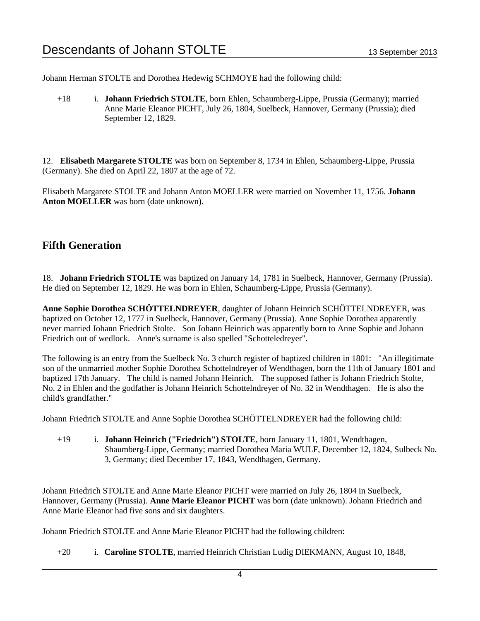Johann Herman STOLTE and Dorothea Hedewig SCHMOYE had the following child:

+18 i. **Johann Friedrich STOLTE**, born Ehlen, Schaumberg-Lippe, Prussia (Germany); married Anne Marie Eleanor PICHT, July 26, 1804, Suelbeck, Hannover, Germany (Prussia); died September 12, 1829.

12. **Elisabeth Margarete STOLTE** was born on September 8, 1734 in Ehlen, Schaumberg-Lippe, Prussia (Germany). She died on April 22, 1807 at the age of 72.

Elisabeth Margarete STOLTE and Johann Anton MOELLER were married on November 11, 1756. **Johann Anton MOELLER** was born (date unknown).

## **Fifth Generation**

18. **Johann Friedrich STOLTE** was baptized on January 14, 1781 in Suelbeck, Hannover, Germany (Prussia). He died on September 12, 1829. He was born in Ehlen, Schaumberg-Lippe, Prussia (Germany).

**Anne Sophie Dorothea SCHÖTTELNDREYER**, daughter of Johann Heinrich SCHÖTTELNDREYER, was baptized on October 12, 1777 in Suelbeck, Hannover, Germany (Prussia). Anne Sophie Dorothea apparently never married Johann Friedrich Stolte. Son Johann Heinrich was apparently born to Anne Sophie and Johann Friedrich out of wedlock. Anne's surname is also spelled "Schotteledreyer".

The following is an entry from the Suelbeck No. 3 church register of baptized children in 1801: "An illegitimate son of the unmarried mother Sophie Dorothea Schottelndreyer of Wendthagen, born the 11th of January 1801 and baptized 17th January. The child is named Johann Heinrich. The supposed father is Johann Friedrich Stolte, No. 2 in Ehlen and the godfather is Johann Heinrich Schottelndreyer of No. 32 in Wendthagen. He is also the child's grandfather."

Johann Friedrich STOLTE and Anne Sophie Dorothea SCHÖTTELNDREYER had the following child:

+19 i. **Johann Heinrich ("Friedrich") STOLTE**, born January 11, 1801, Wendthagen, Shaumberg-Lippe, Germany; married Dorothea Maria WULF, December 12, 1824, Sulbeck No. 3, Germany; died December 17, 1843, Wendthagen, Germany.

Johann Friedrich STOLTE and Anne Marie Eleanor PICHT were married on July 26, 1804 in Suelbeck, Hannover, Germany (Prussia). **Anne Marie Eleanor PICHT** was born (date unknown). Johann Friedrich and Anne Marie Eleanor had five sons and six daughters.

Johann Friedrich STOLTE and Anne Marie Eleanor PICHT had the following children:

+20 i. **Caroline STOLTE**, married Heinrich Christian Ludig DIEKMANN, August 10, 1848,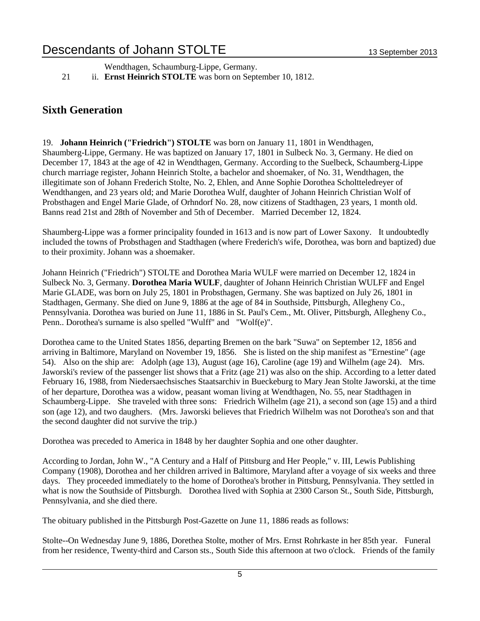Wendthagen, Schaumburg-Lippe, Germany.

21 ii. **Ernst Heinrich STOLTE** was born on September 10, 1812.

## **Sixth Generation**

19. **Johann Heinrich ("Friedrich") STOLTE** was born on January 11, 1801 in Wendthagen, Shaumberg-Lippe, Germany. He was baptized on January 17, 1801 in Sulbeck No. 3, Germany. He died on December 17, 1843 at the age of 42 in Wendthagen, Germany. According to the Suelbeck, Schaumberg-Lippe church marriage register, Johann Heinrich Stolte, a bachelor and shoemaker, of No. 31, Wendthagen, the illegitimate son of Johann Frederich Stolte, No. 2, Ehlen, and Anne Sophie Dorothea Scholtteledreyer of Wendthangen, and 23 years old; and Marie Dorothea Wulf, daughter of Johann Heinrich Christian Wolf of Probsthagen and Engel Marie Glade, of Orhndorf No. 28, now citizens of Stadthagen, 23 years, 1 month old. Banns read 21st and 28th of November and 5th of December. Married December 12, 1824.

Shaumberg-Lippe was a former principality founded in 1613 and is now part of Lower Saxony. It undoubtedly included the towns of Probsthagen and Stadthagen (where Frederich's wife, Dorothea, was born and baptized) due to their proximity. Johann was a shoemaker.

Johann Heinrich ("Friedrich") STOLTE and Dorothea Maria WULF were married on December 12, 1824 in Sulbeck No. 3, Germany. **Dorothea Maria WULF**, daughter of Johann Heinrich Christian WULFF and Engel Marie GLADE, was born on July 25, 1801 in Probsthagen, Germany. She was baptized on July 26, 1801 in Stadthagen, Germany. She died on June 9, 1886 at the age of 84 in Southside, Pittsburgh, Allegheny Co., Pennsylvania. Dorothea was buried on June 11, 1886 in St. Paul's Cem., Mt. Oliver, Pittsburgh, Allegheny Co., Penn.. Dorothea's surname is also spelled "Wulff" and "Wolf(e)".

Dorothea came to the United States 1856, departing Bremen on the bark "Suwa" on September 12, 1856 and arriving in Baltimore, Maryland on November 19, 1856. She is listed on the ship manifest as "Ernestine" (age 54). Also on the ship are: Adolph (age 13), August (age 16), Caroline (age 19) and Wilhelm (age 24). Mrs. Jaworski's review of the passenger list shows that a Fritz (age 21) was also on the ship. According to a letter dated February 16, 1988, from Niedersaechsisches Staatsarchiv in Bueckeburg to Mary Jean Stolte Jaworski, at the time of her departure, Dorothea was a widow, peasant woman living at Wendthagen, No. 55, near Stadthagen in Schaumberg-Lippe. She traveled with three sons: Friedrich Wilhelm (age 21), a second son (age 15) and a third son (age 12), and two daughers. (Mrs. Jaworski believes that Friedrich Wilhelm was not Dorothea's son and that the second daughter did not survive the trip.)

Dorothea was preceded to America in 1848 by her daughter Sophia and one other daughter.

According to Jordan, John W., "A Century and a Half of Pittsburg and Her People," v. III, Lewis Publishing Company (1908), Dorothea and her children arrived in Baltimore, Maryland after a voyage of six weeks and three days. They proceeded immediately to the home of Dorothea's brother in Pittsburg, Pennsylvania. They settled in what is now the Southside of Pittsburgh. Dorothea lived with Sophia at 2300 Carson St., South Side, Pittsburgh, Pennsylvania, and she died there.

The obituary published in the Pittsburgh Post-Gazette on June 11, 1886 reads as follows:

Stolte--On Wednesday June 9, 1886, Dorethea Stolte, mother of Mrs. Ernst Rohrkaste in her 85th year. Funeral from her residence, Twenty-third and Carson sts., South Side this afternoon at two o'clock. Friends of the family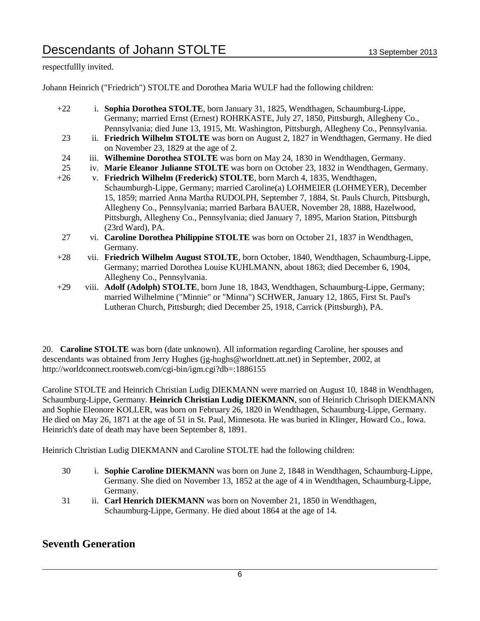respectfullly invited.

Johann Heinrich ("Friedrich") STOLTE and Dorothea Maria WULF had the following children:

- +22 i. **Sophia Dorothea STOLTE**, born January 31, 1825, Wendthagen, Schaumburg-Lippe, Germany; married Ernst (Ernest) ROHRKASTE, July 27, 1850, Pittsburgh, Allegheny Co., Pennsylvania; died June 13, 1915, Mt. Washington, Pittsburgh, Allegheny Co., Pennsylvania.
- 23 ii. **Friedrich Wilhelm STOLTE** was born on August 2, 1827 in Wendthagen, Germany. He died on November 23, 1829 at the age of 2.
- 24 iii. **Wilhemine Dorothea STOLTE** was born on May 24, 1830 in Wendthagen, Germany.
- 25 iv. **Marie Eleanor Julianne STOLTE** was born on October 23, 1832 in Wendthagen, Germany.
- +26 v. **Friedrich Wilhelm (Frederick) STOLTE**, born March 4, 1835, Wendthagen, Schaumburgh-Lippe, Germany; married Caroline(a) LOHMEIER (LOHMEYER), December 15, 1859; married Anna Martha RUDOLPH, September 7, 1884, St. Pauls Church, Pittsburgh, Allegheny Co., Pennsylvania; married Barbara BAUER, November 28, 1888, Hazelwood, Pittsburgh, Allegheny Co., Pennsylvania; died January 7, 1895, Marion Station, Pittsburgh (23rd Ward), PA.
- 27 vi. **Caroline Dorothea Philippine STOLTE** was born on October 21, 1837 in Wendthagen, Germany.
- +28 vii. **Friedrich Wilhelm August STOLTE**, born October, 1840, Wendthagen, Schaumburg-Lippe, Germany; married Dorothea Louise KUHLMANN, about 1863; died December 6, 1904, Allegheny Co., Pennsylvania.
- +29 viii. **Adolf (Adolph) STOLTE**, born June 18, 1843, Wendthagen, Schaumburg-Lippe, Germany; married Wilhelmine ("Minnie" or "Minna") SCHWER, January 12, 1865, First St. Paul's Lutheran Church, Pittsburgh; died December 25, 1918, Carrick (Pittsburgh), PA.

20. **Caroline STOLTE** was born (date unknown). All information regarding Caroline, her spouses and descendants was obtained from Jerry Hughes (jg-hughs@worldnett.att.net) in September, 2002, at http://worldconnect.rootsweb.com/cgi-bin/igm.cgi?db=:1886155

Caroline STOLTE and Heinrich Christian Ludig DIEKMANN were married on August 10, 1848 in Wendthagen, Schaumburg-Lippe, Germany. **Heinrich Christian Ludig DIEKMANN**, son of Heinrich Chrisoph DIEKMANN and Sophie Eleonore KOLLER, was born on February 26, 1820 in Wendthagen, Schaumburg-Lippe, Germany. He died on May 26, 1871 at the age of 51 in St. Paul, Minnesota. He was buried in Klinger, Howard Co., Iowa. Heinrich's date of death may have been September 8, 1891.

Heinrich Christian Ludig DIEKMANN and Caroline STOLTE had the following children:

- 30 i. **Sophie Caroline DIEKMANN** was born on June 2, 1848 in Wendthagen, Schaumburg-Lippe, Germany. She died on November 13, 1852 at the age of 4 in Wendthagen, Schaumburg-Lippe, Germany.
- 31 ii. **Carl Henrich DIEKMANN** was born on November 21, 1850 in Wendthagen, Schaumburg-Lippe, Germany. He died about 1864 at the age of 14.

## **Seventh Generation**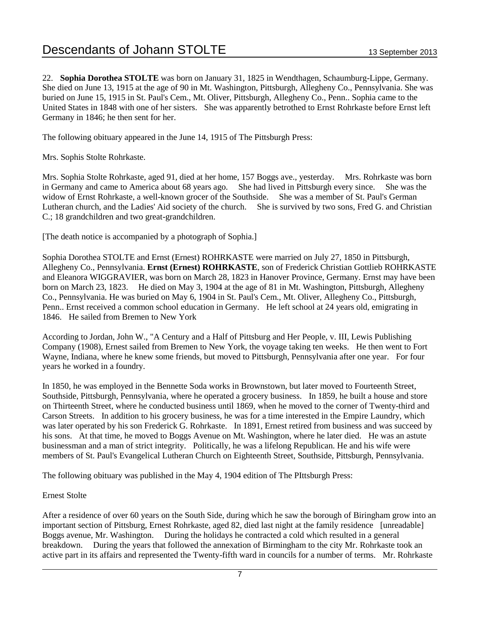22. **Sophia Dorothea STOLTE** was born on January 31, 1825 in Wendthagen, Schaumburg-Lippe, Germany. She died on June 13, 1915 at the age of 90 in Mt. Washington, Pittsburgh, Allegheny Co., Pennsylvania. She was buried on June 15, 1915 in St. Paul's Cem., Mt. Oliver, Pittsburgh, Allegheny Co., Penn.. Sophia came to the United States in 1848 with one of her sisters. She was apparently betrothed to Ernst Rohrkaste before Ernst left Germany in 1846; he then sent for her.

The following obituary appeared in the June 14, 1915 of The Pittsburgh Press:

Mrs. Sophis Stolte Rohrkaste.

Mrs. Sophia Stolte Rohrkaste, aged 91, died at her home, 157 Boggs ave., yesterday. Mrs. Rohrkaste was born in Germany and came to America about 68 years ago. She had lived in Pittsburgh every since. She was the widow of Ernst Rohrkaste, a well-known grocer of the Southside. She was a member of St. Paul's German Lutheran church, and the Ladies' Aid society of the church. She is survived by two sons, Fred G. and Christian C.; 18 grandchildren and two great-grandchildren.

[The death notice is accompanied by a photograph of Sophia.]

Sophia Dorothea STOLTE and Ernst (Ernest) ROHRKASTE were married on July 27, 1850 in Pittsburgh, Allegheny Co., Pennsylvania. **Ernst (Ernest) ROHRKASTE**, son of Frederick Christian Gottlieb ROHRKASTE and Eleanora WIGGRAVIER, was born on March 28, 1823 in Hanover Province, Germany. Ernst may have been born on March 23, 1823. He died on May 3, 1904 at the age of 81 in Mt. Washington, Pittsburgh, Allegheny Co., Pennsylvania. He was buried on May 6, 1904 in St. Paul's Cem., Mt. Oliver, Allegheny Co., Pittsburgh, Penn.. Ernst received a common school education in Germany. He left school at 24 years old, emigrating in 1846. He sailed from Bremen to New York

According to Jordan, John W., "A Century and a Half of Pittsburg and Her People, v. III, Lewis Publishing Company (1908), Ernest sailed from Bremen to New York, the voyage taking ten weeks. He then went to Fort Wayne, Indiana, where he knew some friends, but moved to Pittsburgh, Pennsylvania after one year. For four years he worked in a foundry.

In 1850, he was employed in the Bennette Soda works in Brownstown, but later moved to Fourteenth Street, Southside, Pittsburgh, Pennsylvania, where he operated a grocery business. In 1859, he built a house and store on Thirteenth Street, where he conducted business until 1869, when he moved to the corner of Twenty-third and Carson Streets. In addition to his grocery business, he was for a time interested in the Empire Laundry, which was later operated by his son Frederick G. Rohrkaste. In 1891, Ernest retired from business and was succeed by his sons. At that time, he moved to Boggs Avenue on Mt. Washington, where he later died. He was an astute businessman and a man of strict integrity. Politically, he was a lifelong Republican. He and his wife were members of St. Paul's Evangelical Lutheran Church on Eighteenth Street, Southside, Pittsburgh, Pennsylvania.

The following obituary was published in the May 4, 1904 edition of The PIttsburgh Press:

#### Ernest Stolte

After a residence of over 60 years on the South Side, during which he saw the borough of Biringham grow into an important section of Pittsburg, Ernest Rohrkaste, aged 82, died last night at the family residence [unreadable] Boggs avenue, Mr. Washington. During the holidays he contracted a cold which resulted in a general breakdown. During the years that followed the annexation of Birmingham to the city Mr. Rohrkaste took an active part in its affairs and represented the Twenty-fifth ward in councils for a number of terms. Mr. Rohrkaste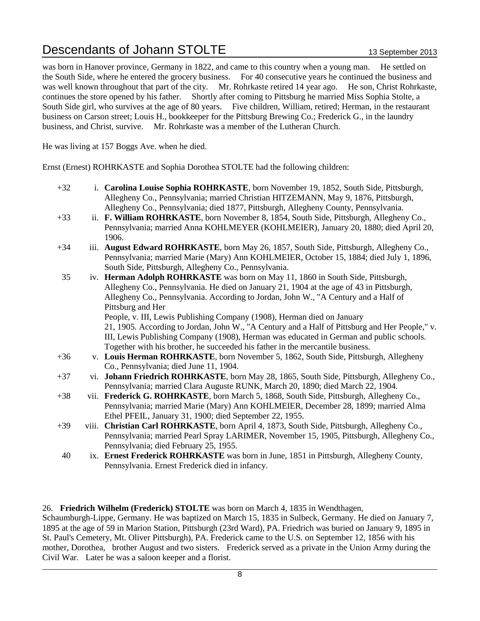was born in Hanover province, Germany in 1822, and came to this country when a young man. He settled on the South Side, where he entered the grocery business. For 40 consecutive years he continued the business and was well known throughout that part of the city. Mr. Rohrkaste retired 14 year ago. He son, Christ Rohrkaste, continues the store opened by his father. Shortly after coming to Pittsburg he married Miss Sophia Stolte, a South Side girl, who survives at the age of 80 years. Five children, William, retired; Herman, in the restaurant business on Carson street; Louis H., bookkeeper for the Pittsburg Brewing Co.; Frederick G., in the laundry business, and Christ, survive. Mr. Rohrkaste was a member of the Lutheran Church.

He was living at 157 Boggs Ave. when he died.

Ernst (Ernest) ROHRKASTE and Sophia Dorothea STOLTE had the following children:

- +32 i. **Carolina Louise Sophia ROHRKASTE**, born November 19, 1852, South Side, Pittsburgh, Allegheny Co., Pennsylvania; married Christian HITZEMANN, May 9, 1876, Pittsburgh, Allegheny Co., Pennsylvania; died 1877, Pittsburgh, Allegheny County, Pennsylvania.
- +33 ii. **F. William ROHRKASTE**, born November 8, 1854, South Side, Pittsburgh, Allegheny Co., Pennsylvania; married Anna KOHLMEYER (KOHLMEIER), January 20, 1880; died April 20, 1906.
- +34 iii. **August Edward ROHRKASTE**, born May 26, 1857, South Side, Pittsburgh, Allegheny Co., Pennsylvania; married Marie (Mary) Ann KOHLMEIER, October 15, 1884; died July 1, 1896, South Side, Pittsburgh, Allegheny Co., Pennsylvania.
- 35 iv. **Herman Adolph ROHRKASTE** was born on May 11, 1860 in South Side, Pittsburgh, Allegheny Co., Pennsylvania. He died on January 21, 1904 at the age of 43 in Pittsburgh, Allegheny Co., Pennsylvania. According to Jordan, John W., "A Century and a Half of Pittsburg and Her People, v. III, Lewis Publishing Company (1908), Herman died on January 21, 1905. According to Jordan, John W., "A Century and a Half of Pittsburg and Her People," v.

III, Lewis Publishing Company (1908), Herman was educated in German and public schools. Together with his brother, he succeeded his father in the mercantile business.

- +36 v. **Louis Herman ROHRKASTE**, born November 5, 1862, South Side, Pittsburgh, Allegheny Co., Pennsylvania; died June 11, 1904.
- +37 vi. **Johann Friedrich ROHRKASTE**, born May 28, 1865, South Side, Pittsburgh, Allegheny Co., Pennsylvania; married Clara Auguste RUNK, March 20, 1890; died March 22, 1904.
- +38 vii. **Frederick G. ROHRKASTE**, born March 5, 1868, South Side, Pittsburgh, Allegheny Co., Pennsylvania; married Marie (Mary) Ann KOHLMEIER, December 28, 1899; married Alma Ethel PFEIL, January 31, 1900; died September 22, 1955.
- +39 viii. **Christian Carl ROHRKASTE**, born April 4, 1873, South Side, Pittsburgh, Allegheny Co., Pennsylvania; married Pearl Spray LARIMER, November 15, 1905, Pittsburgh, Allegheny Co., Pennsylvania; died February 25, 1955.
- 40 ix. **Ernest Frederick ROHRKASTE** was born in June, 1851 in Pittsburgh, Allegheny County, Pennsylvania. Ernest Frederick died in infancy.

#### 26. **Friedrich Wilhelm (Frederick) STOLTE** was born on March 4, 1835 in Wendthagen,

Schaumburgh-Lippe, Germany. He was baptized on March 15, 1835 in Sulbeck, Germany. He died on January 7, 1895 at the age of 59 in Marion Station, Pittsburgh (23rd Ward), PA. Friedrich was buried on January 9, 1895 in St. Paul's Cemetery, Mt. Oliver Pittsburgh), PA. Frederick came to the U.S. on September 12, 1856 with his mother, Dorothea, brother August and two sisters. Frederick served as a private in the Union Army during the Civil War. Later he was a saloon keeper and a florist.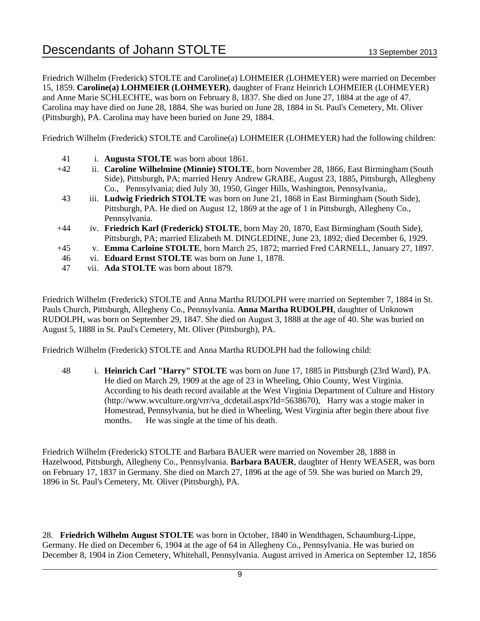Friedrich Wilhelm (Frederick) STOLTE and Caroline(a) LOHMEIER (LOHMEYER) were married on December 15, 1859. **Caroline(a) LOHMEIER (LOHMEYER)**, daughter of Franz Heinrich LOHMEIER (LOHMEYER) and Anne Marie SCHLECHTE, was born on February 8, 1837. She died on June 27, 1884 at the age of 47. Carolina may have died on June 28, 1884. She was buried on June 28, 1884 in St. Paul's Cemetery, Mt. Oliver (Pittsburgh), PA. Carolina may have been buried on June 29, 1884.

Friedrich Wilhelm (Frederick) STOLTE and Caroline(a) LOHMEIER (LOHMEYER) had the following children:

- 41 i. **Augusta STOLTE** was born about 1861.
- +42 ii. **Caroline Wilhelmine (Minnie) STOLTE**, born November 28, 1866, East Birmingham (South Side), Pittsburgh, PA; married Henry Andrew GRABE, August 23, 1885, Pittsburgh, Allegheny Co., Pennsylvania; died July 30, 1950, Ginger Hills, Washington, Pennsylvania,.
- 43 iii. **Ludwig Friedrich STOLTE** was born on June 21, 1868 in East Birmingham (South Side), Pittsburgh, PA. He died on August 12, 1869 at the age of 1 in Pittsburgh, Allegheny Co., Pennsylvania.
- +44 iv. **Friedrich Karl (Frederick) STOLTE**, born May 20, 1870, East Birmingham (South Side), Pittsburgh, PA; married Elizabeth M. DINGLEDINE, June 23, 1892; died December 6, 1929.
- +45 v. **Emma Carloine STOLTE**, born March 25, 1872; married Fred CARNELL, January 27, 1897.
- 46 vi. **Eduard Ernst STOLTE** was born on June 1, 1878.
- 47 vii. **Ada STOLTE** was born about 1879.

Friedrich Wilhelm (Frederick) STOLTE and Anna Martha RUDOLPH were married on September 7, 1884 in St. Pauls Church, Pittsburgh, Allegheny Co., Pennsylvania. **Anna Martha RUDOLPH**, daughter of Unknown RUDOLPH, was born on September 29, 1847. She died on August 3, 1888 at the age of 40. She was buried on August 5, 1888 in St. Paul's Cemetery, Mt. Oliver (Pittsburgh), PA.

Friedrich Wilhelm (Frederick) STOLTE and Anna Martha RUDOLPH had the following child:

48 i. **Heinrich Carl "Harry" STOLTE** was born on June 17, 1885 in Pittsburgh (23rd Ward), PA. He died on March 29, 1909 at the age of 23 in Wheeling, Ohio County, West Virginia. According to his death record available at the West Virginia Department of Culture and History (http://www.wvculture.org/vrr/va\_dcdetail.aspx?Id=5638670), Harry was a stogie maker in Homestead, Pennsylvania, but he died in Wheeling, West Virginia after begin there about five months. He was single at the time of his death.

Friedrich Wilhelm (Frederick) STOLTE and Barbara BAUER were married on November 28, 1888 in Hazelwood, Pittsburgh, Allegheny Co., Pennsylvania. **Barbara BAUER**, daughter of Henry WEASER, was born on February 17, 1837 in Germany. She died on March 27, 1896 at the age of 59. She was buried on March 29, 1896 in St. Paul's Cemetery, Mt. Oliver (Pittsburgh), PA.

28. **Friedrich Wilhelm August STOLTE** was born in October, 1840 in Wendthagen, Schaumburg-Lippe, Germany. He died on December 6, 1904 at the age of 64 in Allegheny Co., Pennsylvania. He was buried on December 8, 1904 in Zion Cemetery, Whitehall, Pennsylvania. August arrived in America on September 12, 1856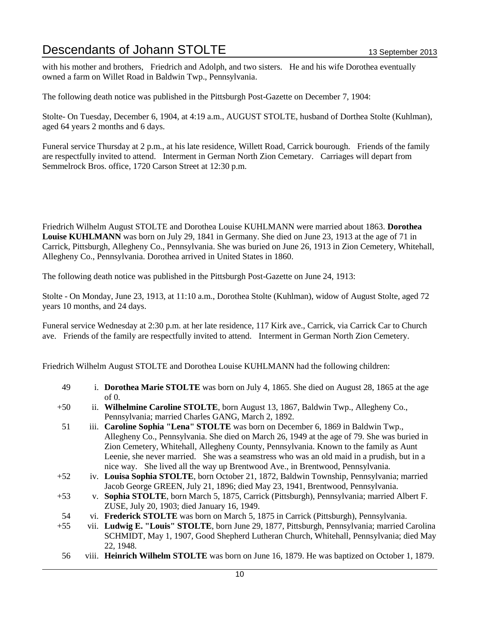with his mother and brothers, Friedrich and Adolph, and two sisters. He and his wife Dorothea eventually owned a farm on Willet Road in Baldwin Twp., Pennsylvania.

The following death notice was published in the Pittsburgh Post-Gazette on December 7, 1904:

Stolte- On Tuesday, December 6, 1904, at 4:19 a.m., AUGUST STOLTE, husband of Dorthea Stolte (Kuhlman), aged 64 years 2 months and 6 days.

Funeral service Thursday at 2 p.m., at his late residence, Willett Road, Carrick bourough. Friends of the family are respectfully invited to attend. Interment in German North Zion Cemetary. Carriages will depart from Semmelrock Bros. office, 1720 Carson Street at 12:30 p.m.

Friedrich Wilhelm August STOLTE and Dorothea Louise KUHLMANN were married about 1863. **Dorothea Louise KUHLMANN** was born on July 29, 1841 in Germany. She died on June 23, 1913 at the age of 71 in Carrick, Pittsburgh, Allegheny Co., Pennsylvania. She was buried on June 26, 1913 in Zion Cemetery, Whitehall, Allegheny Co., Pennsylvania. Dorothea arrived in United States in 1860.

The following death notice was published in the Pittsburgh Post-Gazette on June 24, 1913:

Stolte - On Monday, June 23, 1913, at 11:10 a.m., Dorothea Stolte (Kuhlman), widow of August Stolte, aged 72 years 10 months, and 24 days.

Funeral service Wednesday at 2:30 p.m. at her late residence, 117 Kirk ave., Carrick, via Carrick Car to Church ave. Friends of the family are respectfully invited to attend. Interment in German North Zion Cemetery.

Friedrich Wilhelm August STOLTE and Dorothea Louise KUHLMANN had the following children:

- 49 i. **Dorothea Marie STOLTE** was born on July 4, 1865. She died on August 28, 1865 at the age of 0.
- +50 ii. **Wilhelmine Caroline STOLTE**, born August 13, 1867, Baldwin Twp., Allegheny Co., Pennsylvania; married Charles GANG, March 2, 1892.
- 51 iii. **Caroline Sophia "Lena" STOLTE** was born on December 6, 1869 in Baldwin Twp., Allegheny Co., Pennsylvania. She died on March 26, 1949 at the age of 79. She was buried in Zion Cemetery, Whitehall, Allegheny County, Pennsylvania. Known to the family as Aunt Leenie, she never married. She was a seamstress who was an old maid in a prudish, but in a nice way. She lived all the way up Brentwood Ave., in Brentwood, Pennsylvania.
- +52 iv. **Louisa Sophia STOLTE**, born October 21, 1872, Baldwin Township, Pennsylvania; married Jacob George GREEN, July 21, 1896; died May 23, 1941, Brentwood, Pennsylvania.
- +53 v. **Sophia STOLTE**, born March 5, 1875, Carrick (Pittsburgh), Pennsylvania; married Albert F. ZUSE, July 20, 1903; died January 16, 1949.
- 54 vi. **Frederick STOLTE** was born on March 5, 1875 in Carrick (Pittsburgh), Pennsylvania.
- +55 vii. **Ludwig E. "Louis" STOLTE**, born June 29, 1877, Pittsburgh, Pennsylvania; married Carolina SCHMIDT, May 1, 1907, Good Shepherd Lutheran Church, Whitehall, Pennsylvania; died May 22, 1948.
- 56 viii. **Heinrich Wilhelm STOLTE** was born on June 16, 1879. He was baptized on October 1, 1879.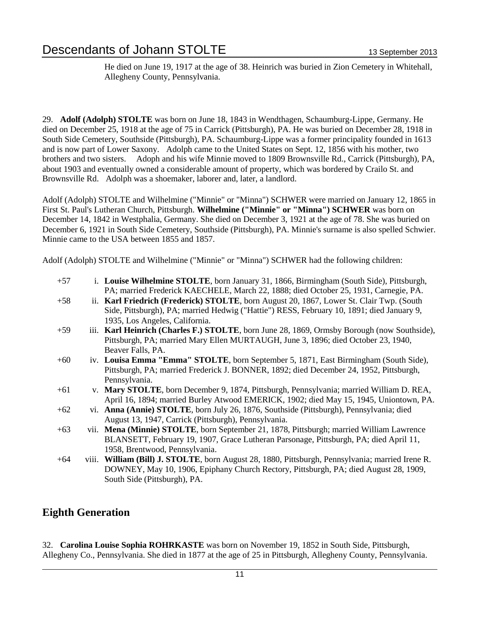He died on June 19, 1917 at the age of 38. Heinrich was buried in Zion Cemetery in Whitehall, Allegheny County, Pennsylvania.

29. **Adolf (Adolph) STOLTE** was born on June 18, 1843 in Wendthagen, Schaumburg-Lippe, Germany. He died on December 25, 1918 at the age of 75 in Carrick (Pittsburgh), PA. He was buried on December 28, 1918 in South Side Cemetery, Southside (Pittsburgh), PA. Schaumburg-Lippe was a former principality founded in 1613 and is now part of Lower Saxony. Adolph came to the United States on Sept. 12, 1856 with his mother, two brothers and two sisters. Adoph and his wife Minnie moved to 1809 Brownsville Rd., Carrick (Pittsburgh), PA, about 1903 and eventually owned a considerable amount of property, which was bordered by Crailo St. and Brownsville Rd. Adolph was a shoemaker, laborer and, later, a landlord.

Adolf (Adolph) STOLTE and Wilhelmine ("Minnie" or "Minna") SCHWER were married on January 12, 1865 in First St. Paul's Lutheran Church, Pittsburgh. **Wilhelmine ("Minnie" or "Minna") SCHWER** was born on December 14, 1842 in Westphalia, Germany. She died on December 3, 1921 at the age of 78. She was buried on December 6, 1921 in South Side Cemetery, Southside (Pittsburgh), PA. Minnie's surname is also spelled Schwier. Minnie came to the USA between 1855 and 1857.

Adolf (Adolph) STOLTE and Wilhelmine ("Minnie" or "Minna") SCHWER had the following children:

| $+57$ | i. Louise Wilhelmine STOLTE, born January 31, 1866, Birmingham (South Side), Pittsburgh,    |
|-------|---------------------------------------------------------------------------------------------|
|       | PA; married Frederick KAECHELE, March 22, 1888; died October 25, 1931, Carnegie, PA.        |
| $+58$ | ii. Karl Friedrich (Frederick) STOLTE, born August 20, 1867, Lower St. Clair Twp. (South    |
|       | Side, Pittsburgh), PA; married Hedwig ("Hattie") RESS, February 10, 1891; died January 9,   |
|       | 1935, Los Angeles, California.                                                              |
| $+59$ | iii. Karl Heinrich (Charles F.) STOLTE, born June 28, 1869, Ormsby Borough (now Southside), |
|       | Pittsburgh, PA; married Mary Ellen MURTAUGH, June 3, 1896; died October 23, 1940,           |
|       | Beaver Falls, PA.                                                                           |
| $+60$ | iv. Louisa Emma "Emma" STOLTE, born September 5, 1871, East Birmingham (South Side),        |

- Pittsburgh, PA; married Frederick J. BONNER, 1892; died December 24, 1952, Pittsburgh, Pennsylvania.
- +61 v. **Mary STOLTE**, born December 9, 1874, Pittsburgh, Pennsylvania; married William D. REA, April 16, 1894; married Burley Atwood EMERICK, 1902; died May 15, 1945, Uniontown, PA.
- +62 vi. **Anna (Annie) STOLTE**, born July 26, 1876, Southside (Pittsburgh), Pennsylvania; died August 13, 1947, Carrick (Pittsburgh), Pennsylvania.
- +63 vii. **Mena (Minnie) STOLTE**, born September 21, 1878, Pittsburgh; married William Lawrence BLANSETT, February 19, 1907, Grace Lutheran Parsonage, Pittsburgh, PA; died April 11, 1958, Brentwood, Pennsylvania.
- +64 viii. **William (Bill) J. STOLTE**, born August 28, 1880, Pittsburgh, Pennsylvania; married Irene R. DOWNEY, May 10, 1906, Epiphany Church Rectory, Pittsburgh, PA; died August 28, 1909, South Side (Pittsburgh), PA.

## **Eighth Generation**

32. **Carolina Louise Sophia ROHRKASTE** was born on November 19, 1852 in South Side, Pittsburgh, Allegheny Co., Pennsylvania. She died in 1877 at the age of 25 in Pittsburgh, Allegheny County, Pennsylvania.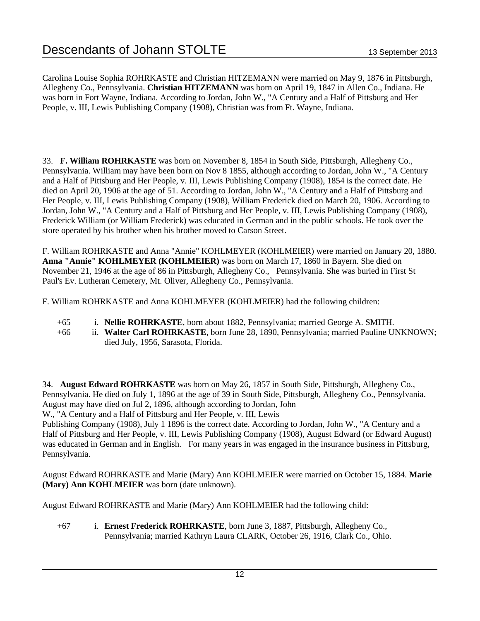Carolina Louise Sophia ROHRKASTE and Christian HITZEMANN were married on May 9, 1876 in Pittsburgh, Allegheny Co., Pennsylvania. **Christian HITZEMANN** was born on April 19, 1847 in Allen Co., Indiana. He was born in Fort Wayne, Indiana. According to Jordan, John W., "A Century and a Half of Pittsburg and Her People, v. III, Lewis Publishing Company (1908), Christian was from Ft. Wayne, Indiana.

33. **F. William ROHRKASTE** was born on November 8, 1854 in South Side, Pittsburgh, Allegheny Co., Pennsylvania. William may have been born on Nov 8 1855, although according to Jordan, John W., "A Century and a Half of Pittsburg and Her People, v. III, Lewis Publishing Company (1908), 1854 is the correct date. He died on April 20, 1906 at the age of 51. According to Jordan, John W., "A Century and a Half of Pittsburg and Her People, v. III, Lewis Publishing Company (1908), William Frederick died on March 20, 1906. According to Jordan, John W., "A Century and a Half of Pittsburg and Her People, v. III, Lewis Publishing Company (1908), Frederick William (or William Frederick) was educated in German and in the public schools. He took over the store operated by his brother when his brother moved to Carson Street.

F. William ROHRKASTE and Anna "Annie" KOHLMEYER (KOHLMEIER) were married on January 20, 1880. **Anna "Annie" KOHLMEYER (KOHLMEIER)** was born on March 17, 1860 in Bayern. She died on November 21, 1946 at the age of 86 in Pittsburgh, Allegheny Co., Pennsylvania. She was buried in First St Paul's Ev. Lutheran Cemetery, Mt. Oliver, Allegheny Co., Pennsylvania.

F. William ROHRKASTE and Anna KOHLMEYER (KOHLMEIER) had the following children:

- +65 i. **Nellie ROHRKASTE**, born about 1882, Pennsylvania; married George A. SMITH.
- +66 ii. **Walter Carl ROHRKASTE**, born June 28, 1890, Pennsylvania; married Pauline UNKNOWN; died July, 1956, Sarasota, Florida.

34. **August Edward ROHRKASTE** was born on May 26, 1857 in South Side, Pittsburgh, Allegheny Co., Pennsylvania. He died on July 1, 1896 at the age of 39 in South Side, Pittsburgh, Allegheny Co., Pennsylvania. August may have died on Jul 2, 1896, although according to Jordan, John

W., "A Century and a Half of Pittsburg and Her People, v. III, Lewis

Publishing Company (1908), July 1 1896 is the correct date. According to Jordan, John W., "A Century and a Half of Pittsburg and Her People, v. III, Lewis Publishing Company (1908), August Edward (or Edward August) was educated in German and in English. For many years in was engaged in the insurance business in Pittsburg, Pennsylvania.

August Edward ROHRKASTE and Marie (Mary) Ann KOHLMEIER were married on October 15, 1884. **Marie (Mary) Ann KOHLMEIER** was born (date unknown).

August Edward ROHRKASTE and Marie (Mary) Ann KOHLMEIER had the following child:

+67 i. **Ernest Frederick ROHRKASTE**, born June 3, 1887, Pittsburgh, Allegheny Co., Pennsylvania; married Kathryn Laura CLARK, October 26, 1916, Clark Co., Ohio.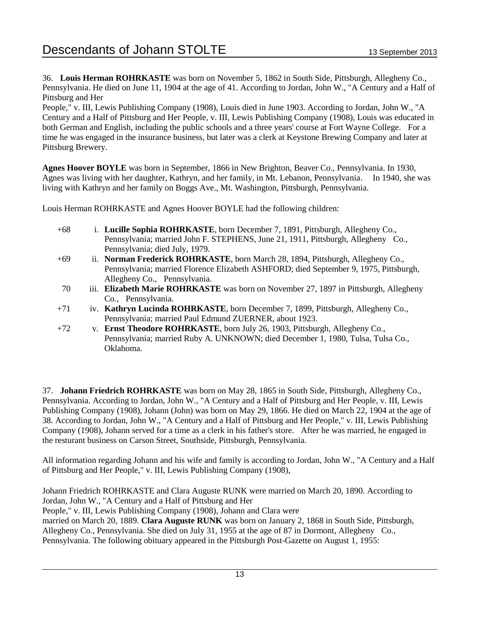36. **Louis Herman ROHRKASTE** was born on November 5, 1862 in South Side, Pittsburgh, Allegheny Co., Pennsylvania. He died on June 11, 1904 at the age of 41. According to Jordan, John W., "A Century and a Half of Pittsburg and Her

People," v. III, Lewis Publishing Company (1908), Louis died in June 1903. According to Jordan, John W., "A Century and a Half of Pittsburg and Her People, v. III, Lewis Publishing Company (1908), Louis was educated in both German and English, including the public schools and a three years' course at Fort Wayne College. For a time he was engaged in the insurance business, but later was a clerk at Keystone Brewing Company and later at Pittsburg Brewery.

**Agnes Hoover BOYLE** was born in September, 1866 in New Brighton, Beaver Co., Pennsylvania. In 1930, Agnes was living with her daughter, Kathryn, and her family, in Mt. Lebanon, Pennsylvania. In 1940, she was living with Kathryn and her family on Boggs Ave., Mt. Washington, Pittsburgh, Pennsylvania.

Louis Herman ROHRKASTE and Agnes Hoover BOYLE had the following children:

- +68 i. **Lucille Sophia ROHRKASTE**, born December 7, 1891, Pittsburgh, Allegheny Co., Pennsylvania; married John F. STEPHENS, June 21, 1911, Pittsburgh, Allegheny Co., Pennsylvania; died July, 1979.
- +69 ii. **Norman Frederick ROHRKASTE**, born March 28, 1894, Pittsburgh, Allegheny Co., Pennsylvania; married Florence Elizabeth ASHFORD; died September 9, 1975, Pittsburgh, Allegheny Co., Pennsylvania.
- 70 iii. **Elizabeth Marie ROHRKASTE** was born on November 27, 1897 in Pittsburgh, Allegheny Co., Pennsylvania.
- +71 iv. **Kathryn Lucinda ROHRKASTE**, born December 7, 1899, Pittsburgh, Allegheny Co., Pennsylvania; married Paul Edmund ZUERNER, about 1923.
- +72 v. **Ernst Theodore ROHRKASTE**, born July 26, 1903, Pittsburgh, Allegheny Co., Pennsylvania; married Ruby A. UNKNOWN; died December 1, 1980, Tulsa, Tulsa Co., Oklahoma.

37. **Johann Friedrich ROHRKASTE** was born on May 28, 1865 in South Side, Pittsburgh, Allegheny Co., Pennsylvania. According to Jordan, John W., "A Century and a Half of Pittsburg and Her People, v. III, Lewis Publishing Company (1908), Johann (John) was born on May 29, 1866. He died on March 22, 1904 at the age of 38. According to Jordan, John W., "A Century and a Half of Pittsburg and Her People," v. III, Lewis Publishing Company (1908), Johann served for a time as a clerk in his father's store. After he was married, he engaged in the resturant business on Carson Street, Southside, Pittsburgh, Pennsylvania.

All information regarding Johann and his wife and family is according to Jordan, John W., "A Century and a Half of Pittsburg and Her People," v. III, Lewis Publishing Company (1908),

Johann Friedrich ROHRKASTE and Clara Auguste RUNK were married on March 20, 1890. According to Jordan, John W., "A Century and a Half of Pittsburg and Her

People," v. III, Lewis Publishing Company (1908), Johann and Clara were

married on March 20, 1889. **Clara Auguste RUNK** was born on January 2, 1868 in South Side, Pittsburgh, Allegheny Co., Pennsylvania. She died on July 31, 1955 at the age of 87 in Dormont, Allegheny Co., Pennsylvania. The following obituary appeared in the Pittsburgh Post-Gazette on August 1, 1955: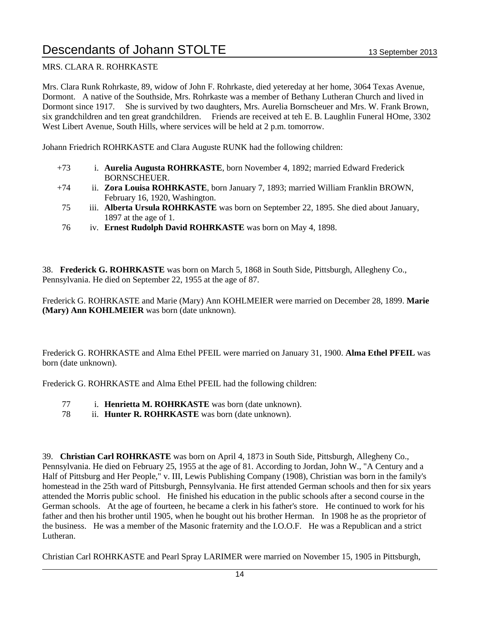#### MRS. CLARA R. ROHRKASTE

Mrs. Clara Runk Rohrkaste, 89, widow of John F. Rohrkaste, died yetereday at her home, 3064 Texas Avenue, Dormont. A native of the Southside, Mrs. Rohrkaste was a member of Bethany Lutheran Church and lived in Dormont since 1917. She is survived by two daughters, Mrs. Aurelia Bornscheuer and Mrs. W. Frank Brown, six grandchildren and ten great grandchildren. Friends are received at teh E. B. Laughlin Funeral HOme, 3302 West Libert Avenue, South Hills, where services will be held at 2 p.m. tomorrow.

Johann Friedrich ROHRKASTE and Clara Auguste RUNK had the following children:

- +73 i. **Aurelia Augusta ROHRKASTE**, born November 4, 1892; married Edward Frederick BORNSCHEUER.
- +74 ii. **Zora Louisa ROHRKASTE**, born January 7, 1893; married William Franklin BROWN, February 16, 1920, Washington.
- 75 iii. **Alberta Ursula ROHRKASTE** was born on September 22, 1895. She died about January, 1897 at the age of 1.
- 76 iv. **Ernest Rudolph David ROHRKASTE** was born on May 4, 1898.

38. **Frederick G. ROHRKASTE** was born on March 5, 1868 in South Side, Pittsburgh, Allegheny Co., Pennsylvania. He died on September 22, 1955 at the age of 87.

Frederick G. ROHRKASTE and Marie (Mary) Ann KOHLMEIER were married on December 28, 1899. **Marie (Mary) Ann KOHLMEIER** was born (date unknown).

Frederick G. ROHRKASTE and Alma Ethel PFEIL were married on January 31, 1900. **Alma Ethel PFEIL** was born (date unknown).

Frederick G. ROHRKASTE and Alma Ethel PFEIL had the following children:

- 77 i. **Henrietta M. ROHRKASTE** was born (date unknown).
- 78 ii. **Hunter R. ROHRKASTE** was born (date unknown).

39. **Christian Carl ROHRKASTE** was born on April 4, 1873 in South Side, Pittsburgh, Allegheny Co., Pennsylvania. He died on February 25, 1955 at the age of 81. According to Jordan, John W., "A Century and a Half of Pittsburg and Her People," v. III, Lewis Publishing Company (1908), Christian was born in the family's homestead in the 25th ward of Pittsburgh, Pennsylvania. He first attended German schools and then for six years attended the Morris public school. He finished his education in the public schools after a second course in the German schools. At the age of fourteen, he became a clerk in his father's store. He continued to work for his father and then his brother until 1905, when he bought out his brother Herman. In 1908 he as the proprietor of the business. He was a member of the Masonic fraternity and the I.O.O.F. He was a Republican and a strict Lutheran.

Christian Carl ROHRKASTE and Pearl Spray LARIMER were married on November 15, 1905 in Pittsburgh,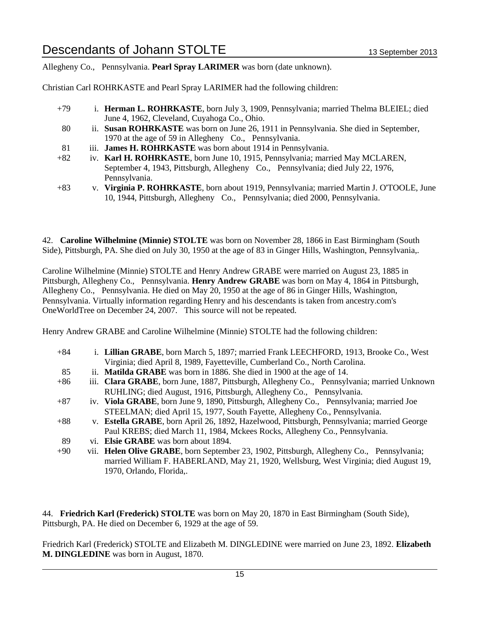Allegheny Co., Pennsylvania. **Pearl Spray LARIMER** was born (date unknown).

Christian Carl ROHRKASTE and Pearl Spray LARIMER had the following children:

- +79 i. **Herman L. ROHRKASTE**, born July 3, 1909, Pennsylvania; married Thelma BLEIEL; died June 4, 1962, Cleveland, Cuyahoga Co., Ohio.
- 80 ii. **Susan ROHRKASTE** was born on June 26, 1911 in Pennsylvania. She died in September, 1970 at the age of 59 in Allegheny Co., Pennsylvania.
- 81 iii. **James H. ROHRKASTE** was born about 1914 in Pennsylvania.
- +82 iv. **Karl H. ROHRKASTE**, born June 10, 1915, Pennsylvania; married May MCLAREN, September 4, 1943, Pittsburgh, Allegheny Co., Pennsylvania; died July 22, 1976, Pennsylvania.
- +83 v. **Virginia P. ROHRKASTE**, born about 1919, Pennsylvania; married Martin J. O'TOOLE, June 10, 1944, Pittsburgh, Allegheny Co., Pennsylvania; died 2000, Pennsylvania.

42. **Caroline Wilhelmine (Minnie) STOLTE** was born on November 28, 1866 in East Birmingham (South Side), Pittsburgh, PA. She died on July 30, 1950 at the age of 83 in Ginger Hills, Washington, Pennsylvania,.

Caroline Wilhelmine (Minnie) STOLTE and Henry Andrew GRABE were married on August 23, 1885 in Pittsburgh, Allegheny Co., Pennsylvania. **Henry Andrew GRABE** was born on May 4, 1864 in Pittsburgh, Allegheny Co., Pennsylvania. He died on May 20, 1950 at the age of 86 in Ginger Hills, Washington, Pennsylvania. Virtually information regarding Henry and his descendants is taken from ancestry.com's OneWorldTree on December 24, 2007. This source will not be repeated.

Henry Andrew GRABE and Caroline Wilhelmine (Minnie) STOLTE had the following children:

| $+84$    | i. Lillian GRABE, born March 5, 1897; married Frank LEECHFORD, 1913, Brooke Co., West          |
|----------|------------------------------------------------------------------------------------------------|
|          | Virginia; died April 8, 1989, Fayetteville, Cumberland Co., North Carolina.                    |
| 85       | ii. <b>Matilda GRABE</b> was born in 1886. She died in 1900 at the age of 14.                  |
| $+86$    | iii. Clara GRABE, born June, 1887, Pittsburgh, Allegheny Co., Pennsylvania; married Unknown    |
|          | RUHLING; died August, 1916, Pittsburgh, Allegheny Co., Pennsylvania.                           |
| $+87$    | iv. Viola GRABE, born June 9, 1890, Pittsburgh, Allegheny Co., Pennsylvania; married Joe       |
|          | STEELMAN; died April 15, 1977, South Fayette, Allegheny Co., Pennsylvania.                     |
| $+88$    | v. Estella GRABE, born April 26, 1892, Hazelwood, Pittsburgh, Pennsylvania; married George     |
|          | Paul KREBS; died March 11, 1984, Mckees Rocks, Allegheny Co., Pennsylvania.                    |
| 89       | vi. Elsie GRABE was born about 1894.                                                           |
| $\Omega$ | $\sim$ $\sim$ Helen Olive CDADE have Contember 22, 1002 Dittoburgh Allechany Co. Depresivenies |

+90 vii. **Helen Olive GRABE**, born September 23, 1902, Pittsburgh, Allegheny Co., Pennsylvania; married William F. HABERLAND, May 21, 1920, Wellsburg, West Virginia; died August 19, 1970, Orlando, Florida,.

44. **Friedrich Karl (Frederick) STOLTE** was born on May 20, 1870 in East Birmingham (South Side), Pittsburgh, PA. He died on December 6, 1929 at the age of 59.

Friedrich Karl (Frederick) STOLTE and Elizabeth M. DINGLEDINE were married on June 23, 1892. **Elizabeth M. DINGLEDINE** was born in August, 1870.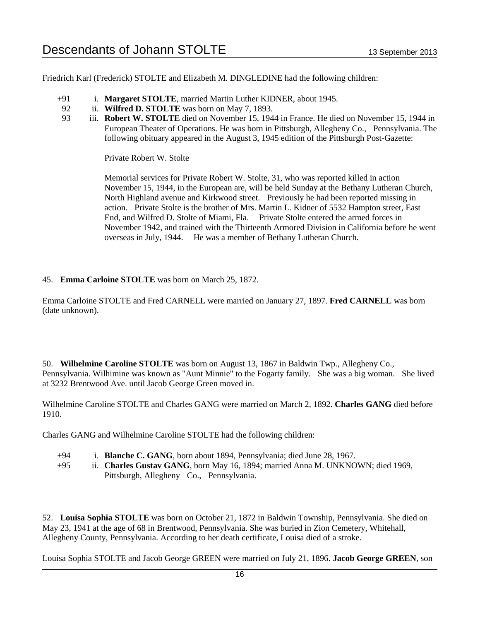Friedrich Karl (Frederick) STOLTE and Elizabeth M. DINGLEDINE had the following children:

- +91 i. **Margaret STOLTE**, married Martin Luther KIDNER, about 1945.
- 92 ii. **Wilfred D. STOLTE** was born on May 7, 1893.
- 93 iii. **Robert W. STOLTE** died on November 15, 1944 in France. He died on November 15, 1944 in European Theater of Operations. He was born in Pittsburgh, Allegheny Co., Pennsylvania. The following obituary appeared in the August 3, 1945 edition of the Pittsburgh Post-Gazette:

Private Robert W. Stolte

Memorial services for Private Robert W. Stolte, 31, who was reported killed in action November 15, 1944, in the European are, will be held Sunday at the Bethany Lutheran Church, North Highland avenue and Kirkwood street. Previously he had been reported missing in action. Private Stolte is the brother of Mrs. Martin L. Kidner of 5532 Hampton street, East End, and Wilfred D. Stolte of Miami, Fla. Private Stolte entered the armed forces in November 1942, and trained with the Thirteenth Armored Division in California before he went overseas in July, 1944. He was a member of Bethany Lutheran Church.

#### 45. **Emma Carloine STOLTE** was born on March 25, 1872.

Emma Carloine STOLTE and Fred CARNELL were married on January 27, 1897. **Fred CARNELL** was born (date unknown).

50. **Wilhelmine Caroline STOLTE** was born on August 13, 1867 in Baldwin Twp., Allegheny Co., Pennsylvania. Wilhimine was known as "Aunt Minnie" to the Fogarty family. She was a big woman. She lived at 3232 Brentwood Ave. until Jacob George Green moved in.

Wilhelmine Caroline STOLTE and Charles GANG were married on March 2, 1892. **Charles GANG** died before 1910.

Charles GANG and Wilhelmine Caroline STOLTE had the following children:

- +94 i. **Blanche C. GANG**, born about 1894, Pennsylvania; died June 28, 1967.
- +95 ii. **Charles Gustav GANG**, born May 16, 1894; married Anna M. UNKNOWN; died 1969, Pittsburgh, Allegheny Co., Pennsylvania.

52. **Louisa Sophia STOLTE** was born on October 21, 1872 in Baldwin Township, Pennsylvania. She died on May 23, 1941 at the age of 68 in Brentwood, Pennsylvania. She was buried in Zion Cemetery, Whitehall, Allegheny County, Pennsylvania. According to her death certificate, Louisa died of a stroke.

Louisa Sophia STOLTE and Jacob George GREEN were married on July 21, 1896. **Jacob George GREEN**, son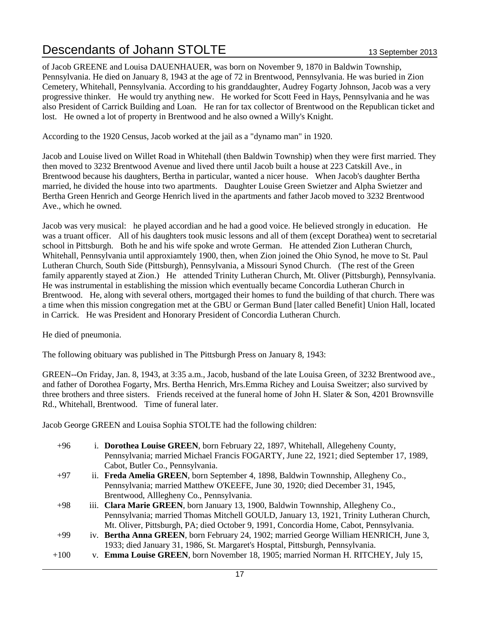of Jacob GREENE and Louisa DAUENHAUER, was born on November 9, 1870 in Baldwin Township, Pennsylvania. He died on January 8, 1943 at the age of 72 in Brentwood, Pennsylvania. He was buried in Zion Cemetery, Whitehall, Pennsylvania. According to his granddaughter, Audrey Fogarty Johnson, Jacob was a very progressive thinker. He would try anything new. He worked for Scott Feed in Hays, Pennsylvania and he was also President of Carrick Building and Loan. He ran for tax collector of Brentwood on the Republican ticket and lost. He owned a lot of property in Brentwood and he also owned a Willy's Knight.

According to the 1920 Census, Jacob worked at the jail as a "dynamo man" in 1920.

Jacob and Louise lived on Willet Road in Whitehall (then Baldwin Township) when they were first married. They then moved to 3232 Brentwood Avenue and lived there until Jacob built a house at 223 Catskill Ave., in Brentwood because his daughters, Bertha in particular, wanted a nicer house. When Jacob's daughter Bertha married, he divided the house into two apartments. Daughter Louise Green Swietzer and Alpha Swietzer and Bertha Green Henrich and George Henrich lived in the apartments and father Jacob moved to 3232 Brentwood Ave., which he owned.

Jacob was very musical: he played accordian and he had a good voice. He believed strongly in education. He was a truant officer. All of his daughters took music lessons and all of them (except Dorathea) went to secretarial school in Pittsburgh. Both he and his wife spoke and wrote German. He attended Zion Lutheran Church, Whitehall, Pennsylvania until approxiamtely 1900, then, when Zion joined the Ohio Synod, he move to St. Paul Lutheran Church, South Side (Pittsburgh), Pennsylvania, a Missouri Synod Church. (The rest of the Green family apparently stayed at Zion.) He attended Trinity Lutheran Church, Mt. Oliver (Pittsburgh), Pennsylvania. He was instrumental in establishing the mission which eventually became Concordia Lutheran Church in Brentwood. He, along with several others, mortgaged their homes to fund the building of that church. There was a time when this mission congregation met at the GBU or German Bund [later called Benefit] Union Hall, located in Carrick. He was President and Honorary President of Concordia Lutheran Church.

He died of pneumonia.

The following obituary was published in The Pittsburgh Press on January 8, 1943:

GREEN--On Friday, Jan. 8, 1943, at 3:35 a.m., Jacob, husband of the late Louisa Green, of 3232 Brentwood ave., and father of Dorothea Fogarty, Mrs. Bertha Henrich, Mrs.Emma Richey and Louisa Sweitzer; also survived by three brothers and three sisters. Friends received at the funeral home of John H. Slater & Son, 4201 Brownsville Rd., Whitehall, Brentwood. Time of funeral later.

Jacob George GREEN and Louisa Sophia STOLTE had the following children:

- +96 i. **Dorothea Louise GREEN**, born February 22, 1897, Whitehall, Allegeheny County, Pennsylvania; married Michael Francis FOGARTY, June 22, 1921; died September 17, 1989, Cabot, Butler Co., Pennsylvania.
- +97 ii. **Freda Amelia GREEN**, born September 4, 1898, Baldwin Townnship, Allegheny Co., Pennsylvania; married Matthew O'KEEFE, June 30, 1920; died December 31, 1945, Brentwood, Alllegheny Co., Pennsylvania.
- +98 iii. **Clara Marie GREEN**, born January 13, 1900, Baldwin Townnship, Allegheny Co., Pennsylvania; married Thomas Mitchell GOULD, January 13, 1921, Trinity Lutheran Church, Mt. Oliver, Pittsburgh, PA; died October 9, 1991, Concordia Home, Cabot, Pennsylvania.
- +99 iv. **Bertha Anna GREEN**, born February 24, 1902; married George William HENRICH, June 3, 1933; died January 31, 1986, St. Margaret's Hosptal, Pittsburgh, Pennsylvania.
- +100 v. **Emma Louise GREEN**, born November 18, 1905; married Norman H. RITCHEY, July 15,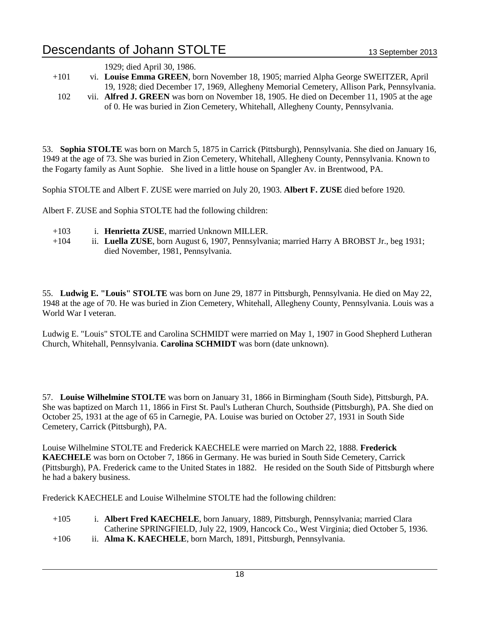|      | 1929; died April 30, 1986.                                                                  |
|------|---------------------------------------------------------------------------------------------|
| +101 | vi. Louise Emma GREEN, born November 18, 1905; married Alpha George SWEITZER, April         |
|      | 19, 1928; died December 17, 1969, Allegheny Memorial Cemetery, Allison Park, Pennsylvania.  |
| 102  | vii. Alfred J. GREEN was born on November 18, 1905. He died on December 11, 1905 at the age |
|      | of 0. He was buried in Zion Cemetery, Whitehall, Allegheny County, Pennsylvania.            |

53. **Sophia STOLTE** was born on March 5, 1875 in Carrick (Pittsburgh), Pennsylvania. She died on January 16, 1949 at the age of 73. She was buried in Zion Cemetery, Whitehall, Allegheny County, Pennsylvania. Known to the Fogarty family as Aunt Sophie. She lived in a little house on Spangler Av. in Brentwood, PA.

Sophia STOLTE and Albert F. ZUSE were married on July 20, 1903. **Albert F. ZUSE** died before 1920.

Albert F. ZUSE and Sophia STOLTE had the following children:

- +103 i. **Henrietta ZUSE**, married Unknown MILLER.
- +104 ii. **Luella ZUSE**, born August 6, 1907, Pennsylvania; married Harry A BROBST Jr., beg 1931; died November, 1981, Pennsylvania.

55. **Ludwig E. "Louis" STOLTE** was born on June 29, 1877 in Pittsburgh, Pennsylvania. He died on May 22, 1948 at the age of 70. He was buried in Zion Cemetery, Whitehall, Allegheny County, Pennsylvania. Louis was a World War I veteran.

Ludwig E. "Louis" STOLTE and Carolina SCHMIDT were married on May 1, 1907 in Good Shepherd Lutheran Church, Whitehall, Pennsylvania. **Carolina SCHMIDT** was born (date unknown).

57. **Louise Wilhelmine STOLTE** was born on January 31, 1866 in Birmingham (South Side), Pittsburgh, PA. She was baptized on March 11, 1866 in First St. Paul's Lutheran Church, Southside (Pittsburgh), PA. She died on October 25, 1931 at the age of 65 in Carnegie, PA. Louise was buried on October 27, 1931 in South Side Cemetery, Carrick (Pittsburgh), PA.

Louise Wilhelmine STOLTE and Frederick KAECHELE were married on March 22, 1888. **Frederick KAECHELE** was born on October 7, 1866 in Germany. He was buried in South Side Cemetery, Carrick (Pittsburgh), PA. Frederick came to the United States in 1882. He resided on the South Side of Pittsburgh where he had a bakery business.

Frederick KAECHELE and Louise Wilhelmine STOLTE had the following children:

- +105 i. **Albert Fred KAECHELE**, born January, 1889, Pittsburgh, Pennsylvania; married Clara Catherine SPRINGFIELD, July 22, 1909, Hancock Co., West Virginia; died October 5, 1936.
- +106 ii. **Alma K. KAECHELE**, born March, 1891, Pittsburgh, Pennsylvania.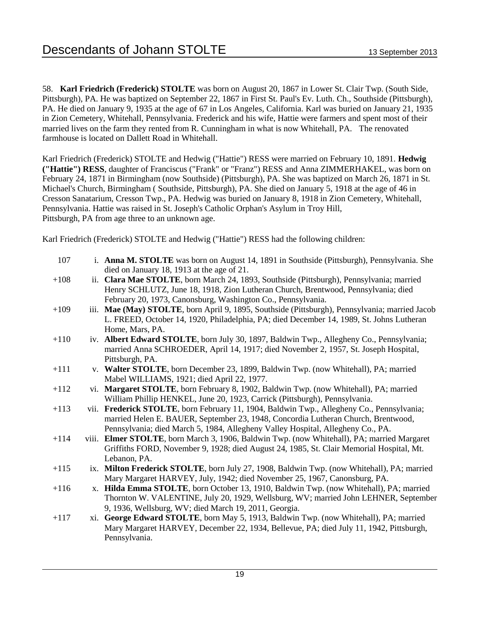58. **Karl Friedrich (Frederick) STOLTE** was born on August 20, 1867 in Lower St. Clair Twp. (South Side, Pittsburgh), PA. He was baptized on September 22, 1867 in First St. Paul's Ev. Luth. Ch., Southside (Pittsburgh), PA. He died on January 9, 1935 at the age of 67 in Los Angeles, California. Karl was buried on January 21, 1935 in Zion Cemetery, Whitehall, Pennsylvania. Frederick and his wife, Hattie were farmers and spent most of their married lives on the farm they rented from R. Cunningham in what is now Whitehall, PA. The renovated farmhouse is located on Dallett Road in Whitehall.

Karl Friedrich (Frederick) STOLTE and Hedwig ("Hattie") RESS were married on February 10, 1891. **Hedwig ("Hattie") RESS**, daughter of Franciscus ("Frank" or "Franz") RESS and Anna ZIMMERHAKEL, was born on February 24, 1871 in Birmingham (now Southside) (Pittsburgh), PA. She was baptized on March 26, 1871 in St. Michael's Church, Birmingham ( Southside, Pittsburgh), PA. She died on January 5, 1918 at the age of 46 in Cresson Sanatarium, Cresson Twp., PA. Hedwig was buried on January 8, 1918 in Zion Cemetery, Whitehall, Pennsylvania. Hattie was raised in St. Joseph's Catholic Orphan's Asylum in Troy Hill, Pittsburgh, PA from age three to an unknown age.

Karl Friedrich (Frederick) STOLTE and Hedwig ("Hattie") RESS had the following children:

| 107    |     | i. Anna M. STOLTE was born on August 14, 1891 in Southside (Pittsburgh), Pennsylvania. She<br>died on January 18, 1913 at the age of 21. |
|--------|-----|------------------------------------------------------------------------------------------------------------------------------------------|
| $+108$ |     | ii. Clara Mae STOLTE, born March 24, 1893, Southside (Pittsburgh), Pennsylvania; married                                                 |
|        |     | Henry SCHLUTZ, June 18, 1918, Zion Lutheran Church, Brentwood, Pennsylvania; died                                                        |
|        |     | February 20, 1973, Canonsburg, Washington Co., Pennsylvania.                                                                             |
| $+109$ |     | iii. Mae (May) STOLTE, born April 9, 1895, Southside (Pittsburgh), Pennsylvania; married Jacob                                           |
|        |     | L. FREED, October 14, 1920, Philadelphia, PA; died December 14, 1989, St. Johns Lutheran                                                 |
|        |     | Home, Mars, PA.                                                                                                                          |
| $+110$ |     | iv. Albert Edward STOLTE, born July 30, 1897, Baldwin Twp., Allegheny Co., Pennsylvania;                                                 |
|        |     | married Anna SCHROEDER, April 14, 1917; died November 2, 1957, St. Joseph Hospital,                                                      |
|        |     | Pittsburgh, PA.                                                                                                                          |
| $+111$ |     | v. Walter STOLTE, born December 23, 1899, Baldwin Twp. (now Whitehall), PA; married                                                      |
|        |     | Mabel WILLIAMS, 1921; died April 22, 1977.                                                                                               |
| $+112$ |     | vi. Margaret STOLTE, born February 8, 1902, Baldwin Twp. (now Whitehall), PA; married                                                    |
|        |     | William Phillip HENKEL, June 20, 1923, Carrick (Pittsburgh), Pennsylvania.                                                               |
| $+113$ |     | vii. Frederick STOLTE, born February 11, 1904, Baldwin Twp., Allegheny Co., Pennsylvania;                                                |
|        |     | married Helen E. BAUER, September 23, 1948, Concordia Lutheran Church, Brentwood,                                                        |
|        |     | Pennsylvania; died March 5, 1984, Allegheny Valley Hospital, Allegheny Co., PA.                                                          |
| $+114$ |     | viii. Elmer STOLTE, born March 3, 1906, Baldwin Twp. (now Whitehall), PA; married Margaret                                               |
|        |     | Griffiths FORD, November 9, 1928; died August 24, 1985, St. Clair Memorial Hospital, Mt.<br>Lebanon, PA.                                 |
| $+115$ |     | ix. Milton Frederick STOLTE, born July 27, 1908, Baldwin Twp. (now Whitehall), PA; married                                               |
|        |     | Mary Margaret HARVEY, July, 1942; died November 25, 1967, Canonsburg, PA.                                                                |
| $+116$ |     | x. Hilda Emma STOLTE, born October 13, 1910, Baldwin Twp. (now Whitehall), PA; married                                                   |
|        |     | Thornton W. VALENTINE, July 20, 1929, Wellsburg, WV; married John LEHNER, September                                                      |
|        |     | 9, 1936, Wellsburg, WV; died March 19, 2011, Georgia.                                                                                    |
| $+117$ | xi. | George Edward STOLTE, born May 5, 1913, Baldwin Twp. (now Whitehall), PA; married                                                        |
|        |     | Mary Margaret HARVEY, December 22, 1934, Bellevue, PA; died July 11, 1942, Pittsburgh,                                                   |
|        |     | Pennsylvania.                                                                                                                            |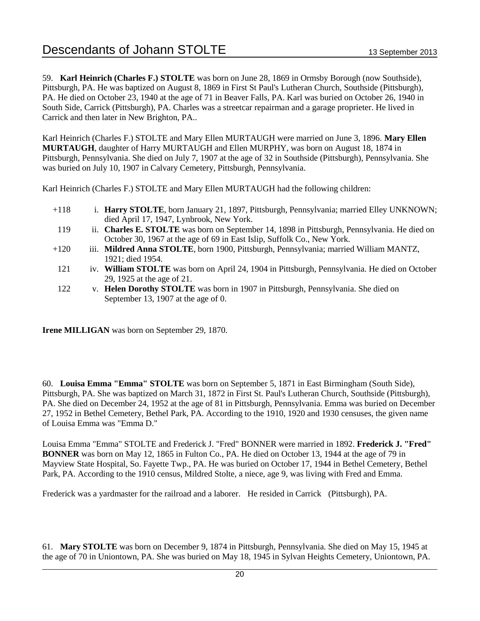59. **Karl Heinrich (Charles F.) STOLTE** was born on June 28, 1869 in Ormsby Borough (now Southside), Pittsburgh, PA. He was baptized on August 8, 1869 in First St Paul's Lutheran Church, Southside (Pittsburgh), PA. He died on October 23, 1940 at the age of 71 in Beaver Falls, PA. Karl was buried on October 26, 1940 in South Side, Carrick (Pittsburgh), PA. Charles was a streetcar repairman and a garage proprieter. He lived in Carrick and then later in New Brighton, PA..

Karl Heinrich (Charles F.) STOLTE and Mary Ellen MURTAUGH were married on June 3, 1896. **Mary Ellen MURTAUGH**, daughter of Harry MURTAUGH and Ellen MURPHY, was born on August 18, 1874 in Pittsburgh, Pennsylvania. She died on July 7, 1907 at the age of 32 in Southside (Pittsburgh), Pennsylvania. She was buried on July 10, 1907 in Calvary Cemetery, Pittsburgh, Pennsylvania.

Karl Heinrich (Charles F.) STOLTE and Mary Ellen MURTAUGH had the following children:

- +118 i. **Harry STOLTE**, born January 21, 1897, Pittsburgh, Pennsylvania; married Elley UNKNOWN; died April 17, 1947, Lynbrook, New York.
- 119 ii. **Charles E. STOLTE** was born on September 14, 1898 in Pittsburgh, Pennsylvania. He died on October 30, 1967 at the age of 69 in East Islip, Suffolk Co., New York.
- +120 iii. **Mildred Anna STOLTE**, born 1900, Pittsburgh, Pennsylvania; married William MANTZ, 1921; died 1954.
- 121 iv. **William STOLTE** was born on April 24, 1904 in Pittsburgh, Pennsylvania. He died on October 29, 1925 at the age of 21.
- 122 v. **Helen Dorothy STOLTE** was born in 1907 in Pittsburgh, Pennsylvania. She died on September 13, 1907 at the age of 0.

**Irene MILLIGAN** was born on September 29, 1870.

60. **Louisa Emma "Emma" STOLTE** was born on September 5, 1871 in East Birmingham (South Side), Pittsburgh, PA. She was baptized on March 31, 1872 in First St. Paul's Lutheran Church, Southside (Pittsburgh), PA. She died on December 24, 1952 at the age of 81 in Pittsburgh, Pennsylvania. Emma was buried on December 27, 1952 in Bethel Cemetery, Bethel Park, PA. According to the 1910, 1920 and 1930 censuses, the given name of Louisa Emma was "Emma D."

Louisa Emma "Emma" STOLTE and Frederick J. "Fred" BONNER were married in 1892. **Frederick J. "Fred" BONNER** was born on May 12, 1865 in Fulton Co., PA. He died on October 13, 1944 at the age of 79 in Mayview State Hospital, So. Fayette Twp., PA. He was buried on October 17, 1944 in Bethel Cemetery, Bethel Park, PA. According to the 1910 census, Mildred Stolte, a niece, age 9, was living with Fred and Emma.

Frederick was a yardmaster for the railroad and a laborer. He resided in Carrick (Pittsburgh), PA.

61. **Mary STOLTE** was born on December 9, 1874 in Pittsburgh, Pennsylvania. She died on May 15, 1945 at the age of 70 in Uniontown, PA. She was buried on May 18, 1945 in Sylvan Heights Cemetery, Uniontown, PA.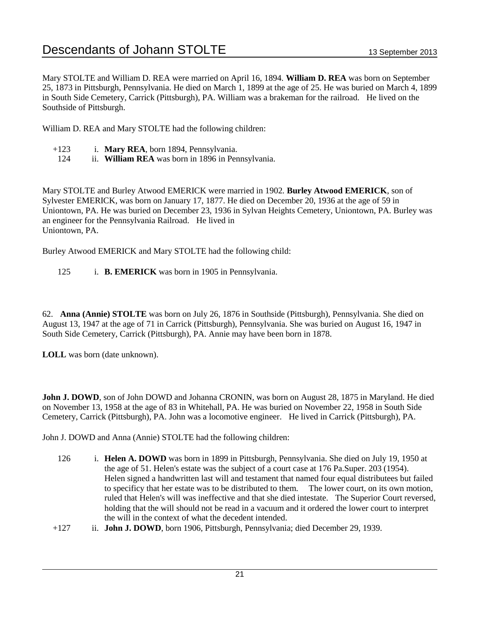Mary STOLTE and William D. REA were married on April 16, 1894. **William D. REA** was born on September 25, 1873 in Pittsburgh, Pennsylvania. He died on March 1, 1899 at the age of 25. He was buried on March 4, 1899 in South Side Cemetery, Carrick (Pittsburgh), PA. William was a brakeman for the railroad. He lived on the Southside of Pittsburgh.

William D. REA and Mary STOLTE had the following children:

- +123 i. **Mary REA**, born 1894, Pennsylvania.
- 124 ii. **William REA** was born in 1896 in Pennsylvania.

Mary STOLTE and Burley Atwood EMERICK were married in 1902. **Burley Atwood EMERICK**, son of Sylvester EMERICK, was born on January 17, 1877. He died on December 20, 1936 at the age of 59 in Uniontown, PA. He was buried on December 23, 1936 in Sylvan Heights Cemetery, Uniontown, PA. Burley was an engineer for the Pennsylvania Railroad. He lived in Uniontown, PA.

Burley Atwood EMERICK and Mary STOLTE had the following child:

125 i. **B. EMERICK** was born in 1905 in Pennsylvania.

62. **Anna (Annie) STOLTE** was born on July 26, 1876 in Southside (Pittsburgh), Pennsylvania. She died on August 13, 1947 at the age of 71 in Carrick (Pittsburgh), Pennsylvania. She was buried on August 16, 1947 in South Side Cemetery, Carrick (Pittsburgh), PA. Annie may have been born in 1878.

**LOLL** was born (date unknown).

**John J. DOWD**, son of John DOWD and Johanna CRONIN, was born on August 28, 1875 in Maryland. He died on November 13, 1958 at the age of 83 in Whitehall, PA. He was buried on November 22, 1958 in South Side Cemetery, Carrick (Pittsburgh), PA. John was a locomotive engineer. He lived in Carrick (Pittsburgh), PA.

John J. DOWD and Anna (Annie) STOLTE had the following children:

- 126 i. **Helen A. DOWD** was born in 1899 in Pittsburgh, Pennsylvania. She died on July 19, 1950 at the age of 51. Helen's estate was the subject of a court case at 176 Pa.Super. 203 (1954). Helen signed a handwritten last will and testament that named four equal distributees but failed to specificy that her estate was to be distributed to them. The lower court, on its own motion, ruled that Helen's will was ineffective and that she died intestate. The Superior Court reversed, holding that the will should not be read in a vacuum and it ordered the lower court to interpret the will in the context of what the decedent intended.
- +127 ii. **John J. DOWD**, born 1906, Pittsburgh, Pennsylvania; died December 29, 1939.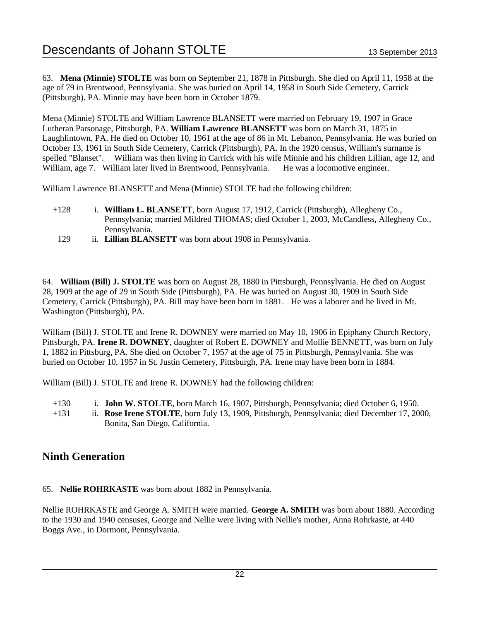63. **Mena (Minnie) STOLTE** was born on September 21, 1878 in Pittsburgh. She died on April 11, 1958 at the age of 79 in Brentwood, Pennsylvania. She was buried on April 14, 1958 in South Side Cemetery, Carrick (Pittsburgh). PA. Minnie may have been born in October 1879.

Mena (Minnie) STOLTE and William Lawrence BLANSETT were married on February 19, 1907 in Grace Lutheran Parsonage, Pittsburgh, PA. **William Lawrence BLANSETT** was born on March 31, 1875 in Laughlintown, PA. He died on October 10, 1961 at the age of 86 in Mt. Lebanon, Pennsylvania. He was buried on October 13, 1961 in South Side Cemetery, Carrick (Pittsburgh), PA. In the 1920 census, William's surname is spelled "Blanset". William was then living in Carrick with his wife Minnie and his children Lillian, age 12, and William, age 7. William later lived in Brentwood, Pennsylvania. He was a locomotive engineer.

William Lawrence BLANSETT and Mena (Minnie) STOLTE had the following children:

- +128 i. **William L. BLANSETT**, born August 17, 1912, Carrick (Pittsburgh), Allegheny Co., Pennsylvania; married Mildred THOMAS; died October 1, 2003, McCandless, Allegheny Co., Pennsylvania.
	- 129 ii. **Lillian BLANSETT** was born about 1908 in Pennsylvania.

64. **William (Bill) J. STOLTE** was born on August 28, 1880 in Pittsburgh, Pennsylvania. He died on August 28, 1909 at the age of 29 in South Side (Pittsburgh), PA. He was buried on August 30, 1909 in South Side Cemetery, Carrick (Pittsburgh), PA. Bill may have been born in 1881. He was a laborer and he lived in Mt. Washington (Pittsburgh), PA.

William (Bill) J. STOLTE and Irene R. DOWNEY were married on May 10, 1906 in Epiphany Church Rectory, Pittsburgh, PA. **Irene R. DOWNEY**, daughter of Robert E. DOWNEY and Mollie BENNETT, was born on July 1, 1882 in Pittsburg, PA. She died on October 7, 1957 at the age of 75 in Pittsburgh, Pennsylvania. She was buried on October 10, 1957 in St. Justin Cemetery, Pittsburgh, PA. Irene may have been born in 1884.

William (Bill) J. STOLTE and Irene R. DOWNEY had the following children:

+130 i. **John W. STOLTE**, born March 16, 1907, Pittsburgh, Pennsylvania; died October 6, 1950.

+131 ii. **Rose Irene STOLTE**, born July 13, 1909, Pittsburgh, Pennsylvania; died December 17, 2000, Bonita, San Diego, California.

## **Ninth Generation**

65. **Nellie ROHRKASTE** was born about 1882 in Pennsylvania.

Nellie ROHRKASTE and George A. SMITH were married. **George A. SMITH** was born about 1880. According to the 1930 and 1940 censuses, George and Nellie were living with Nellie's mother, Anna Rohrkaste, at 440 Boggs Ave., in Dormont, Pennsylvania.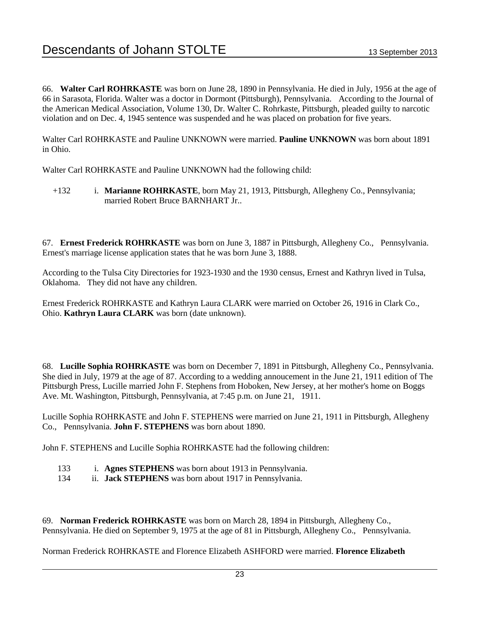66. **Walter Carl ROHRKASTE** was born on June 28, 1890 in Pennsylvania. He died in July, 1956 at the age of 66 in Sarasota, Florida. Walter was a doctor in Dormont (Pittsburgh), Pennsylvania. According to the Journal of the American Medical Association, Volume 130, Dr. Walter C. Rohrkaste, Pittsburgh, pleaded guilty to narcotic violation and on Dec. 4, 1945 sentence was suspended and he was placed on probation for five years.

Walter Carl ROHRKASTE and Pauline UNKNOWN were married. **Pauline UNKNOWN** was born about 1891 in Ohio.

Walter Carl ROHRKASTE and Pauline UNKNOWN had the following child:

+132 i. **Marianne ROHRKASTE**, born May 21, 1913, Pittsburgh, Allegheny Co., Pennsylvania; married Robert Bruce BARNHART Jr..

67. **Ernest Frederick ROHRKASTE** was born on June 3, 1887 in Pittsburgh, Allegheny Co., Pennsylvania. Ernest's marriage license application states that he was born June 3, 1888.

According to the Tulsa City Directories for 1923-1930 and the 1930 census, Ernest and Kathryn lived in Tulsa, Oklahoma. They did not have any children.

Ernest Frederick ROHRKASTE and Kathryn Laura CLARK were married on October 26, 1916 in Clark Co., Ohio. **Kathryn Laura CLARK** was born (date unknown).

68. **Lucille Sophia ROHRKASTE** was born on December 7, 1891 in Pittsburgh, Allegheny Co., Pennsylvania. She died in July, 1979 at the age of 87. According to a wedding annoucement in the June 21, 1911 edition of The Pittsburgh Press, Lucille married John F. Stephens from Hoboken, New Jersey, at her mother's home on Boggs Ave. Mt. Washington, Pittsburgh, Pennsylvania, at 7:45 p.m. on June 21, 1911.

Lucille Sophia ROHRKASTE and John F. STEPHENS were married on June 21, 1911 in Pittsburgh, Allegheny Co., Pennsylvania. **John F. STEPHENS** was born about 1890.

John F. STEPHENS and Lucille Sophia ROHRKASTE had the following children:

- 133 i. **Agnes STEPHENS** was born about 1913 in Pennsylvania.
- 134 ii. **Jack STEPHENS** was born about 1917 in Pennsylvania.

69. **Norman Frederick ROHRKASTE** was born on March 28, 1894 in Pittsburgh, Allegheny Co., Pennsylvania. He died on September 9, 1975 at the age of 81 in Pittsburgh, Allegheny Co., Pennsylvania.

Norman Frederick ROHRKASTE and Florence Elizabeth ASHFORD were married. **Florence Elizabeth**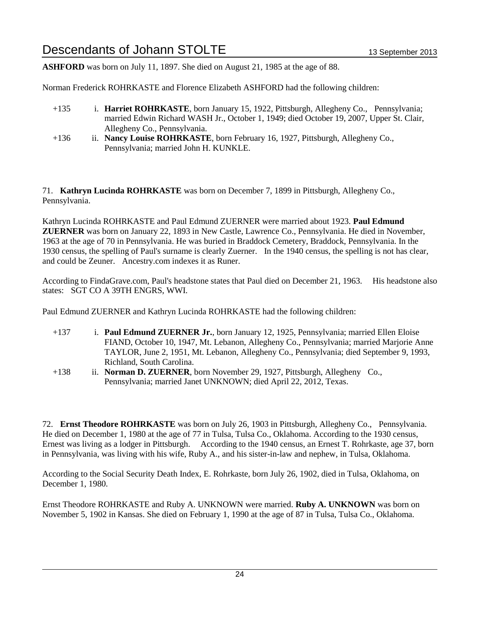**ASHFORD** was born on July 11, 1897. She died on August 21, 1985 at the age of 88.

Norman Frederick ROHRKASTE and Florence Elizabeth ASHFORD had the following children:

- +135 i. **Harriet ROHRKASTE**, born January 15, 1922, Pittsburgh, Allegheny Co., Pennsylvania; married Edwin Richard WASH Jr., October 1, 1949; died October 19, 2007, Upper St. Clair, Allegheny Co., Pennsylvania.
- +136 ii. **Nancy Louise ROHRKASTE**, born February 16, 1927, Pittsburgh, Allegheny Co., Pennsylvania; married John H. KUNKLE.

71. **Kathryn Lucinda ROHRKASTE** was born on December 7, 1899 in Pittsburgh, Allegheny Co., Pennsylvania.

Kathryn Lucinda ROHRKASTE and Paul Edmund ZUERNER were married about 1923. **Paul Edmund ZUERNER** was born on January 22, 1893 in New Castle, Lawrence Co., Pennsylvania. He died in November, 1963 at the age of 70 in Pennsylvania. He was buried in Braddock Cemetery, Braddock, Pennsylvania. In the 1930 census, the spelling of Paul's surname is clearly Zuerner. In the 1940 census, the spelling is not has clear, and could be Zeuner. Ancestry.com indexes it as Runer.

According to FindaGrave.com, Paul's headstone states that Paul died on December 21, 1963. His headstone also states: SGT CO A 39TH ENGRS, WWI.

Paul Edmund ZUERNER and Kathryn Lucinda ROHRKASTE had the following children:

- +137 i. **Paul Edmund ZUERNER Jr.**, born January 12, 1925, Pennsylvania; married Ellen Eloise FIAND, October 10, 1947, Mt. Lebanon, Allegheny Co., Pennsylvania; married Marjorie Anne TAYLOR, June 2, 1951, Mt. Lebanon, Allegheny Co., Pennsylvania; died September 9, 1993, Richland, South Carolina.
- +138 ii. **Norman D. ZUERNER**, born November 29, 1927, Pittsburgh, Allegheny Co., Pennsylvania; married Janet UNKNOWN; died April 22, 2012, Texas.

72. **Ernst Theodore ROHRKASTE** was born on July 26, 1903 in Pittsburgh, Allegheny Co., Pennsylvania. He died on December 1, 1980 at the age of 77 in Tulsa, Tulsa Co., Oklahoma. According to the 1930 census, Ernest was living as a lodger in Pittsburgh. According to the 1940 census, an Ernest T. Rohrkaste, age 37, born in Pennsylvania, was living with his wife, Ruby A., and his sister-in-law and nephew, in Tulsa, Oklahoma.

According to the Social Security Death Index, E. Rohrkaste, born July 26, 1902, died in Tulsa, Oklahoma, on December 1, 1980.

Ernst Theodore ROHRKASTE and Ruby A. UNKNOWN were married. **Ruby A. UNKNOWN** was born on November 5, 1902 in Kansas. She died on February 1, 1990 at the age of 87 in Tulsa, Tulsa Co., Oklahoma.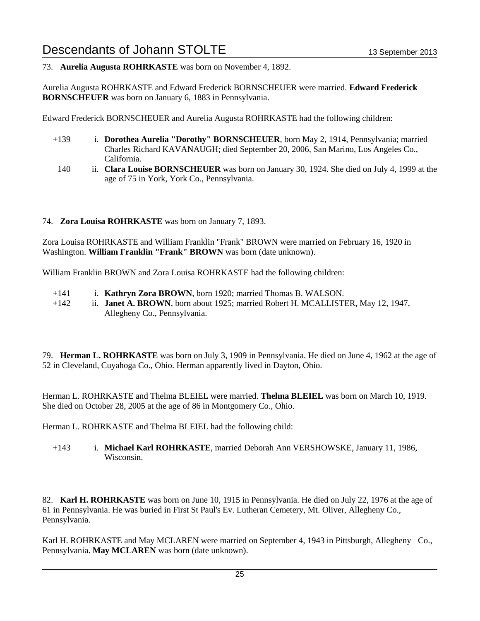#### 73. **Aurelia Augusta ROHRKASTE** was born on November 4, 1892.

Aurelia Augusta ROHRKASTE and Edward Frederick BORNSCHEUER were married. **Edward Frederick BORNSCHEUER** was born on January 6, 1883 in Pennsylvania.

Edward Frederick BORNSCHEUER and Aurelia Augusta ROHRKASTE had the following children:

- +139 i. **Dorothea Aurelia "Dorothy" BORNSCHEUER**, born May 2, 1914, Pennsylvania; married Charles Richard KAVANAUGH; died September 20, 2006, San Marino, Los Angeles Co., California.
	- 140 ii. **Clara Louise BORNSCHEUER** was born on January 30, 1924. She died on July 4, 1999 at the age of 75 in York, York Co., Pennsylvania.

#### 74. **Zora Louisa ROHRKASTE** was born on January 7, 1893.

Zora Louisa ROHRKASTE and William Franklin "Frank" BROWN were married on February 16, 1920 in Washington. **William Franklin "Frank" BROWN** was born (date unknown).

William Franklin BROWN and Zora Louisa ROHRKASTE had the following children:

- +141 i. **Kathryn Zora BROWN**, born 1920; married Thomas B. WALSON.
- +142 ii. **Janet A. BROWN**, born about 1925; married Robert H. MCALLISTER, May 12, 1947, Allegheny Co., Pennsylvania.

79. **Herman L. ROHRKASTE** was born on July 3, 1909 in Pennsylvania. He died on June 4, 1962 at the age of 52 in Cleveland, Cuyahoga Co., Ohio. Herman apparently lived in Dayton, Ohio.

Herman L. ROHRKASTE and Thelma BLEIEL were married. **Thelma BLEIEL** was born on March 10, 1919. She died on October 28, 2005 at the age of 86 in Montgomery Co., Ohio.

Herman L. ROHRKASTE and Thelma BLEIEL had the following child:

+143 i. **Michael Karl ROHRKASTE**, married Deborah Ann VERSHOWSKE, January 11, 1986, Wisconsin.

82. **Karl H. ROHRKASTE** was born on June 10, 1915 in Pennsylvania. He died on July 22, 1976 at the age of 61 in Pennsylvania. He was buried in First St Paul's Ev. Lutheran Cemetery, Mt. Oliver, Allegheny Co., Pennsylvania.

Karl H. ROHRKASTE and May MCLAREN were married on September 4, 1943 in Pittsburgh, Allegheny Co., Pennsylvania. **May MCLAREN** was born (date unknown).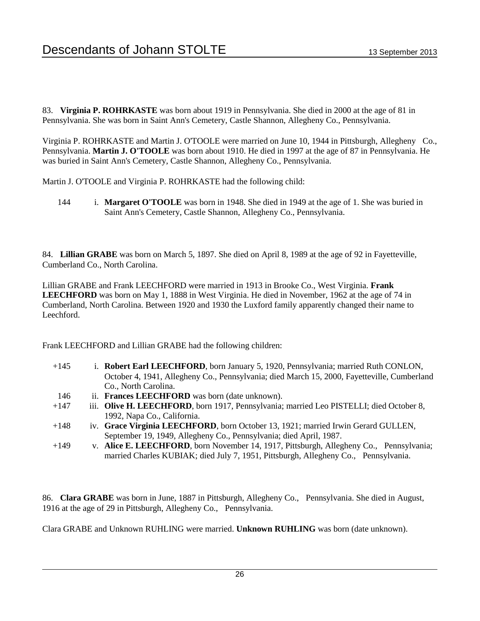83. **Virginia P. ROHRKASTE** was born about 1919 in Pennsylvania. She died in 2000 at the age of 81 in Pennsylvania. She was born in Saint Ann's Cemetery, Castle Shannon, Allegheny Co., Pennsylvania.

Virginia P. ROHRKASTE and Martin J. O'TOOLE were married on June 10, 1944 in Pittsburgh, Allegheny Co., Pennsylvania. **Martin J. O'TOOLE** was born about 1910. He died in 1997 at the age of 87 in Pennsylvania. He was buried in Saint Ann's Cemetery, Castle Shannon, Allegheny Co., Pennsylvania.

Martin J. O'TOOLE and Virginia P. ROHRKASTE had the following child:

144 i. **Margaret O'TOOLE** was born in 1948. She died in 1949 at the age of 1. She was buried in Saint Ann's Cemetery, Castle Shannon, Allegheny Co., Pennsylvania.

84. **Lillian GRABE** was born on March 5, 1897. She died on April 8, 1989 at the age of 92 in Fayetteville, Cumberland Co., North Carolina.

Lillian GRABE and Frank LEECHFORD were married in 1913 in Brooke Co., West Virginia. **Frank LEECHFORD** was born on May 1, 1888 in West Virginia. He died in November, 1962 at the age of 74 in Cumberland, North Carolina. Between 1920 and 1930 the Luxford family apparently changed their name to Leechford.

Frank LEECHFORD and Lillian GRABE had the following children:

- +145 i. **Robert Earl LEECHFORD**, born January 5, 1920, Pennsylvania; married Ruth CONLON, October 4, 1941, Allegheny Co., Pennsylvania; died March 15, 2000, Fayetteville, Cumberland Co., North Carolina.
- 146 ii. **Frances LEECHFORD** was born (date unknown).
- +147 iii. **Olive H. LEECHFORD**, born 1917, Pennsylvania; married Leo PISTELLI; died October 8, 1992, Napa Co., California.
- +148 iv. **Grace Virginia LEECHFORD**, born October 13, 1921; married Irwin Gerard GULLEN, September 19, 1949, Allegheny Co., Pennsylvania; died April, 1987.
- +149 v. **Alice E. LEECHFORD**, born November 14, 1917, Pittsburgh, Allegheny Co., Pennsylvania; married Charles KUBIAK; died July 7, 1951, Pittsburgh, Allegheny Co., Pennsylvania.

86. **Clara GRABE** was born in June, 1887 in Pittsburgh, Allegheny Co., Pennsylvania. She died in August, 1916 at the age of 29 in Pittsburgh, Allegheny Co., Pennsylvania.

Clara GRABE and Unknown RUHLING were married. **Unknown RUHLING** was born (date unknown).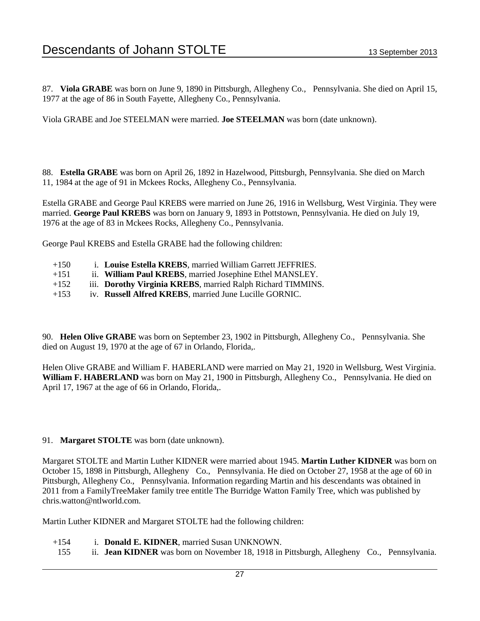87. **Viola GRABE** was born on June 9, 1890 in Pittsburgh, Allegheny Co., Pennsylvania. She died on April 15, 1977 at the age of 86 in South Fayette, Allegheny Co., Pennsylvania.

Viola GRABE and Joe STEELMAN were married. **Joe STEELMAN** was born (date unknown).

88. **Estella GRABE** was born on April 26, 1892 in Hazelwood, Pittsburgh, Pennsylvania. She died on March 11, 1984 at the age of 91 in Mckees Rocks, Allegheny Co., Pennsylvania.

Estella GRABE and George Paul KREBS were married on June 26, 1916 in Wellsburg, West Virginia. They were married. **George Paul KREBS** was born on January 9, 1893 in Pottstown, Pennsylvania. He died on July 19, 1976 at the age of 83 in Mckees Rocks, Allegheny Co., Pennsylvania.

George Paul KREBS and Estella GRABE had the following children:

- +150 i. **Louise Estella KREBS**, married William Garrett JEFFRIES.
- +151 ii. **William Paul KREBS**, married Josephine Ethel MANSLEY.
- +152 iii. **Dorothy Virginia KREBS**, married Ralph Richard TIMMINS.
- +153 iv. **Russell Alfred KREBS**, married June Lucille GORNIC.

90. **Helen Olive GRABE** was born on September 23, 1902 in Pittsburgh, Allegheny Co., Pennsylvania. She died on August 19, 1970 at the age of 67 in Orlando, Florida,.

Helen Olive GRABE and William F. HABERLAND were married on May 21, 1920 in Wellsburg, West Virginia. **William F. HABERLAND** was born on May 21, 1900 in Pittsburgh, Allegheny Co., Pennsylvania. He died on April 17, 1967 at the age of 66 in Orlando, Florida,.

#### 91. **Margaret STOLTE** was born (date unknown).

Margaret STOLTE and Martin Luther KIDNER were married about 1945. **Martin Luther KIDNER** was born on October 15, 1898 in Pittsburgh, Allegheny Co., Pennsylvania. He died on October 27, 1958 at the age of 60 in Pittsburgh, Allegheny Co., Pennsylvania. Information regarding Martin and his descendants was obtained in 2011 from a FamilyTreeMaker family tree entitle The Burridge Watton Family Tree, which was published by chris.watton@ntlworld.com.

Martin Luther KIDNER and Margaret STOLTE had the following children:

- +154 i. **Donald E. KIDNER**, married Susan UNKNOWN.
- 155 ii. **Jean KIDNER** was born on November 18, 1918 in Pittsburgh, Allegheny Co., Pennsylvania.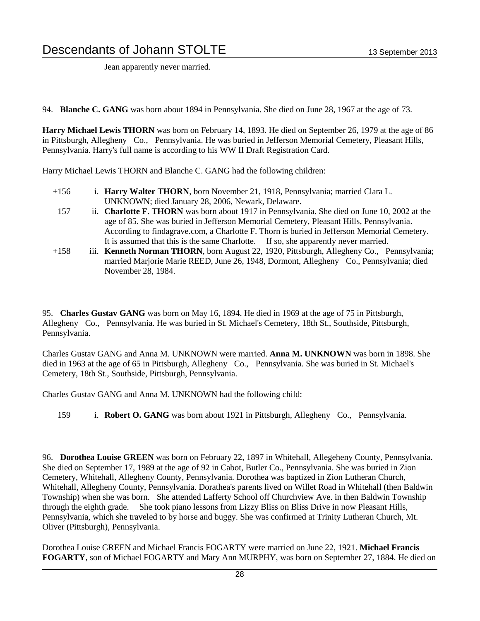Jean apparently never married.

94. **Blanche C. GANG** was born about 1894 in Pennsylvania. She died on June 28, 1967 at the age of 73.

**Harry Michael Lewis THORN** was born on February 14, 1893. He died on September 26, 1979 at the age of 86 in Pittsburgh, Allegheny Co., Pennsylvania. He was buried in Jefferson Memorial Cemetery, Pleasant Hills, Pennsylvania. Harry's full name is according to his WW II Draft Registration Card.

Harry Michael Lewis THORN and Blanche C. GANG had the following children:

- +156 i. **Harry Walter THORN**, born November 21, 1918, Pennsylvania; married Clara L. UNKNOWN; died January 28, 2006, Newark, Delaware.
	- 157 ii. **Charlotte F. THORN** was born about 1917 in Pennsylvania. She died on June 10, 2002 at the age of 85. She was buried in Jefferson Memorial Cemetery, Pleasant Hills, Pennsylvania. According to findagrave.com, a Charlotte F. Thorn is buried in Jefferson Memorial Cemetery. It is assumed that this is the same Charlotte. If so, she apparently never married.
- +158 iii. **Kenneth Norman THORN**, born August 22, 1920, Pittsburgh, Allegheny Co., Pennsylvania; married Marjorie Marie REED, June 26, 1948, Dormont, Allegheny Co., Pennsylvania; died November 28, 1984.

95. **Charles Gustav GANG** was born on May 16, 1894. He died in 1969 at the age of 75 in Pittsburgh, Allegheny Co., Pennsylvania. He was buried in St. Michael's Cemetery, 18th St., Southside, Pittsburgh, Pennsylvania.

Charles Gustav GANG and Anna M. UNKNOWN were married. **Anna M. UNKNOWN** was born in 1898. She died in 1963 at the age of 65 in Pittsburgh, Allegheny Co., Pennsylvania. She was buried in St. Michael's Cemetery, 18th St., Southside, Pittsburgh, Pennsylvania.

Charles Gustav GANG and Anna M. UNKNOWN had the following child:

159 i. **Robert O. GANG** was born about 1921 in Pittsburgh, Allegheny Co., Pennsylvania.

96. **Dorothea Louise GREEN** was born on February 22, 1897 in Whitehall, Allegeheny County, Pennsylvania. She died on September 17, 1989 at the age of 92 in Cabot, Butler Co., Pennsylvania. She was buried in Zion Cemetery, Whitehall, Allegheny County, Pennsylvania. Dorothea was baptized in Zion Lutheran Church, Whitehall, Allegheny County, Pennsylvania. Dorathea's parents lived on Willet Road in Whitehall (then Baldwin Township) when she was born. She attended Lafferty School off Churchview Ave. in then Baldwin Township through the eighth grade. She took piano lessons from Lizzy Bliss on Bliss Drive in now Pleasant Hills, Pennsylvania, which she traveled to by horse and buggy. She was confirmed at Trinity Lutheran Church, Mt. Oliver (Pittsburgh), Pennsylvania.

Dorothea Louise GREEN and Michael Francis FOGARTY were married on June 22, 1921. **Michael Francis FOGARTY**, son of Michael FOGARTY and Mary Ann MURPHY, was born on September 27, 1884. He died on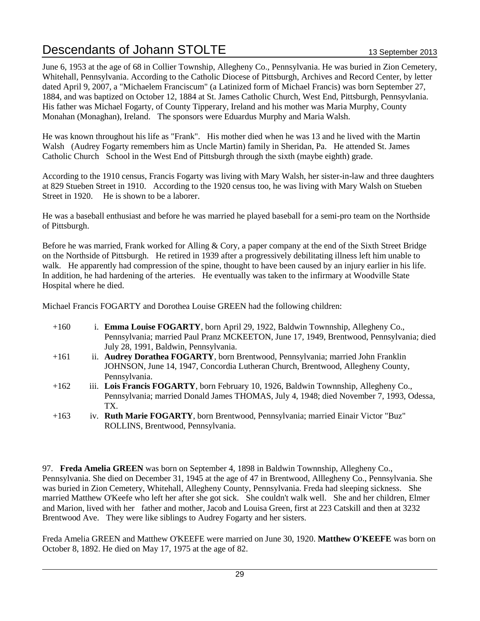June 6, 1953 at the age of 68 in Collier Township, Allegheny Co., Pennsylvania. He was buried in Zion Cemetery, Whitehall, Pennsylvania. According to the Catholic Diocese of Pittsburgh, Archives and Record Center, by letter dated April 9, 2007, a "Michaelem Franciscum" (a Latinized form of Michael Francis) was born September 27, 1884, and was baptized on October 12, 1884 at St. James Catholic Church, West End, Pittsburgh, Pennsyvlania. His father was Michael Fogarty, of County Tipperary, Ireland and his mother was Maria Murphy, County Monahan (Monaghan), Ireland. The sponsors were Eduardus Murphy and Maria Walsh.

He was known throughout his life as "Frank". His mother died when he was 13 and he lived with the Martin Walsh (Audrey Fogarty remembers him as Uncle Martin) family in Sheridan, Pa. He attended St. James Catholic Church School in the West End of Pittsburgh through the sixth (maybe eighth) grade.

According to the 1910 census, Francis Fogarty was living with Mary Walsh, her sister-in-law and three daughters at 829 Stueben Street in 1910. According to the 1920 census too, he was living with Mary Walsh on Stueben Street in 1920. He is shown to be a laborer.

He was a baseball enthusiast and before he was married he played baseball for a semi-pro team on the Northside of Pittsburgh.

Before he was married, Frank worked for Alling & Cory, a paper company at the end of the Sixth Street Bridge on the Northside of Pittsburgh. He retired in 1939 after a progressively debilitating illness left him unable to walk. He apparently had compression of the spine, thought to have been caused by an injury earlier in his life. In addition, he had hardening of the arteries. He eventually was taken to the infirmary at Woodville State Hospital where he died.

Michael Francis FOGARTY and Dorothea Louise GREEN had the following children:

- +160 i. **Emma Louise FOGARTY**, born April 29, 1922, Baldwin Townnship, Allegheny Co., Pennsylvania; married Paul Pranz MCKEETON, June 17, 1949, Brentwood, Pennsylvania; died July 28, 1991, Baldwin, Pennsylvania.
- +161 ii. **Audrey Dorathea FOGARTY**, born Brentwood, Pennsylvania; married John Franklin JOHNSON, June 14, 1947, Concordia Lutheran Church, Brentwood, Allegheny County, Pennsylvania.
- +162 iii. **Lois Francis FOGARTY**, born February 10, 1926, Baldwin Townnship, Allegheny Co., Pennsylvania; married Donald James THOMAS, July 4, 1948; died November 7, 1993, Odessa, TX.
- +163 iv. **Ruth Marie FOGARTY**, born Brentwood, Pennsylvania; married Einair Victor "Buz" ROLLINS, Brentwood, Pennsylvania.

97. **Freda Amelia GREEN** was born on September 4, 1898 in Baldwin Townnship, Allegheny Co., Pennsylvania. She died on December 31, 1945 at the age of 47 in Brentwood, Alllegheny Co., Pennsylvania. She was buried in Zion Cemetery, Whitehall, Allegheny County, Pennsylvania. Freda had sleeping sickness. She married Matthew O'Keefe who left her after she got sick. She couldn't walk well. She and her children, Elmer and Marion, lived with her father and mother, Jacob and Louisa Green, first at 223 Catskill and then at 3232 Brentwood Ave. They were like siblings to Audrey Fogarty and her sisters.

Freda Amelia GREEN and Matthew O'KEEFE were married on June 30, 1920. **Matthew O'KEEFE** was born on October 8, 1892. He died on May 17, 1975 at the age of 82.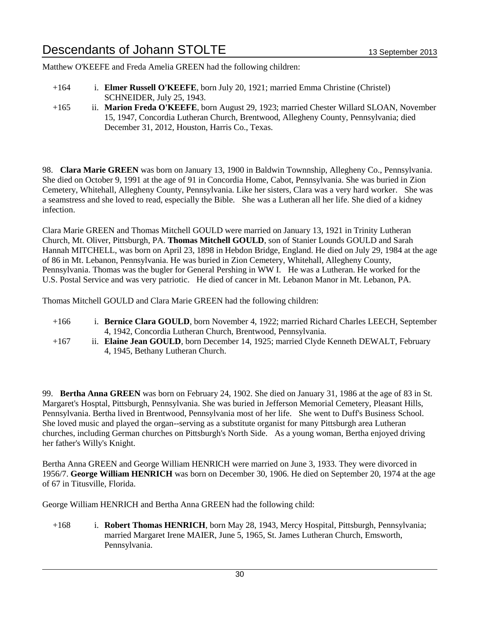Matthew O'KEEFE and Freda Amelia GREEN had the following children:

- +164 i. **Elmer Russell O'KEEFE**, born July 20, 1921; married Emma Christine (Christel) SCHNEIDER, July 25, 1943.
- +165 ii. **Marion Freda O'KEEFE**, born August 29, 1923; married Chester Willard SLOAN, November 15, 1947, Concordia Lutheran Church, Brentwood, Allegheny County, Pennsylvania; died December 31, 2012, Houston, Harris Co., Texas.

98. **Clara Marie GREEN** was born on January 13, 1900 in Baldwin Townnship, Allegheny Co., Pennsylvania. She died on October 9, 1991 at the age of 91 in Concordia Home, Cabot, Pennsylvania. She was buried in Zion Cemetery, Whitehall, Allegheny County, Pennsylvania. Like her sisters, Clara was a very hard worker. She was a seamstress and she loved to read, especially the Bible. She was a Lutheran all her life. She died of a kidney infection.

Clara Marie GREEN and Thomas Mitchell GOULD were married on January 13, 1921 in Trinity Lutheran Church, Mt. Oliver, Pittsburgh, PA. **Thomas Mitchell GOULD**, son of Stanier Lounds GOULD and Sarah Hannah MITCHELL, was born on April 23, 1898 in Hebdon Bridge, England. He died on July 29, 1984 at the age of 86 in Mt. Lebanon, Pennsylvania. He was buried in Zion Cemetery, Whitehall, Allegheny County, Pennsylvania. Thomas was the bugler for General Pershing in WW I. He was a Lutheran. He worked for the U.S. Postal Service and was very patriotic. He died of cancer in Mt. Lebanon Manor in Mt. Lebanon, PA.

Thomas Mitchell GOULD and Clara Marie GREEN had the following children:

- +166 i. **Bernice Clara GOULD**, born November 4, 1922; married Richard Charles LEECH, September 4, 1942, Concordia Lutheran Church, Brentwood, Pennsylvania.
- +167 ii. **Elaine Jean GOULD**, born December 14, 1925; married Clyde Kenneth DEWALT, February 4, 1945, Bethany Lutheran Church.

99. **Bertha Anna GREEN** was born on February 24, 1902. She died on January 31, 1986 at the age of 83 in St. Margaret's Hosptal, Pittsburgh, Pennsylvania. She was buried in Jefferson Memorial Cemetery, Pleasant Hills, Pennsylvania. Bertha lived in Brentwood, Pennsylvania most of her life. She went to Duff's Business School. She loved music and played the organ--serving as a substitute organist for many Pittsburgh area Lutheran churches, including German churches on Pittsburgh's North Side. As a young woman, Bertha enjoyed driving her father's Willy's Knight.

Bertha Anna GREEN and George William HENRICH were married on June 3, 1933. They were divorced in 1956/7. **George William HENRICH** was born on December 30, 1906. He died on September 20, 1974 at the age of 67 in Titusville, Florida.

George William HENRICH and Bertha Anna GREEN had the following child:

+168 i. **Robert Thomas HENRICH**, born May 28, 1943, Mercy Hospital, Pittsburgh, Pennsylvania; married Margaret Irene MAIER, June 5, 1965, St. James Lutheran Church, Emsworth, Pennsylvania.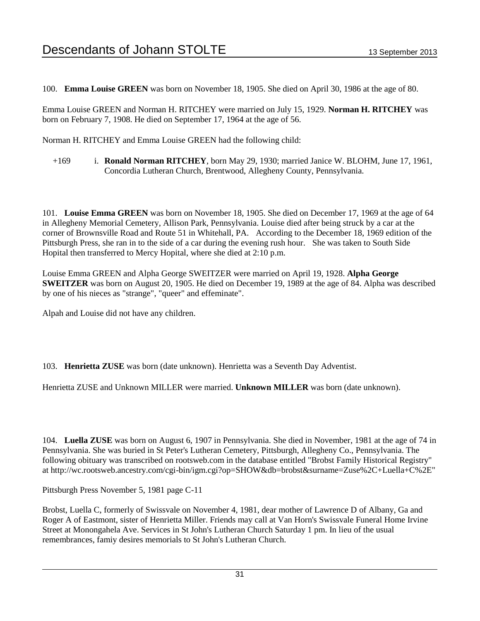100. **Emma Louise GREEN** was born on November 18, 1905. She died on April 30, 1986 at the age of 80.

Emma Louise GREEN and Norman H. RITCHEY were married on July 15, 1929. **Norman H. RITCHEY** was born on February 7, 1908. He died on September 17, 1964 at the age of 56.

Norman H. RITCHEY and Emma Louise GREEN had the following child:

+169 i. **Ronald Norman RITCHEY**, born May 29, 1930; married Janice W. BLOHM, June 17, 1961, Concordia Lutheran Church, Brentwood, Allegheny County, Pennsylvania.

101. **Louise Emma GREEN** was born on November 18, 1905. She died on December 17, 1969 at the age of 64 in Allegheny Memorial Cemetery, Allison Park, Pennsylvania. Louise died after being struck by a car at the corner of Brownsville Road and Route 51 in Whitehall, PA. According to the December 18, 1969 edition of the Pittsburgh Press, she ran in to the side of a car during the evening rush hour. She was taken to South Side Hopital then transferred to Mercy Hopital, where she died at 2:10 p.m.

Louise Emma GREEN and Alpha George SWEITZER were married on April 19, 1928. **Alpha George SWEITZER** was born on August 20, 1905. He died on December 19, 1989 at the age of 84. Alpha was described by one of his nieces as "strange", "queer" and effeminate".

Alpah and Louise did not have any children.

103. **Henrietta ZUSE** was born (date unknown). Henrietta was a Seventh Day Adventist.

Henrietta ZUSE and Unknown MILLER were married. **Unknown MILLER** was born (date unknown).

104. **Luella ZUSE** was born on August 6, 1907 in Pennsylvania. She died in November, 1981 at the age of 74 in Pennsylvania. She was buried in St Peter's Lutheran Cemetery, Pittsburgh, Allegheny Co., Pennsylvania. The following obituary was transcribed on rootsweb.com in the database entitled "Brobst Family Historical Registry" at http://wc.rootsweb.ancestry.com/cgi-bin/igm.cgi?op=SHOW&db=brobst&surname=Zuse%2C+Luella+C%2E"

Pittsburgh Press November 5, 1981 page C-11

Brobst, Luella C, formerly of Swissvale on November 4, 1981, dear mother of Lawrence D of Albany, Ga and Roger A of Eastmont, sister of Henrietta Miller. Friends may call at Van Horn's Swissvale Funeral Home Irvine Street at Monongahela Ave. Services in St John's Lutheran Church Saturday 1 pm. In lieu of the usual remembrances, famiy desires memorials to St John's Lutheran Church.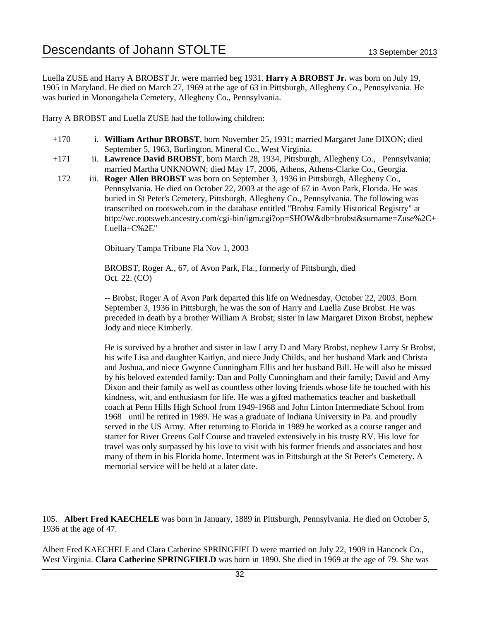Luella ZUSE and Harry A BROBST Jr. were married beg 1931. **Harry A BROBST Jr.** was born on July 19, 1905 in Maryland. He died on March 27, 1969 at the age of 63 in Pittsburgh, Allegheny Co., Pennsylvania. He was buried in Monongahela Cemetery, Allegheny Co., Pennsylvania.

Harry A BROBST and Luella ZUSE had the following children:

- +170 i. **William Arthur BROBST**, born November 25, 1931; married Margaret Jane DIXON; died September 5, 1963, Burlington, Mineral Co., West Virginia.
- +171 ii. **Lawrence David BROBST**, born March 28, 1934, Pittsburgh, Allegheny Co., Pennsylvania; married Martha UNKNOWN; died May 17, 2006, Athens, Athens-Clarke Co., Georgia.
- 172 iii. **Roger Allen BROBST** was born on September 3, 1936 in Pittsburgh, Allegheny Co., Pennsylvania. He died on October 22, 2003 at the age of 67 in Avon Park, Florida. He was buried in St Peter's Cemetery, Pittsburgh, Allegheny Co., Pennsylvania. The following was transcribed on rootsweb.com in the database entitled "Brobst Family Historical Registry" at http://wc.rootsweb.ancestry.com/cgi-bin/igm.cgi?op=SHOW&db=brobst&surname=Zuse%2C+ Luella+C%2E"

Obituary Tampa Tribune Fla Nov 1, 2003

BROBST, Roger A., 67, of Avon Park, Fla., formerly of Pittsburgh, died Oct. 22. (CO)

-- Brobst, Roger A of Avon Park departed this life on Wednesday, October 22, 2003. Born September 3, 1936 in Pittsburgh, he was the son of Harry and Luella Zuse Brobst. He was preceded in death by a brother William A Brobst; sister in law Margaret Dixon Brobst, nephew Jody and niece Kimberly.

He is survived by a brother and sister in law Larry D and Mary Brobst, nephew Larry St Brobst, his wife Lisa and daughter Kaitlyn, and niece Judy Childs, and her husband Mark and Christa and Joshua, and niece Gwynne Cunningham Ellis and her husband Bill. He will also be missed by his beloved extended family: Dan and Polly Cunningham and their family; David and Amy Dixon and their family as well as countless other loving friends whose life he touched with his kindness, wit, and enthusiasm for life. He was a gifted mathematics teacher and basketball coach at Penn Hills High School from 1949-1968 and John Linton Intermediate School from 1968 until he retired in 1989. He was a graduate of Indiana University in Pa. and proudly served in the US Army. After returning to Florida in 1989 he worked as a course ranger and starter for River Greens Golf Course and traveled extensively in his trusty RV. His love for travel was only surpassed by his love to visit with his former friends and associates and host many of them in his Florida home. Interment was in Pittsburgh at the St Peter's Cemetery. A memorial service will be held at a later date.

105. **Albert Fred KAECHELE** was born in January, 1889 in Pittsburgh, Pennsylvania. He died on October 5, 1936 at the age of 47.

Albert Fred KAECHELE and Clara Catherine SPRINGFIELD were married on July 22, 1909 in Hancock Co., West Virginia. **Clara Catherine SPRINGFIELD** was born in 1890. She died in 1969 at the age of 79. She was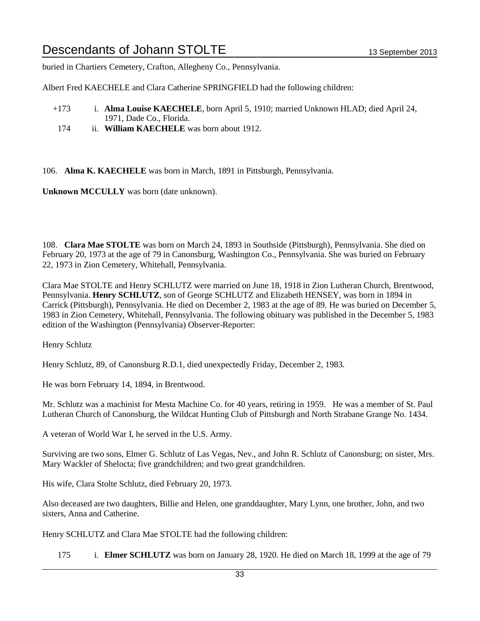buried in Chartiers Cemetery, Crafton, Allegheny Co., Pennsylvania.

Albert Fred KAECHELE and Clara Catherine SPRINGFIELD had the following children:

- +173 i. **Alma Louise KAECHELE**, born April 5, 1910; married Unknown HLAD; died April 24, 1971, Dade Co., Florida.
	- 174 ii. **William KAECHELE** was born about 1912.

106. **Alma K. KAECHELE** was born in March, 1891 in Pittsburgh, Pennsylvania.

**Unknown MCCULLY** was born (date unknown).

108. **Clara Mae STOLTE** was born on March 24, 1893 in Southside (Pittsburgh), Pennsylvania. She died on February 20, 1973 at the age of 79 in Canonsburg, Washington Co., Pennsylvania. She was buried on February 22, 1973 in Zion Cemetery, Whitehall, Pennsylvania.

Clara Mae STOLTE and Henry SCHLUTZ were married on June 18, 1918 in Zion Lutheran Church, Brentwood, Pennsylvania. **Henry SCHLUTZ**, son of George SCHLUTZ and Elizabeth HENSEY, was born in 1894 in Carrick (Pittsburgh), Pennsylvania. He died on December 2, 1983 at the age of 89. He was buried on December 5, 1983 in Zion Cemetery, Whitehall, Pennsylvania. The following obituary was published in the December 5, 1983 edition of the Washington (Pennsylvania) Observer-Reporter:

Henry Schlutz

Henry Schlutz, 89, of Canonsburg R.D.1, died unexpectedly Friday, December 2, 1983.

He was born February 14, 1894, in Brentwood.

Mr. Schlutz was a machinist for Mesta Machine Co. for 40 years, retiring in 1959. He was a member of St. Paul Lutheran Church of Canonsburg, the Wildcat Hunting Club of Pittsburgh and North Strabane Grange No. 1434.

A veteran of World War I, he served in the U.S. Army.

Surviving are two sons, Elmer G. Schlutz of Las Vegas, Nev., and John R. Schlutz of Canonsburg; on sister, Mrs. Mary Wackler of Shelocta; five grandchildren; and two great grandchildren.

His wife, Clara Stolte Schlutz, died February 20, 1973.

Also deceased are two daughters, Billie and Helen, one granddaughter, Mary Lynn, one brother, John, and two sisters, Anna and Catherine.

Henry SCHLUTZ and Clara Mae STOLTE had the following children:

175 i. **Elmer SCHLUTZ** was born on January 28, 1920. He died on March 18, 1999 at the age of 79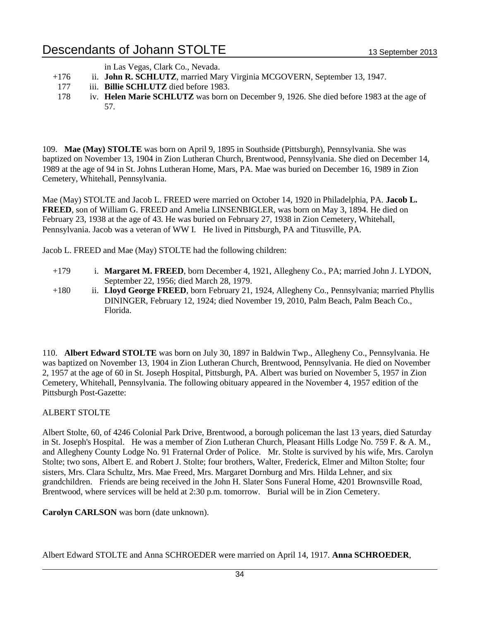in Las Vegas, Clark Co., Nevada.

- +176 ii. **John R. SCHLUTZ**, married Mary Virginia MCGOVERN, September 13, 1947.
- 177 iii. **Billie SCHLUTZ** died before 1983.
- 178 iv. **Helen Marie SCHLUTZ** was born on December 9, 1926. She died before 1983 at the age of 57.

109. **Mae (May) STOLTE** was born on April 9, 1895 in Southside (Pittsburgh), Pennsylvania. She was baptized on November 13, 1904 in Zion Lutheran Church, Brentwood, Pennsylvania. She died on December 14, 1989 at the age of 94 in St. Johns Lutheran Home, Mars, PA. Mae was buried on December 16, 1989 in Zion Cemetery, Whitehall, Pennsylvania.

Mae (May) STOLTE and Jacob L. FREED were married on October 14, 1920 in Philadelphia, PA. **Jacob L. FREED**, son of William G. FREED and Amelia LINSENBIGLER, was born on May 3, 1894. He died on February 23, 1938 at the age of 43. He was buried on February 27, 1938 in Zion Cemetery, Whitehall, Pennsylvania. Jacob was a veteran of WW I. He lived in Pittsburgh, PA and Titusville, PA.

Jacob L. FREED and Mae (May) STOLTE had the following children:

- +179 i. **Margaret M. FREED**, born December 4, 1921, Allegheny Co., PA; married John J. LYDON, September 22, 1956; died March 28, 1979.
- +180 ii. **Lloyd George FREED**, born February 21, 1924, Allegheny Co., Pennsylvania; married Phyllis DININGER, February 12, 1924; died November 19, 2010, Palm Beach, Palm Beach Co., Florida.

110. **Albert Edward STOLTE** was born on July 30, 1897 in Baldwin Twp., Allegheny Co., Pennsylvania. He was baptized on November 13, 1904 in Zion Lutheran Church, Brentwood, Pennsylvania. He died on November 2, 1957 at the age of 60 in St. Joseph Hospital, Pittsburgh, PA. Albert was buried on November 5, 1957 in Zion Cemetery, Whitehall, Pennsylvania. The following obituary appeared in the November 4, 1957 edition of the Pittsburgh Post-Gazette:

#### ALBERT STOLTE

Albert Stolte, 60, of 4246 Colonial Park Drive, Brentwood, a borough policeman the last 13 years, died Saturday in St. Joseph's Hospital. He was a member of Zion Lutheran Church, Pleasant Hills Lodge No. 759 F. & A. M., and Allegheny County Lodge No. 91 Fraternal Order of Police. Mr. Stolte is survived by his wife, Mrs. Carolyn Stolte; two sons, Albert E. and Robert J. Stolte; four brothers, Walter, Frederick, Elmer and Milton Stolte; four sisters, Mrs. Clara Schultz, Mrs. Mae Freed, Mrs. Margaret Dornburg and Mrs. Hilda Lehner, and six grandchildren. Friends are being received in the John H. Slater Sons Funeral Home, 4201 Brownsville Road, Brentwood, where services will be held at 2:30 p.m. tomorrow. Burial will be in Zion Cemetery.

**Carolyn CARLSON** was born (date unknown).

Albert Edward STOLTE and Anna SCHROEDER were married on April 14, 1917. **Anna SCHROEDER**,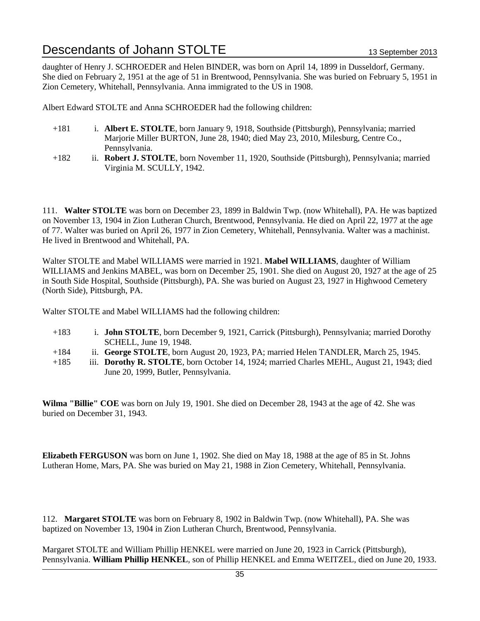daughter of Henry J. SCHROEDER and Helen BINDER, was born on April 14, 1899 in Dusseldorf, Germany. She died on February 2, 1951 at the age of 51 in Brentwood, Pennsylvania. She was buried on February 5, 1951 in Zion Cemetery, Whitehall, Pennsylvania. Anna immigrated to the US in 1908.

Albert Edward STOLTE and Anna SCHROEDER had the following children:

- +181 i. **Albert E. STOLTE**, born January 9, 1918, Southside (Pittsburgh), Pennsylvania; married Marjorie Miller BURTON, June 28, 1940; died May 23, 2010, Milesburg, Centre Co., Pennsylvania.
- +182 ii. **Robert J. STOLTE**, born November 11, 1920, Southside (Pittsburgh), Pennsylvania; married Virginia M. SCULLY, 1942.

111. **Walter STOLTE** was born on December 23, 1899 in Baldwin Twp. (now Whitehall), PA. He was baptized on November 13, 1904 in Zion Lutheran Church, Brentwood, Pennsylvania. He died on April 22, 1977 at the age of 77. Walter was buried on April 26, 1977 in Zion Cemetery, Whitehall, Pennsylvania. Walter was a machinist. He lived in Brentwood and Whitehall, PA.

Walter STOLTE and Mabel WILLIAMS were married in 1921. **Mabel WILLIAMS**, daughter of William WILLIAMS and Jenkins MABEL, was born on December 25, 1901. She died on August 20, 1927 at the age of 25 in South Side Hospital, Southside (Pittsburgh), PA. She was buried on August 23, 1927 in Highwood Cemetery (North Side), Pittsburgh, PA.

Walter STOLTE and Mabel WILLIAMS had the following children:

- +183 i. **John STOLTE**, born December 9, 1921, Carrick (Pittsburgh), Pennsylvania; married Dorothy SCHELL, June 19, 1948.
- +184 ii. **George STOLTE**, born August 20, 1923, PA; married Helen TANDLER, March 25, 1945.
- +185 iii. **Dorothy R. STOLTE**, born October 14, 1924; married Charles MEHL, August 21, 1943; died June 20, 1999, Butler, Pennsylvania.

**Wilma "Billie" COE** was born on July 19, 1901. She died on December 28, 1943 at the age of 42. She was buried on December 31, 1943.

**Elizabeth FERGUSON** was born on June 1, 1902. She died on May 18, 1988 at the age of 85 in St. Johns Lutheran Home, Mars, PA. She was buried on May 21, 1988 in Zion Cemetery, Whitehall, Pennsylvania.

112. **Margaret STOLTE** was born on February 8, 1902 in Baldwin Twp. (now Whitehall), PA. She was baptized on November 13, 1904 in Zion Lutheran Church, Brentwood, Pennsylvania.

Margaret STOLTE and William Phillip HENKEL were married on June 20, 1923 in Carrick (Pittsburgh), Pennsylvania. **William Phillip HENKEL**, son of Phillip HENKEL and Emma WEITZEL, died on June 20, 1933.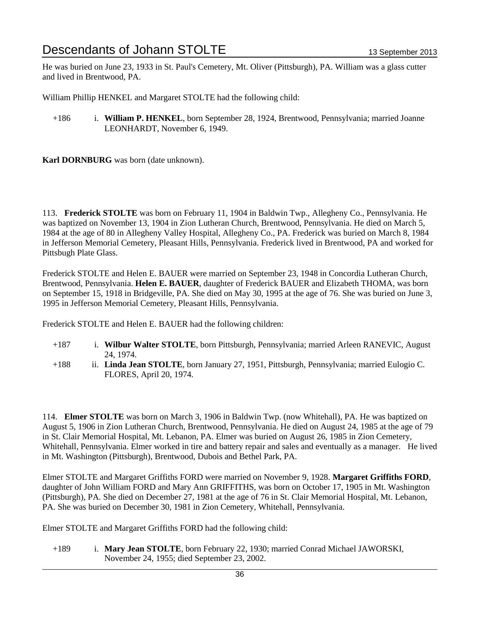He was buried on June 23, 1933 in St. Paul's Cemetery, Mt. Oliver (Pittsburgh), PA. William was a glass cutter and lived in Brentwood, PA.

William Phillip HENKEL and Margaret STOLTE had the following child:

+186 i. **William P. HENKEL**, born September 28, 1924, Brentwood, Pennsylvania; married Joanne LEONHARDT, November 6, 1949.

**Karl DORNBURG** was born (date unknown).

113. **Frederick STOLTE** was born on February 11, 1904 in Baldwin Twp., Allegheny Co., Pennsylvania. He was baptized on November 13, 1904 in Zion Lutheran Church, Brentwood, Pennsylvania. He died on March 5, 1984 at the age of 80 in Allegheny Valley Hospital, Allegheny Co., PA. Frederick was buried on March 8, 1984 in Jefferson Memorial Cemetery, Pleasant Hills, Pennsylvania. Frederick lived in Brentwood, PA and worked for Pittsbugh Plate Glass.

Frederick STOLTE and Helen E. BAUER were married on September 23, 1948 in Concordia Lutheran Church, Brentwood, Pennsylvania. **Helen E. BAUER**, daughter of Frederick BAUER and Elizabeth THOMA, was born on September 15, 1918 in Bridgeville, PA. She died on May 30, 1995 at the age of 76. She was buried on June 3, 1995 in Jefferson Memorial Cemetery, Pleasant Hills, Pennsylvania.

Frederick STOLTE and Helen E. BAUER had the following children:

- +187 i. **Wilbur Walter STOLTE**, born Pittsburgh, Pennsylvania; married Arleen RANEVIC, August 24, 1974.
- +188 ii. **Linda Jean STOLTE**, born January 27, 1951, Pittsburgh, Pennsylvania; married Eulogio C. FLORES, April 20, 1974.

114. **Elmer STOLTE** was born on March 3, 1906 in Baldwin Twp. (now Whitehall), PA. He was baptized on August 5, 1906 in Zion Lutheran Church, Brentwood, Pennsylvania. He died on August 24, 1985 at the age of 79 in St. Clair Memorial Hospital, Mt. Lebanon, PA. Elmer was buried on August 26, 1985 in Zion Cemetery, Whitehall, Pennsylvania. Elmer worked in tire and battery repair and sales and eventually as a manager. He lived in Mt. Washington (Pittsburgh), Brentwood, Dubois and Bethel Park, PA.

Elmer STOLTE and Margaret Griffiths FORD were married on November 9, 1928. **Margaret Griffiths FORD**, daughter of John William FORD and Mary Ann GRIFFITHS, was born on October 17, 1905 in Mt. Washington (Pittsburgh), PA. She died on December 27, 1981 at the age of 76 in St. Clair Memorial Hospital, Mt. Lebanon, PA. She was buried on December 30, 1981 in Zion Cemetery, Whitehall, Pennsylvania.

Elmer STOLTE and Margaret Griffiths FORD had the following child:

+189 i. **Mary Jean STOLTE**, born February 22, 1930; married Conrad Michael JAWORSKI, November 24, 1955; died September 23, 2002.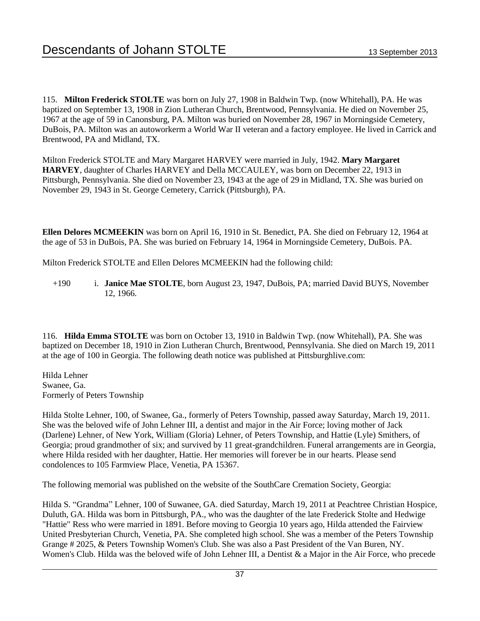115. **Milton Frederick STOLTE** was born on July 27, 1908 in Baldwin Twp. (now Whitehall), PA. He was baptized on September 13, 1908 in Zion Lutheran Church, Brentwood, Pennsylvania. He died on November 25, 1967 at the age of 59 in Canonsburg, PA. Milton was buried on November 28, 1967 in Morningside Cemetery, DuBois, PA. Milton was an autoworkerm a World War II veteran and a factory employee. He lived in Carrick and Brentwood, PA and Midland, TX.

Milton Frederick STOLTE and Mary Margaret HARVEY were married in July, 1942. **Mary Margaret HARVEY**, daughter of Charles HARVEY and Della MCCAULEY, was born on December 22, 1913 in Pittsburgh, Pennsylvania. She died on November 23, 1943 at the age of 29 in Midland, TX. She was buried on November 29, 1943 in St. George Cemetery, Carrick (Pittsburgh), PA.

**Ellen Delores MCMEEKIN** was born on April 16, 1910 in St. Benedict, PA. She died on February 12, 1964 at the age of 53 in DuBois, PA. She was buried on February 14, 1964 in Morningside Cemetery, DuBois. PA.

Milton Frederick STOLTE and Ellen Delores MCMEEKIN had the following child:

+190 i. **Janice Mae STOLTE**, born August 23, 1947, DuBois, PA; married David BUYS, November 12, 1966.

116. **Hilda Emma STOLTE** was born on October 13, 1910 in Baldwin Twp. (now Whitehall), PA. She was baptized on December 18, 1910 in Zion Lutheran Church, Brentwood, Pennsylvania. She died on March 19, 2011 at the age of 100 in Georgia. The following death notice was published at Pittsburghlive.com:

Hilda Lehner Swanee, Ga. Formerly of Peters Township

Hilda Stolte Lehner, 100, of Swanee, Ga., formerly of Peters Township, passed away Saturday, March 19, 2011. She was the beloved wife of John Lehner III, a dentist and major in the Air Force; loving mother of Jack (Darlene) Lehner, of New York, William (Gloria) Lehner, of Peters Township, and Hattie (Lyle) Smithers, of Georgia; proud grandmother of six; and survived by 11 great-grandchildren. Funeral arrangements are in Georgia, where Hilda resided with her daughter, Hattie. Her memories will forever be in our hearts. Please send condolences to 105 Farmview Place, Venetia, PA 15367.

The following memorial was published on the website of the SouthCare Cremation Society, Georgia:

Hilda S. "Grandma" Lehner, 100 of Suwanee, GA. died Saturday, March 19, 2011 at Peachtree Christian Hospice, Duluth, GA. Hilda was born in Pittsburgh, PA., who was the daughter of the late Frederick Stolte and Hedwige "Hattie" Ress who were married in 1891. Before moving to Georgia 10 years ago, Hilda attended the Fairview United Presbyterian Church, Venetia, PA. She completed high school. She was a member of the Peters Township Grange # 2025, & Peters Township Women's Club. She was also a Past President of the Van Buren, NY. Women's Club. Hilda was the beloved wife of John Lehner III, a Dentist & a Major in the Air Force, who precede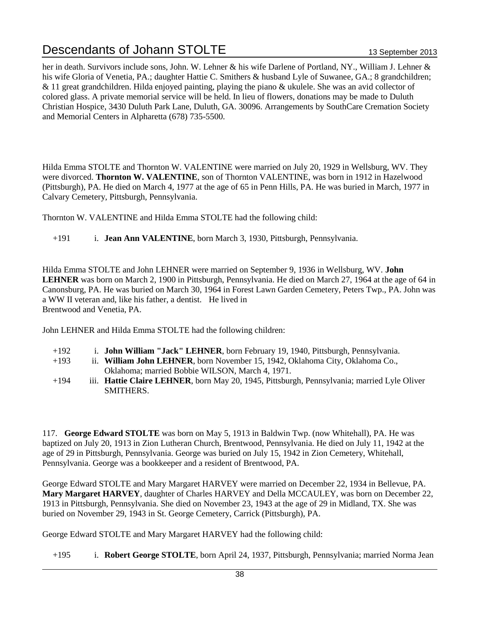her in death. Survivors include sons, John. W. Lehner & his wife Darlene of Portland, NY., William J. Lehner & his wife Gloria of Venetia, PA.; daughter Hattie C. Smithers & husband Lyle of Suwanee, GA.; 8 grandchildren; & 11 great grandchildren. Hilda enjoyed painting, playing the piano & ukulele. She was an avid collector of colored glass. A private memorial service will be held. In lieu of flowers, donations may be made to Duluth Christian Hospice, 3430 Duluth Park Lane, Duluth, GA. 30096. Arrangements by SouthCare Cremation Society and Memorial Centers in Alpharetta (678) 735-5500.

Hilda Emma STOLTE and Thornton W. VALENTINE were married on July 20, 1929 in Wellsburg, WV. They were divorced. **Thornton W. VALENTINE**, son of Thornton VALENTINE, was born in 1912 in Hazelwood (Pittsburgh), PA. He died on March 4, 1977 at the age of 65 in Penn Hills, PA. He was buried in March, 1977 in Calvary Cemetery, Pittsburgh, Pennsylvania.

Thornton W. VALENTINE and Hilda Emma STOLTE had the following child:

+191 i. **Jean Ann VALENTINE**, born March 3, 1930, Pittsburgh, Pennsylvania.

Hilda Emma STOLTE and John LEHNER were married on September 9, 1936 in Wellsburg, WV. **John LEHNER** was born on March 2, 1900 in Pittsburgh, Pennsylvania. He died on March 27, 1964 at the age of 64 in Canonsburg, PA. He was buried on March 30, 1964 in Forest Lawn Garden Cemetery, Peters Twp., PA. John was a WW II veteran and, like his father, a dentist. He lived in Brentwood and Venetia, PA.

John LEHNER and Hilda Emma STOLTE had the following children:

- +192 i. **John William "Jack" LEHNER**, born February 19, 1940, Pittsburgh, Pennsylvania.
- +193 ii. **William John LEHNER**, born November 15, 1942, Oklahoma City, Oklahoma Co., Oklahoma; married Bobbie WILSON, March 4, 1971.
- +194 iii. **Hattie Claire LEHNER**, born May 20, 1945, Pittsburgh, Pennsylvania; married Lyle Oliver SMITHERS.

117. **George Edward STOLTE** was born on May 5, 1913 in Baldwin Twp. (now Whitehall), PA. He was baptized on July 20, 1913 in Zion Lutheran Church, Brentwood, Pennsylvania. He died on July 11, 1942 at the age of 29 in Pittsburgh, Pennsylvania. George was buried on July 15, 1942 in Zion Cemetery, Whitehall, Pennsylvania. George was a bookkeeper and a resident of Brentwood, PA.

George Edward STOLTE and Mary Margaret HARVEY were married on December 22, 1934 in Bellevue, PA. **Mary Margaret HARVEY**, daughter of Charles HARVEY and Della MCCAULEY, was born on December 22, 1913 in Pittsburgh, Pennsylvania. She died on November 23, 1943 at the age of 29 in Midland, TX. She was buried on November 29, 1943 in St. George Cemetery, Carrick (Pittsburgh), PA.

George Edward STOLTE and Mary Margaret HARVEY had the following child:

+195 i. **Robert George STOLTE**, born April 24, 1937, Pittsburgh, Pennsylvania; married Norma Jean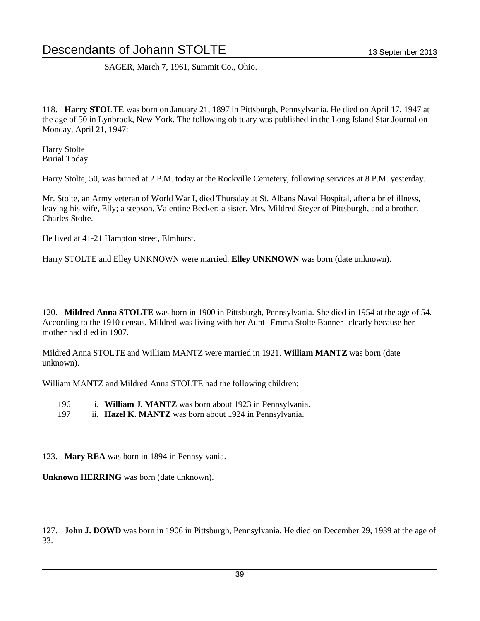SAGER, March 7, 1961, Summit Co., Ohio.

118. **Harry STOLTE** was born on January 21, 1897 in Pittsburgh, Pennsylvania. He died on April 17, 1947 at the age of 50 in Lynbrook, New York. The following obituary was published in the Long Island Star Journal on Monday, April 21, 1947:

Harry Stolte Burial Today

Harry Stolte, 50, was buried at 2 P.M. today at the Rockville Cemetery, following services at 8 P.M. yesterday.

Mr. Stolte, an Army veteran of World War I, died Thursday at St. Albans Naval Hospital, after a brief illness, leaving his wife, Elly; a stepson, Valentine Becker; a sister, Mrs. Mildred Steyer of Pittsburgh, and a brother, Charles Stolte.

He lived at 41-21 Hampton street, Elmhurst.

Harry STOLTE and Elley UNKNOWN were married. **Elley UNKNOWN** was born (date unknown).

120. **Mildred Anna STOLTE** was born in 1900 in Pittsburgh, Pennsylvania. She died in 1954 at the age of 54. According to the 1910 census, Mildred was living with her Aunt--Emma Stolte Bonner--clearly because her mother had died in 1907.

Mildred Anna STOLTE and William MANTZ were married in 1921. **William MANTZ** was born (date unknown).

William MANTZ and Mildred Anna STOLTE had the following children:

- 196 i. **William J. MANTZ** was born about 1923 in Pennsylvania.
- 197 ii. **Hazel K. MANTZ** was born about 1924 in Pennsylvania.

123. **Mary REA** was born in 1894 in Pennsylvania.

**Unknown HERRING** was born (date unknown).

127. **John J. DOWD** was born in 1906 in Pittsburgh, Pennsylvania. He died on December 29, 1939 at the age of 33.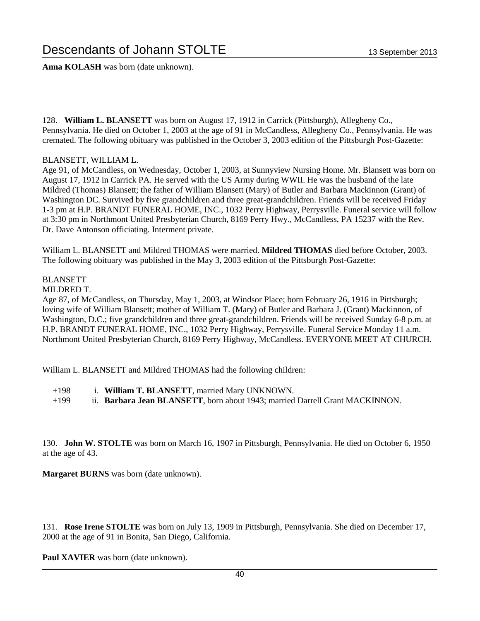**Anna KOLASH** was born (date unknown).

128. **William L. BLANSETT** was born on August 17, 1912 in Carrick (Pittsburgh), Allegheny Co., Pennsylvania. He died on October 1, 2003 at the age of 91 in McCandless, Allegheny Co., Pennsylvania. He was cremated. The following obituary was published in the October 3, 2003 edition of the Pittsburgh Post-Gazette:

### BLANSETT, WILLIAM L.

Age 91, of McCandless, on Wednesday, October 1, 2003, at Sunnyview Nursing Home. Mr. Blansett was born on August 17, 1912 in Carrick PA. He served with the US Army during WWII. He was the husband of the late Mildred (Thomas) Blansett; the father of William Blansett (Mary) of Butler and Barbara Mackinnon (Grant) of Washington DC. Survived by five grandchildren and three great-grandchildren. Friends will be received Friday 1-3 pm at H.P. BRANDT FUNERAL HOME, INC., 1032 Perry Highway, Perrysville. Funeral service will follow at 3:30 pm in Northmont United Presbyterian Church, 8169 Perry Hwy., McCandless, PA 15237 with the Rev. Dr. Dave Antonson officiating. Interment private.

William L. BLANSETT and Mildred THOMAS were married. **Mildred THOMAS** died before October, 2003. The following obituary was published in the May 3, 2003 edition of the Pittsburgh Post-Gazette:

### BLANSETT

### MILDRED T.

Age 87, of McCandless, on Thursday, May 1, 2003, at Windsor Place; born February 26, 1916 in Pittsburgh; loving wife of William Blansett; mother of William T. (Mary) of Butler and Barbara J. (Grant) Mackinnon, of Washington, D.C.; five grandchildren and three great-grandchildren. Friends will be received Sunday 6-8 p.m. at H.P. BRANDT FUNERAL HOME, INC., 1032 Perry Highway, Perrysville. Funeral Service Monday 11 a.m. Northmont United Presbyterian Church, 8169 Perry Highway, McCandless. EVERYONE MEET AT CHURCH.

William L. BLANSETT and Mildred THOMAS had the following children:

- +198 i. **William T. BLANSETT**, married Mary UNKNOWN.
- +199 ii. **Barbara Jean BLANSETT**, born about 1943; married Darrell Grant MACKINNON.

130. **John W. STOLTE** was born on March 16, 1907 in Pittsburgh, Pennsylvania. He died on October 6, 1950 at the age of 43.

**Margaret BURNS** was born (date unknown).

131. **Rose Irene STOLTE** was born on July 13, 1909 in Pittsburgh, Pennsylvania. She died on December 17, 2000 at the age of 91 in Bonita, San Diego, California.

**Paul XAVIER** was born (date unknown).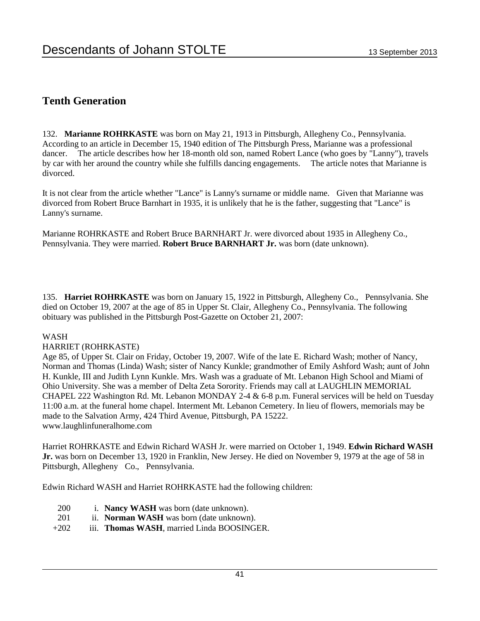### **Tenth Generation**

132. **Marianne ROHRKASTE** was born on May 21, 1913 in Pittsburgh, Allegheny Co., Pennsylvania. According to an article in December 15, 1940 edition of The Pittsburgh Press, Marianne was a professional dancer. The article describes how her 18-month old son, named Robert Lance (who goes by "Lanny"), travels by car with her around the country while she fulfills dancing engagements. The article notes that Marianne is divorced.

It is not clear from the article whether "Lance" is Lanny's surname or middle name. Given that Marianne was divorced from Robert Bruce Barnhart in 1935, it is unlikely that he is the father, suggesting that "Lance" is Lanny's surname.

Marianne ROHRKASTE and Robert Bruce BARNHART Jr. were divorced about 1935 in Allegheny Co., Pennsylvania. They were married. **Robert Bruce BARNHART Jr.** was born (date unknown).

135. **Harriet ROHRKASTE** was born on January 15, 1922 in Pittsburgh, Allegheny Co., Pennsylvania. She died on October 19, 2007 at the age of 85 in Upper St. Clair, Allegheny Co., Pennsylvania. The following obituary was published in the Pittsburgh Post-Gazette on October 21, 2007:

### WASH

### HARRIET (ROHRKASTE)

Age 85, of Upper St. Clair on Friday, October 19, 2007. Wife of the late E. Richard Wash; mother of Nancy, Norman and Thomas (Linda) Wash; sister of Nancy Kunkle; grandmother of Emily Ashford Wash; aunt of John H. Kunkle, III and Judith Lynn Kunkle. Mrs. Wash was a graduate of Mt. Lebanon High School and Miami of Ohio University. She was a member of Delta Zeta Sorority. Friends may call at LAUGHLIN MEMORIAL CHAPEL 222 Washington Rd. Mt. Lebanon MONDAY 2-4 & 6-8 p.m. Funeral services will be held on Tuesday 11:00 a.m. at the funeral home chapel. Interment Mt. Lebanon Cemetery. In lieu of flowers, memorials may be made to the Salvation Army, 424 Third Avenue, Pittsburgh, PA 15222. www.laughlinfuneralhome.com

Harriet ROHRKASTE and Edwin Richard WASH Jr. were married on October 1, 1949. **Edwin Richard WASH Jr.** was born on December 13, 1920 in Franklin, New Jersey. He died on November 9, 1979 at the age of 58 in Pittsburgh, Allegheny Co., Pennsylvania.

Edwin Richard WASH and Harriet ROHRKASTE had the following children:

- 200 i. **Nancy WASH** was born (date unknown).
- 201 ii. **Norman WASH** was born (date unknown).
- +202 iii. **Thomas WASH**, married Linda BOOSINGER.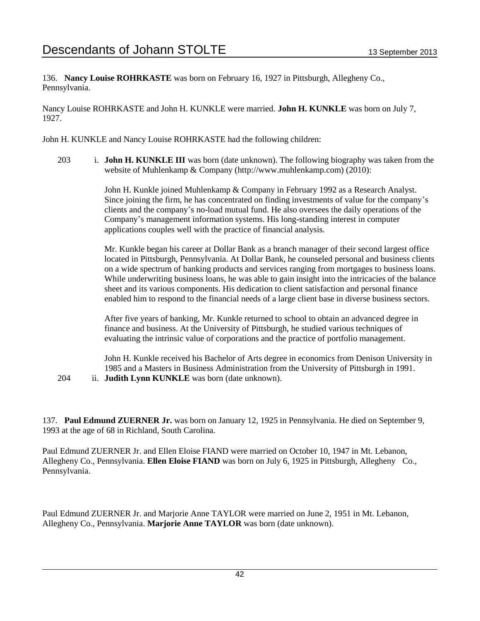136. **Nancy Louise ROHRKASTE** was born on February 16, 1927 in Pittsburgh, Allegheny Co., Pennsylvania.

Nancy Louise ROHRKASTE and John H. KUNKLE were married. **John H. KUNKLE** was born on July 7, 1927.

John H. KUNKLE and Nancy Louise ROHRKASTE had the following children:

203 i. **John H. KUNKLE III** was born (date unknown). The following biography was taken from the website of Muhlenkamp & Company (http://www.muhlenkamp.com) (2010):

> John H. Kunkle joined Muhlenkamp & Company in February 1992 as a Research Analyst. Since joining the firm, he has concentrated on finding investments of value for the company's clients and the company's no-load mutual fund. He also oversees the daily operations of the Company's management information systems. His long-standing interest in computer applications couples well with the practice of financial analysis.

Mr. Kunkle began his career at Dollar Bank as a branch manager of their second largest office located in Pittsburgh, Pennsylvania. At Dollar Bank, he counseled personal and business clients on a wide spectrum of banking products and services ranging from mortgages to business loans. While underwriting business loans, he was able to gain insight into the intricacies of the balance sheet and its various components. His dedication to client satisfaction and personal finance enabled him to respond to the financial needs of a large client base in diverse business sectors.

After five years of banking, Mr. Kunkle returned to school to obtain an advanced degree in finance and business. At the University of Pittsburgh, he studied various techniques of evaluating the intrinsic value of corporations and the practice of portfolio management.

John H. Kunkle received his Bachelor of Arts degree in economics from Denison University in 1985 and a Masters in Business Administration from the University of Pittsburgh in 1991.

204 ii. **Judith Lynn KUNKLE** was born (date unknown).

137. **Paul Edmund ZUERNER Jr.** was born on January 12, 1925 in Pennsylvania. He died on September 9, 1993 at the age of 68 in Richland, South Carolina.

Paul Edmund ZUERNER Jr. and Ellen Eloise FIAND were married on October 10, 1947 in Mt. Lebanon, Allegheny Co., Pennsylvania. **Ellen Eloise FIAND** was born on July 6, 1925 in Pittsburgh, Allegheny Co., Pennsylvania.

Paul Edmund ZUERNER Jr. and Marjorie Anne TAYLOR were married on June 2, 1951 in Mt. Lebanon, Allegheny Co., Pennsylvania. **Marjorie Anne TAYLOR** was born (date unknown).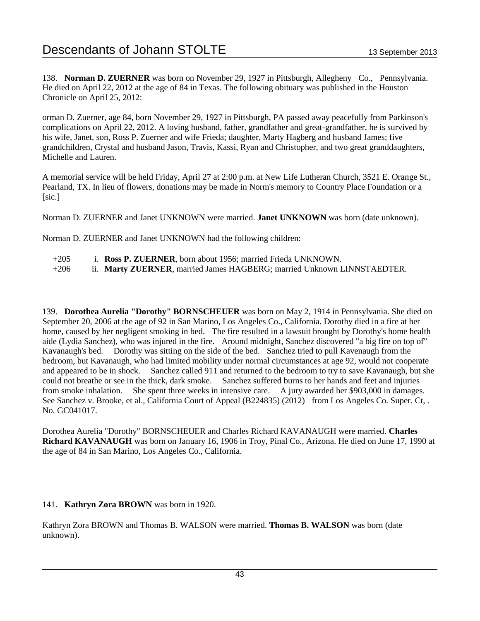138. **Norman D. ZUERNER** was born on November 29, 1927 in Pittsburgh, Allegheny Co., Pennsylvania. He died on April 22, 2012 at the age of 84 in Texas. The following obituary was published in the Houston Chronicle on April 25, 2012:

orman D. Zuerner, age 84, born November 29, 1927 in Pittsburgh, PA passed away peacefully from Parkinson's complications on April 22, 2012. A loving husband, father, grandfather and great-grandfather, he is survived by his wife, Janet, son, Ross P. Zuerner and wife Frieda; daughter, Marty Hagberg and husband James; five grandchildren, Crystal and husband Jason, Travis, Kassi, Ryan and Christopher, and two great granddaughters, Michelle and Lauren.

A memorial service will be held Friday, April 27 at 2:00 p.m. at New Life Lutheran Church, 3521 E. Orange St., Pearland, TX. In lieu of flowers, donations may be made in Norm's memory to Country Place Foundation or a [sic.]

Norman D. ZUERNER and Janet UNKNOWN were married. **Janet UNKNOWN** was born (date unknown).

Norman D. ZUERNER and Janet UNKNOWN had the following children:

- +205 i. **Ross P. ZUERNER**, born about 1956; married Frieda UNKNOWN.
- +206 ii. **Marty ZUERNER**, married James HAGBERG; married Unknown LINNSTAEDTER.

139. **Dorothea Aurelia "Dorothy" BORNSCHEUER** was born on May 2, 1914 in Pennsylvania. She died on September 20, 2006 at the age of 92 in San Marino, Los Angeles Co., California. Dorothy died in a fire at her home, caused by her negligent smoking in bed. The fire resulted in a lawsuit brought by Dorothy's home health aide (Lydia Sanchez), who was injured in the fire. Around midnight, Sanchez discovered "a big fire on top of" Kavanaugh's bed. Dorothy was sitting on the side of the bed. Sanchez tried to pull Kavenaugh from the bedroom, but Kavanaugh, who had limited mobility under normal circumstances at age 92, would not cooperate and appeared to be in shock. Sanchez called 911 and returned to the bedroom to try to save Kavanaugh, but she could not breathe or see in the thick, dark smoke. Sanchez suffered burns to her hands and feet and injuries from smoke inhalation. She spent three weeks in intensive care. A jury awarded her \$903,000 in damages. See Sanchez v. Brooke, et al., California Court of Appeal (B224835) (2012) from Los Angeles Co. Super. Ct, . No. GC041017.

Dorothea Aurelia "Dorothy" BORNSCHEUER and Charles Richard KAVANAUGH were married. **Charles Richard KAVANAUGH** was born on January 16, 1906 in Troy, Pinal Co., Arizona. He died on June 17, 1990 at the age of 84 in San Marino, Los Angeles Co., California.

### 141. **Kathryn Zora BROWN** was born in 1920.

Kathryn Zora BROWN and Thomas B. WALSON were married. **Thomas B. WALSON** was born (date unknown).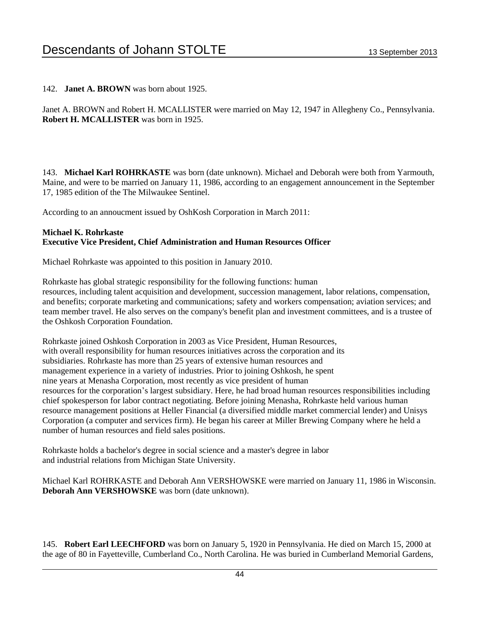142. **Janet A. BROWN** was born about 1925.

Janet A. BROWN and Robert H. MCALLISTER were married on May 12, 1947 in Allegheny Co., Pennsylvania. **Robert H. MCALLISTER** was born in 1925.

143. **Michael Karl ROHRKASTE** was born (date unknown). Michael and Deborah were both from Yarmouth, Maine, and were to be married on January 11, 1986, according to an engagement announcement in the September 17, 1985 edition of the The Milwaukee Sentinel.

According to an annoucment issued by OshKosh Corporation in March 2011:

### **Michael K. Rohrkaste Executive Vice President, Chief Administration and Human Resources Officer**

Michael Rohrkaste was appointed to this position in January 2010.

Rohrkaste has global strategic responsibility for the following functions: human resources, including talent acquisition and development, succession management, labor relations, compensation, and benefits; corporate marketing and communications; safety and workers compensation; aviation services; and team member travel. He also serves on the company's benefit plan and investment committees, and is a trustee of the Oshkosh Corporation Foundation.

Rohrkaste joined Oshkosh Corporation in 2003 as Vice President, Human Resources, with overall responsibility for human resources initiatives across the corporation and its subsidiaries. Rohrkaste has more than 25 years of extensive human resources and management experience in a variety of industries. Prior to joining Oshkosh, he spent nine years at Menasha Corporation, most recently as vice president of human resources for the corporation's largest subsidiary. Here, he had broad human resources responsibilities including chief spokesperson for labor contract negotiating. Before joining Menasha, Rohrkaste held various human resource management positions at Heller Financial (a diversified middle market commercial lender) and Unisys Corporation (a computer and services firm). He began his career at Miller Brewing Company where he held a number of human resources and field sales positions.

Rohrkaste holds a bachelor's degree in social science and a master's degree in labor and industrial relations from Michigan State University.

Michael Karl ROHRKASTE and Deborah Ann VERSHOWSKE were married on January 11, 1986 in Wisconsin. **Deborah Ann VERSHOWSKE** was born (date unknown).

145. **Robert Earl LEECHFORD** was born on January 5, 1920 in Pennsylvania. He died on March 15, 2000 at the age of 80 in Fayetteville, Cumberland Co., North Carolina. He was buried in Cumberland Memorial Gardens,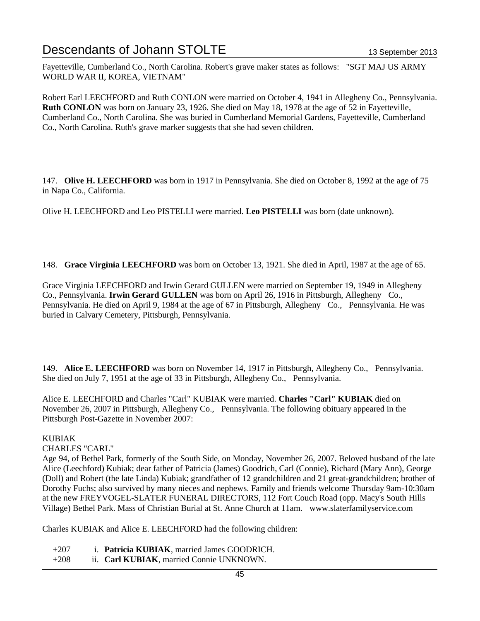Fayetteville, Cumberland Co., North Carolina. Robert's grave maker states as follows: "SGT MAJ US ARMY WORLD WAR II, KOREA, VIETNAM"

Robert Earl LEECHFORD and Ruth CONLON were married on October 4, 1941 in Allegheny Co., Pennsylvania. **Ruth CONLON** was born on January 23, 1926. She died on May 18, 1978 at the age of 52 in Fayetteville, Cumberland Co., North Carolina. She was buried in Cumberland Memorial Gardens, Fayetteville, Cumberland Co., North Carolina. Ruth's grave marker suggests that she had seven children.

147. **Olive H. LEECHFORD** was born in 1917 in Pennsylvania. She died on October 8, 1992 at the age of 75 in Napa Co., California.

Olive H. LEECHFORD and Leo PISTELLI were married. **Leo PISTELLI** was born (date unknown).

148. **Grace Virginia LEECHFORD** was born on October 13, 1921. She died in April, 1987 at the age of 65.

Grace Virginia LEECHFORD and Irwin Gerard GULLEN were married on September 19, 1949 in Allegheny Co., Pennsylvania. **Irwin Gerard GULLEN** was born on April 26, 1916 in Pittsburgh, Allegheny Co., Pennsylvania. He died on April 9, 1984 at the age of 67 in Pittsburgh, Allegheny Co., Pennsylvania. He was buried in Calvary Cemetery, Pittsburgh, Pennsylvania.

149. **Alice E. LEECHFORD** was born on November 14, 1917 in Pittsburgh, Allegheny Co., Pennsylvania. She died on July 7, 1951 at the age of 33 in Pittsburgh, Allegheny Co., Pennsylvania.

Alice E. LEECHFORD and Charles "Carl" KUBIAK were married. **Charles "Carl" KUBIAK** died on November 26, 2007 in Pittsburgh, Allegheny Co., Pennsylvania. The following obituary appeared in the Pittsburgh Post-Gazette in November 2007:

### KUBIAK

### CHARLES "CARL"

Age 94, of Bethel Park, formerly of the South Side, on Monday, November 26, 2007. Beloved husband of the late Alice (Leechford) Kubiak; dear father of Patricia (James) Goodrich, Carl (Connie), Richard (Mary Ann), George (Doll) and Robert (the late Linda) Kubiak; grandfather of 12 grandchildren and 21 great-grandchildren; brother of Dorothy Fuchs; also survived by many nieces and nephews. Family and friends welcome Thursday 9am-10:30am at the new FREYVOGEL-SLATER FUNERAL DIRECTORS, 112 Fort Couch Road (opp. Macy's South Hills Village) Bethel Park. Mass of Christian Burial at St. Anne Church at 11am. www.slaterfamilyservice.com

Charles KUBIAK and Alice E. LEECHFORD had the following children:

- +207 i. **Patricia KUBIAK**, married James GOODRICH.
- +208 ii. **Carl KUBIAK**, married Connie UNKNOWN.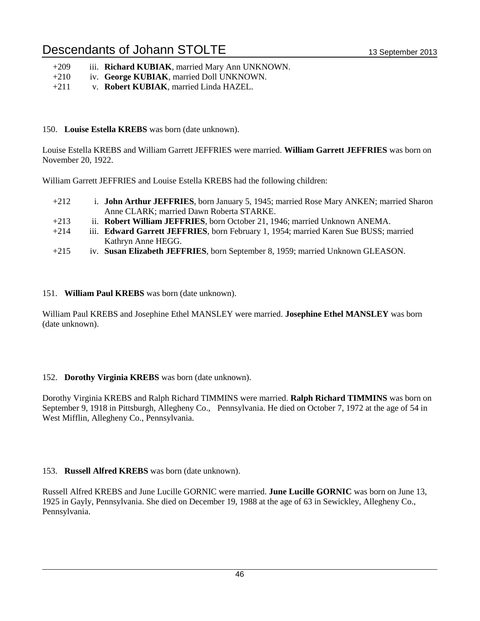| $+209$ |  | iii. Richard KUBIAK, married Mary Ann UNKNOWN. |  |  |
|--------|--|------------------------------------------------|--|--|
|--------|--|------------------------------------------------|--|--|

- +210 iv. **George KUBIAK**, married Doll UNKNOWN.
- +211 v. **Robert KUBIAK**, married Linda HAZEL.

### 150. **Louise Estella KREBS** was born (date unknown).

Louise Estella KREBS and William Garrett JEFFRIES were married. **William Garrett JEFFRIES** was born on November 20, 1922.

William Garrett JEFFRIES and Louise Estella KREBS had the following children:

- +212 i. **John Arthur JEFFRIES**, born January 5, 1945; married Rose Mary ANKEN; married Sharon Anne CLARK; married Dawn Roberta STARKE.
- +213 ii. **Robert William JEFFRIES**, born October 21, 1946; married Unknown ANEMA.
- +214 iii. **Edward Garrett JEFFRIES**, born February 1, 1954; married Karen Sue BUSS; married Kathryn Anne HEGG.
- +215 iv. **Susan Elizabeth JEFFRIES**, born September 8, 1959; married Unknown GLEASON.

### 151. **William Paul KREBS** was born (date unknown).

William Paul KREBS and Josephine Ethel MANSLEY were married. **Josephine Ethel MANSLEY** was born (date unknown).

### 152. **Dorothy Virginia KREBS** was born (date unknown).

Dorothy Virginia KREBS and Ralph Richard TIMMINS were married. **Ralph Richard TIMMINS** was born on September 9, 1918 in Pittsburgh, Allegheny Co., Pennsylvania. He died on October 7, 1972 at the age of 54 in West Mifflin, Allegheny Co., Pennsylvania.

### 153. **Russell Alfred KREBS** was born (date unknown).

Russell Alfred KREBS and June Lucille GORNIC were married. **June Lucille GORNIC** was born on June 13, 1925 in Gayly, Pennsylvania. She died on December 19, 1988 at the age of 63 in Sewickley, Allegheny Co., Pennsylvania.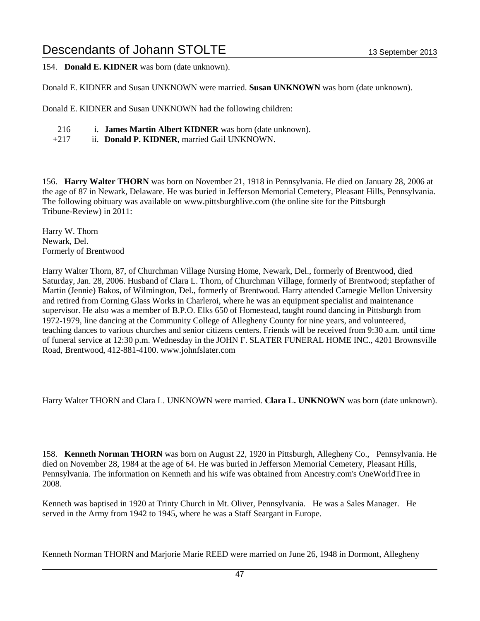154. **Donald E. KIDNER** was born (date unknown).

Donald E. KIDNER and Susan UNKNOWN were married. **Susan UNKNOWN** was born (date unknown).

Donald E. KIDNER and Susan UNKNOWN had the following children:

- 216 i. **James Martin Albert KIDNER** was born (date unknown).
- +217 ii. **Donald P. KIDNER**, married Gail UNKNOWN.

156. **Harry Walter THORN** was born on November 21, 1918 in Pennsylvania. He died on January 28, 2006 at the age of 87 in Newark, Delaware. He was buried in Jefferson Memorial Cemetery, Pleasant Hills, Pennsylvania. The following obituary was available on www.pittsburghlive.com (the online site for the Pittsburgh Tribune-Review) in 2011:

Harry W. Thorn Newark, Del. Formerly of Brentwood

Harry Walter Thorn, 87, of Churchman Village Nursing Home, Newark, Del., formerly of Brentwood, died Saturday, Jan. 28, 2006. Husband of Clara L. Thorn, of Churchman Village, formerly of Brentwood; stepfather of Martin (Jennie) Bakos, of Wilmington, Del., formerly of Brentwood. Harry attended Carnegie Mellon University and retired from Corning Glass Works in Charleroi, where he was an equipment specialist and maintenance supervisor. He also was a member of B.P.O. Elks 650 of Homestead, taught round dancing in Pittsburgh from 1972-1979, line dancing at the Community College of Allegheny County for nine years, and volunteered, teaching dances to various churches and senior citizens centers. Friends will be received from 9:30 a.m. until time of funeral service at 12:30 p.m. Wednesday in the JOHN F. SLATER FUNERAL HOME INC., 4201 Brownsville Road, Brentwood, 412-881-4100. www.johnfslater.com

Harry Walter THORN and Clara L. UNKNOWN were married. **Clara L. UNKNOWN** was born (date unknown).

158. **Kenneth Norman THORN** was born on August 22, 1920 in Pittsburgh, Allegheny Co., Pennsylvania. He died on November 28, 1984 at the age of 64. He was buried in Jefferson Memorial Cemetery, Pleasant Hills, Pennsylvania. The information on Kenneth and his wife was obtained from Ancestry.com's OneWorldTree in 2008.

Kenneth was baptised in 1920 at Trinty Church in Mt. Oliver, Pennsylvania. He was a Sales Manager. He served in the Army from 1942 to 1945, where he was a Staff Seargant in Europe.

Kenneth Norman THORN and Marjorie Marie REED were married on June 26, 1948 in Dormont, Allegheny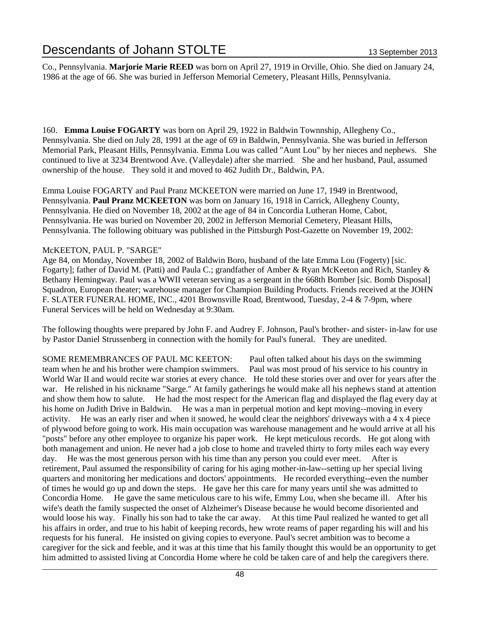Co., Pennsylvania. **Marjorie Marie REED** was born on April 27, 1919 in Orville, Ohio. She died on January 24, 1986 at the age of 66. She was buried in Jefferson Memorial Cemetery, Pleasant Hills, Pennsylvania.

160. **Emma Louise FOGARTY** was born on April 29, 1922 in Baldwin Townnship, Allegheny Co., Pennsylvania. She died on July 28, 1991 at the age of 69 in Baldwin, Pennsylvania. She was buried in Jefferson Memorial Park, Pleasant Hills, Pennsylvania. Emma Lou was called "Aunt Lou" by her nieces and nephews. She continued to live at 3234 Brentwood Ave. (Valleydale) after she married. She and her husband, Paul, assumed ownership of the house. They sold it and moved to 462 Judith Dr., Baldwin, PA.

Emma Louise FOGARTY and Paul Pranz MCKEETON were married on June 17, 1949 in Brentwood, Pennsylvania. **Paul Pranz MCKEETON** was born on January 16, 1918 in Carrick, Allegheny County, Pennsylvania. He died on November 18, 2002 at the age of 84 in Concordia Lutheran Home, Cabot, Pennsylvania. He was buried on November 20, 2002 in Jefferson Memorial Cemetery, Pleasant Hills, Pennsylvania. The following obituary was published in the Pittsburgh Post-Gazette on November 19, 2002:

### McKEETON, PAUL P. "SARGE"

Age 84, on Monday, November 18, 2002 of Baldwin Boro, husband of the late Emma Lou (Fogerty) [sic. Fogarty]; father of David M. (Patti) and Paula C.; grandfather of Amber & Ryan McKeeton and Rich, Stanley & Bethany Hemingway. Paul was a WWII veteran serving as a sergeant in the 668th Bomber [sic. Bomb Disposal] Squadron, European theater; warehouse manager for Champion Building Products. Friends received at the JOHN F. SLATER FUNERAL HOME, INC., 4201 Brownsville Road, Brentwood, Tuesday, 2-4 & 7-9pm, where Funeral Services will be held on Wednesday at 9:30am.

The following thoughts were prepared by John F. and Audrey F. Johnson, Paul's brother- and sister- in-law for use by Pastor Daniel Strussenberg in connection with the homily for Paul's funeral. They are unedited.

SOME REMEMBRANCES OF PAUL MC KEETON: Paul often talked about his days on the swimming team when he and his brother were champion swimmers. Paul was most proud of his service to his country in World War II and would recite war stories at every chance. He told these stories over and over for years after the war. He relished in his nickname "Sarge." At family gatherings he would make all his nephews stand at attention and show them how to salute. He had the most respect for the American flag and displayed the flag every day at his home on Judith Drive in Baldwin. He was a man in perpetual motion and kept moving--moving in every activity. He was an early riser and when it snowed, he would clear the neighbors' driveways with a 4 x 4 piece of plywood before going to work. His main occupation was warehouse management and he would arrive at all his "posts" before any other employee to organize his paper work. He kept meticulous records. He got along with both management and union. He never had a job close to home and traveled thirty to forty miles each way every day. He was the most generous person with his time than any person you could ever meet. After is retirement, Paul assumed the responsibility of caring for his aging mother-in-law--setting up her special living quarters and monitoring her medications and doctors' appointments. He recorded everything--even the number of times he would go up and down the steps. He gave her this care for many years until she was admitted to Concordia Home. He gave the same meticulous care to his wife, Emmy Lou, when she became ill. After his wife's death the family suspected the onset of Alzheimer's Disease because he would become disoriented and would loose his way. Finally his son had to take the car away. At this time Paul realized he wanted to get all his affairs in order, and true to his habit of keeping records, hew wrote reams of paper regarding his will and his requests for his funeral. He insisted on giving copies to everyone. Paul's secret ambition was to become a caregiver for the sick and feeble, and it was at this time that his family thought this would be an opportunity to get him admitted to assisted living at Concordia Home where he cold be taken care of and help the caregivers there.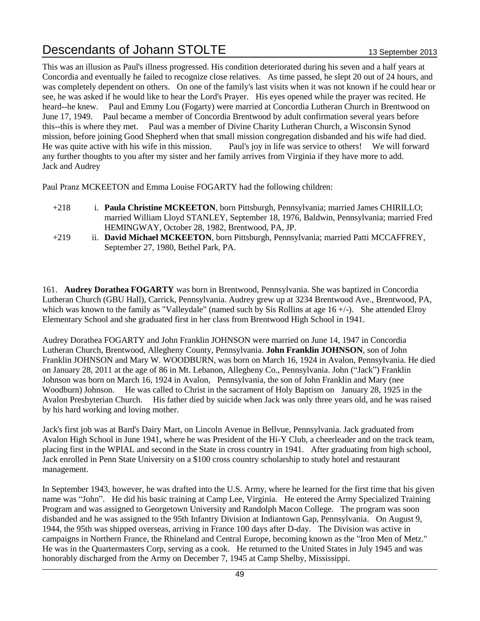This was an illusion as Paul's illness progressed. His condition deteriorated during his seven and a half years at Concordia and eventually he failed to recognize close relatives. As time passed, he slept 20 out of 24 hours, and was completely dependent on others. On one of the family's last visits when it was not known if he could hear or see, he was asked if he would like to hear the Lord's Prayer. His eyes opened while the prayer was recited. He heard--he knew. Paul and Emmy Lou (Fogarty) were married at Concordia Lutheran Church in Brentwood on June 17, 1949. Paul became a member of Concordia Brentwood by adult confirmation several years before this--this is where they met. Paul was a member of Divine Charity Lutheran Church, a Wisconsin Synod mission, before joining Good Shepherd when that small mission congregation disbanded and his wife had died. He was quite active with his wife in this mission. Paul's joy in life was service to others! We will forward any further thoughts to you after my sister and her family arrives from Virginia if they have more to add. Jack and Audrey

Paul Pranz MCKEETON and Emma Louise FOGARTY had the following children:

- +218 i. **Paula Christine MCKEETON**, born Pittsburgh, Pennsylvania; married James CHIRILLO; married William Lloyd STANLEY, September 18, 1976, Baldwin, Pennsylvania; married Fred HEMINGWAY, October 28, 1982, Brentwood, PA, JP.
- +219 ii. **David Michael MCKEETON**, born Pittsburgh, Pennsylvania; married Patti MCCAFFREY, September 27, 1980, Bethel Park, PA.

161. **Audrey Dorathea FOGARTY** was born in Brentwood, Pennsylvania. She was baptized in Concordia Lutheran Church (GBU Hall), Carrick, Pennsylvania. Audrey grew up at 3234 Brentwood Ave., Brentwood, PA, which was known to the family as "Valleydale" (named such by Sis Rollins at age 16 +/-). She attended Elroy Elementary School and she graduated first in her class from Brentwood High School in 1941.

Audrey Dorathea FOGARTY and John Franklin JOHNSON were married on June 14, 1947 in Concordia Lutheran Church, Brentwood, Allegheny County, Pennsylvania. **John Franklin JOHNSON**, son of John Franklin JOHNSON and Mary W. WOODBURN, was born on March 16, 1924 in Avalon, Pennsylvania. He died on January 28, 2011 at the age of 86 in Mt. Lebanon, Allegheny Co., Pennsylvania. John ("Jack") Franklin Johnson was born on March 16, 1924 in Avalon, Pennsylvania, the son of John Franklin and Mary (nee Woodburn) Johnson. He was called to Christ in the sacrament of Holy Baptism on January 28, 1925 in the Avalon Presbyterian Church. His father died by suicide when Jack was only three years old, and he was raised by his hard working and loving mother.

Jack's first job was at Bard's Dairy Mart, on Lincoln Avenue in Bellvue, Pennsylvania. Jack graduated from Avalon High School in June 1941, where he was President of the Hi-Y Club, a cheerleader and on the track team, placing first in the WPIAL and second in the State in cross country in 1941. After graduating from high school, Jack enrolled in Penn State University on a \$100 cross country scholarship to study hotel and restaurant management.

In September 1943, however, he was drafted into the U.S. Army, where he learned for the first time that his given name was "John". He did his basic training at Camp Lee, Virginia. He entered the Army Specialized Training Program and was assigned to Georgetown University and Randolph Macon College. The program was soon disbanded and he was assigned to the 95th Infantry Division at Indiantown Gap, Pennsylvania. On August 9, 1944, the 95th was shipped overseas, arriving in France 100 days after D-day. The Division was active in campaigns in Northern France, the Rhineland and Central Europe, becoming known as the "Iron Men of Metz." He was in the Quartermasters Corp, serving as a cook. He returned to the United States in July 1945 and was honorably discharged from the Army on December 7, 1945 at Camp Shelby, Mississippi.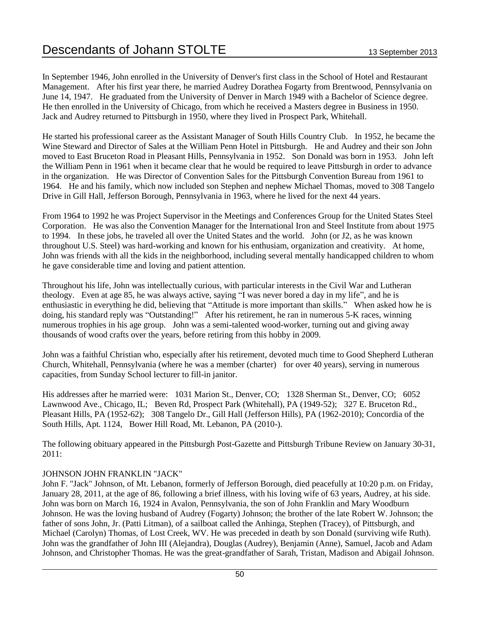In September 1946, John enrolled in the University of Denver's first class in the School of Hotel and Restaurant Management. After his first year there, he married Audrey Dorathea Fogarty from Brentwood, Pennsylvania on June 14, 1947. He graduated from the University of Denver in March 1949 with a Bachelor of Science degree. He then enrolled in the University of Chicago, from which he received a Masters degree in Business in 1950. Jack and Audrey returned to Pittsburgh in 1950, where they lived in Prospect Park, Whitehall.

He started his professional career as the Assistant Manager of South Hills Country Club. In 1952, he became the Wine Steward and Director of Sales at the William Penn Hotel in Pittsburgh. He and Audrey and their son John moved to East Bruceton Road in Pleasant Hills, Pennsylvania in 1952. Son Donald was born in 1953. John left the William Penn in 1961 when it became clear that he would be required to leave Pittsburgh in order to advance in the organization. He was Director of Convention Sales for the Pittsburgh Convention Bureau from 1961 to 1964. He and his family, which now included son Stephen and nephew Michael Thomas, moved to 308 Tangelo Drive in Gill Hall, Jefferson Borough, Pennsylvania in 1963, where he lived for the next 44 years.

From 1964 to 1992 he was Project Supervisor in the Meetings and Conferences Group for the United States Steel Corporation. He was also the Convention Manager for the International Iron and Steel Institute from about 1975 to 1994. In these jobs, he traveled all over the United States and the world. John (or J2, as he was known throughout U.S. Steel) was hard-working and known for his enthusiam, organization and creativity. At home, John was friends with all the kids in the neighborhood, including several mentally handicapped children to whom he gave considerable time and loving and patient attention.

Throughout his life, John was intellectually curious, with particular interests in the Civil War and Lutheran theology. Even at age 85, he was always active, saying "I was never bored a day in my life", and he is enthusiastic in everything he did, believing that "Attitude is more important than skills." When asked how he is doing, his standard reply was "Outstanding!" After his retirement, he ran in numerous 5-K races, winning numerous trophies in his age group. John was a semi-talented wood-worker, turning out and giving away thousands of wood crafts over the years, before retiring from this hobby in 2009.

John was a faithful Christian who, especially after his retirement, devoted much time to Good Shepherd Lutheran Church, Whitehall, Pennsylvania (where he was a member (charter) for over 40 years), serving in numerous capacities, from Sunday School lecturer to fill-in janitor.

His addresses after he married were: 1031 Marion St., Denver, CO; 1328 Sherman St., Denver, CO; 6052 Lawnwood Ave., Chicago, IL; Beven Rd, Prospect Park (Whitehall), PA (1949-52); 327 E. Bruceton Rd., Pleasant Hills, PA (1952-62); 308 Tangelo Dr., Gill Hall (Jefferson Hills), PA (1962-2010); Concordia of the South Hills, Apt. 1124, Bower Hill Road, Mt. Lebanon, PA (2010-).

The following obituary appeared in the Pittsburgh Post-Gazette and Pittsburgh Tribune Review on January 30-31, 2011:

### JOHNSON JOHN FRANKLIN "JACK"

John F. "Jack" Johnson, of Mt. Lebanon, formerly of Jefferson Borough, died peacefully at 10:20 p.m. on Friday, January 28, 2011, at the age of 86, following a brief illness, with his loving wife of 63 years, Audrey, at his side. John was born on March 16, 1924 in Avalon, Pennsylvania, the son of John Franklin and Mary Woodburn Johnson. He was the loving husband of Audrey (Fogarty) Johnson; the brother of the late Robert W. Johnson; the father of sons John, Jr. (Patti Litman), of a sailboat called the Anhinga, Stephen (Tracey), of Pittsburgh, and Michael (Carolyn) Thomas, of Lost Creek, WV. He was preceded in death by son Donald (surviving wife Ruth). John was the grandfather of John III (Alejandra), Douglas (Audrey), Benjamin (Anne), Samuel, Jacob and Adam Johnson, and Christopher Thomas. He was the great-grandfather of Sarah, Tristan, Madison and Abigail Johnson.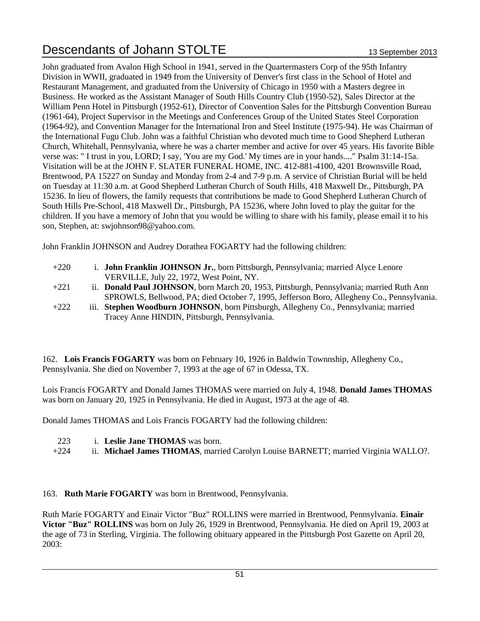John graduated from Avalon High School in 1941, served in the Quartermasters Corp of the 95th Infantry Division in WWII, graduated in 1949 from the University of Denver's first class in the School of Hotel and Restaurant Management, and graduated from the University of Chicago in 1950 with a Masters degree in Business. He worked as the Assistant Manager of South Hills Country Club (1950-52), Sales Director at the William Penn Hotel in Pittsburgh (1952-61), Director of Convention Sales for the Pittsburgh Convention Bureau (1961-64), Project Supervisor in the Meetings and Conferences Group of the United States Steel Corporation (1964-92), and Convention Manager for the International Iron and Steel Institute (1975-94). He was Chairman of the International Fugu Club. John was a faithful Christian who devoted much time to Good Shepherd Lutheran Church, Whitehall, Pennsylvania, where he was a charter member and active for over 45 years. His favorite Bible verse was: " I trust in you, LORD; I say, 'You are my God.' My times are in your hands...." Psalm 31:14-15a. Visitation will be at the JOHN F. SLATER FUNERAL HOME, INC. 412-881-4100, 4201 Brownsville Road, Brentwood, PA 15227 on Sunday and Monday from 2-4 and 7-9 p.m. A service of Christian Burial will be held on Tuesday at 11:30 a.m. at Good Shepherd Lutheran Church of South Hills, 418 Maxwell Dr., Pittsburgh, PA 15236. In lieu of flowers, the family requests that contributions be made to Good Shepherd Lutheran Church of South Hills Pre-School, 418 Maxwell Dr., Pittsburgh, PA 15236, where John loved to play the guitar for the children. If you have a memory of John that you would be willing to share with his family, please email it to his son, Stephen, at: swjohnson98@yahoo.com.

John Franklin JOHNSON and Audrey Dorathea FOGARTY had the following children:

- +220 i. **John Franklin JOHNSON Jr.**, born Pittsburgh, Pennsylvania; married Alyce Lenore VERVILLE, July 22, 1972, West Point, NY.
- +221 ii. **Donald Paul JOHNSON**, born March 20, 1953, Pittsburgh, Pennsylvania; married Ruth Ann SPROWLS, Bellwood, PA; died October 7, 1995, Jefferson Boro, Allegheny Co., Pennsylvania.
- +222 iii. **Stephen Woodburn JOHNSON**, born Pittsburgh, Allegheny Co., Pennsylvania; married Tracey Anne HINDIN, Pittsburgh, Pennsylvania.

162. **Lois Francis FOGARTY** was born on February 10, 1926 in Baldwin Townnship, Allegheny Co., Pennsylvania. She died on November 7, 1993 at the age of 67 in Odessa, TX.

Lois Francis FOGARTY and Donald James THOMAS were married on July 4, 1948. **Donald James THOMAS** was born on January 20, 1925 in Pennsylvania. He died in August, 1973 at the age of 48.

Donald James THOMAS and Lois Francis FOGARTY had the following children:

- 223 i. **Leslie Jane THOMAS** was born.
- +224 ii. **Michael James THOMAS**, married Carolyn Louise BARNETT; married Virginia WALLO?.

### 163. **Ruth Marie FOGARTY** was born in Brentwood, Pennsylvania.

Ruth Marie FOGARTY and Einair Victor "Buz" ROLLINS were married in Brentwood, Pennsylvania. **Einair Victor "Buz" ROLLINS** was born on July 26, 1929 in Brentwood, Pennsylvania. He died on April 19, 2003 at the age of 73 in Sterling, Virginia. The following obituary appeared in the Pittsburgh Post Gazette on April 20, 2003: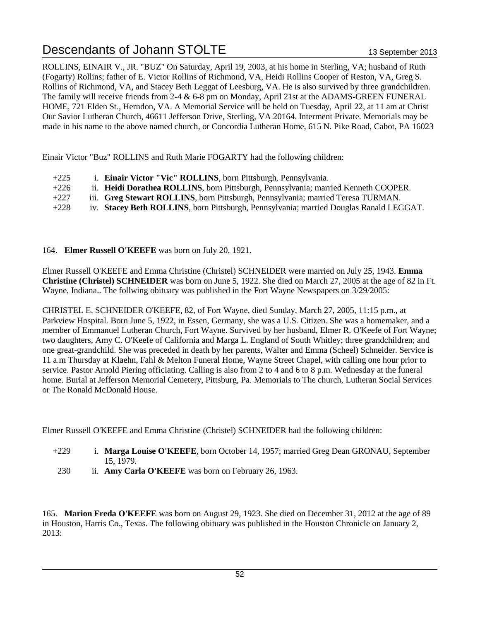ROLLINS, EINAIR V., JR. "BUZ" On Saturday, April 19, 2003, at his home in Sterling, VA; husband of Ruth (Fogarty) Rollins; father of E. Victor Rollins of Richmond, VA, Heidi Rollins Cooper of Reston, VA, Greg S. Rollins of Richmond, VA, and Stacey Beth Leggat of Leesburg, VA. He is also survived by three grandchildren. The family will receive friends from  $2-4 \& 6-8$  pm on Monday, April 21st at the ADAMS-GREEN FUNERAL HOME, 721 Elden St., Herndon, VA. A Memorial Service will be held on Tuesday, April 22, at 11 am at Christ Our Savior Lutheran Church, 46611 Jefferson Drive, Sterling, VA 20164. Interment Private. Memorials may be made in his name to the above named church, or Concordia Lutheran Home, 615 N. Pike Road, Cabot, PA 16023

Einair Victor "Buz" ROLLINS and Ruth Marie FOGARTY had the following children:

- +225 i. **Einair Victor "Vic" ROLLINS**, born Pittsburgh, Pennsylvania.
- +226 ii. **Heidi Dorathea ROLLINS**, born Pittsburgh, Pennsylvania; married Kenneth COOPER.
- +227 iii. **Greg Stewart ROLLINS**, born Pittsburgh, Pennsylvania; married Teresa TURMAN.
- +228 iv. **Stacey Beth ROLLINS**, born Pittsburgh, Pennsylvania; married Douglas Ranald LEGGAT.

164. **Elmer Russell O'KEEFE** was born on July 20, 1921.

Elmer Russell O'KEEFE and Emma Christine (Christel) SCHNEIDER were married on July 25, 1943. **Emma Christine (Christel) SCHNEIDER** was born on June 5, 1922. She died on March 27, 2005 at the age of 82 in Ft. Wayne, Indiana.. The follwing obituary was published in the Fort Wayne Newspapers on 3/29/2005:

CHRISTEL E. SCHNEIDER O'KEEFE, 82, of Fort Wayne, died Sunday, March 27, 2005, 11:15 p.m., at Parkview Hospital. Born June 5, 1922, in Essen, Germany, she was a U.S. Citizen. She was a homemaker, and a member of Emmanuel Lutheran Church, Fort Wayne. Survived by her husband, Elmer R. O'Keefe of Fort Wayne; two daughters, Amy C. O'Keefe of California and Marga L. England of South Whitley; three grandchildren; and one great-grandchild. She was preceded in death by her parents, Walter and Emma (Scheel) Schneider. Service is 11 a.m Thursday at Klaehn, Fahl & Melton Funeral Home, Wayne Street Chapel, with calling one hour prior to service. Pastor Arnold Piering officiating. Calling is also from 2 to 4 and 6 to 8 p.m. Wednesday at the funeral home. Burial at Jefferson Memorial Cemetery, Pittsburg, Pa. Memorials to The church, Lutheran Social Services or The Ronald McDonald House.

Elmer Russell O'KEEFE and Emma Christine (Christel) SCHNEIDER had the following children:

- +229 i. **Marga Louise O'KEEFE**, born October 14, 1957; married Greg Dean GRONAU, September 15, 1979.
- 230 ii. **Amy Carla O'KEEFE** was born on February 26, 1963.

165. **Marion Freda O'KEEFE** was born on August 29, 1923. She died on December 31, 2012 at the age of 89 in Houston, Harris Co., Texas. The following obituary was published in the Houston Chronicle on January 2, 2013: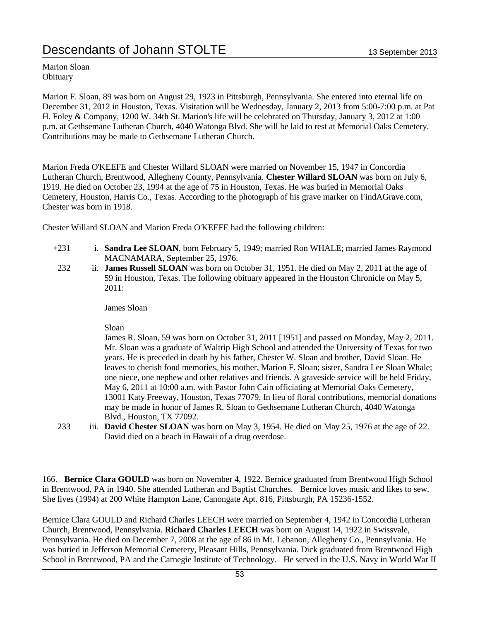Marion Sloan **Obituary** 

Marion F. Sloan, 89 was born on August 29, 1923 in Pittsburgh, Pennsylvania. She entered into eternal life on December 31, 2012 in Houston, Texas. Visitation will be Wednesday, January 2, 2013 from 5:00-7:00 p.m. at Pat H. Foley & Company, 1200 W. 34th St. Marion's life will be celebrated on Thursday, January 3, 2012 at 1:00 p.m. at Gethsemane Lutheran Church, 4040 Watonga Blvd. She will be laid to rest at Memorial Oaks Cemetery. Contributions may be made to Gethsemane Lutheran Church.

Marion Freda O'KEEFE and Chester Willard SLOAN were married on November 15, 1947 in Concordia Lutheran Church, Brentwood, Allegheny County, Pennsylvania. **Chester Willard SLOAN** was born on July 6, 1919. He died on October 23, 1994 at the age of 75 in Houston, Texas. He was buried in Memorial Oaks Cemetery, Houston, Harris Co., Texas. According to the photograph of his grave marker on FindAGrave.com, Chester was born in 1918.

Chester Willard SLOAN and Marion Freda O'KEEFE had the following children:

- +231 i. **Sandra Lee SLOAN**, born February 5, 1949; married Ron WHALE; married James Raymond MACNAMARA, September 25, 1976.
- 232 ii. **James Russell SLOAN** was born on October 31, 1951. He died on May 2, 2011 at the age of 59 in Houston, Texas. The following obituary appeared in the Houston Chronicle on May 5, 2011:

James Sloan

Sloan

James R. Sloan, 59 was born on October 31, 2011 [1951] and passed on Monday, May 2, 2011. Mr. Sloan was a graduate of Waltrip High School and attended the University of Texas for two years. He is preceded in death by his father, Chester W. Sloan and brother, David Sloan. He leaves to cherish fond memories, his mother, Marion F. Sloan; sister, Sandra Lee Sloan Whale; one niece, one nephew and other relatives and friends. A graveside service will be held Friday, May 6, 2011 at 10:00 a.m. with Pastor John Cain officiating at Memorial Oaks Cemetery, 13001 Katy Freeway, Houston, Texas 77079. In lieu of floral contributions, memorial donations may be made in honor of James R. Sloan to Gethsemane Lutheran Church, 4040 Watonga Blvd., Houston, TX 77092.

233 iii. **David Chester SLOAN** was born on May 3, 1954. He died on May 25, 1976 at the age of 22. David died on a beach in Hawaii of a drug overdose.

166. **Bernice Clara GOULD** was born on November 4, 1922. Bernice graduated from Brentwood High School in Brentwood, PA in 1940. She attended Lutheran and Baptist Churches. Bernice loves music and likes to sew. She lives (1994) at 200 White Hampton Lane, Canongate Apt. 816, Pittsburgh, PA 15236-1552.

Bernice Clara GOULD and Richard Charles LEECH were married on September 4, 1942 in Concordia Lutheran Church, Brentwood, Pennsylvania. **Richard Charles LEECH** was born on August 14, 1922 in Swissvale, Pennsylvania. He died on December 7, 2008 at the age of 86 in Mt. Lebanon, Allegheny Co., Pennsylvania. He was buried in Jefferson Memorial Cemetery, Pleasant Hills, Pennsylvania. Dick graduated from Brentwood High School in Brentwood, PA and the Carnegie Institute of Technology. He served in the U.S. Navy in World War II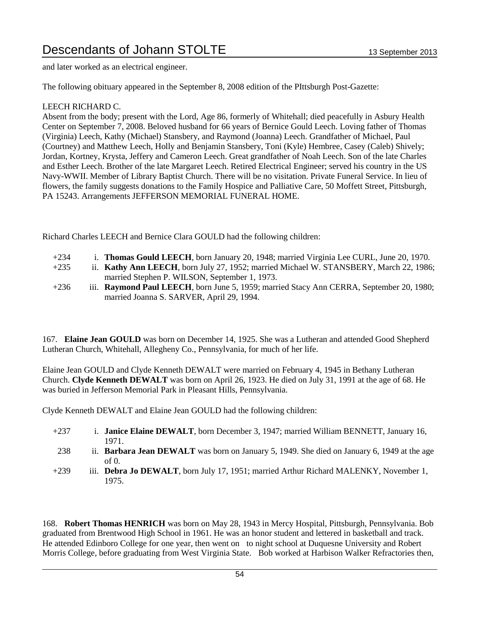and later worked as an electrical engineer.

The following obituary appeared in the September 8, 2008 edition of the PIttsburgh Post-Gazette:

### LEECH RICHARD C.

Absent from the body; present with the Lord, Age 86, formerly of Whitehall; died peacefully in Asbury Health Center on September 7, 2008. Beloved husband for 66 years of Bernice Gould Leech. Loving father of Thomas (Virginia) Leech, Kathy (Michael) Stansbery, and Raymond (Joanna) Leech. Grandfather of Michael, Paul (Courtney) and Matthew Leech, Holly and Benjamin Stansbery, Toni (Kyle) Hembree, Casey (Caleb) Shively; Jordan, Kortney, Krysta, Jeffery and Cameron Leech. Great grandfather of Noah Leech. Son of the late Charles and Esther Leech. Brother of the late Margaret Leech. Retired Electrical Engineer; served his country in the US Navy-WWII. Member of Library Baptist Church. There will be no visitation. Private Funeral Service. In lieu of flowers, the family suggests donations to the Family Hospice and Palliative Care, 50 Moffett Street, Pittsburgh, PA 15243. Arrangements JEFFERSON MEMORIAL FUNERAL HOME.

Richard Charles LEECH and Bernice Clara GOULD had the following children:

- +234 i. **Thomas Gould LEECH**, born January 20, 1948; married Virginia Lee CURL, June 20, 1970.
- +235 ii. **Kathy Ann LEECH**, born July 27, 1952; married Michael W. STANSBERY, March 22, 1986; married Stephen P. WILSON, September 1, 1973.
- +236 iii. **Raymond Paul LEECH**, born June 5, 1959; married Stacy Ann CERRA, September 20, 1980; married Joanna S. SARVER, April 29, 1994.

167. **Elaine Jean GOULD** was born on December 14, 1925. She was a Lutheran and attended Good Shepherd Lutheran Church, Whitehall, Allegheny Co., Pennsylvania, for much of her life.

Elaine Jean GOULD and Clyde Kenneth DEWALT were married on February 4, 1945 in Bethany Lutheran Church. **Clyde Kenneth DEWALT** was born on April 26, 1923. He died on July 31, 1991 at the age of 68. He was buried in Jefferson Memorial Park in Pleasant Hills, Pennsylvania.

Clyde Kenneth DEWALT and Elaine Jean GOULD had the following children:

- +237 i. **Janice Elaine DEWALT**, born December 3, 1947; married William BENNETT, January 16, 1971.
- 238 ii. **Barbara Jean DEWALT** was born on January 5, 1949. She died on January 6, 1949 at the age of 0.
- +239 iii. **Debra Jo DEWALT**, born July 17, 1951; married Arthur Richard MALENKY, November 1, 1975.

168. **Robert Thomas HENRICH** was born on May 28, 1943 in Mercy Hospital, Pittsburgh, Pennsylvania. Bob graduated from Brentwood High School in 1961. He was an honor student and lettered in basketball and track. He attended Edinboro College for one year, then went on to night school at Duquesne University and Robert Morris College, before graduating from West Virginia State. Bob worked at Harbison Walker Refractories then,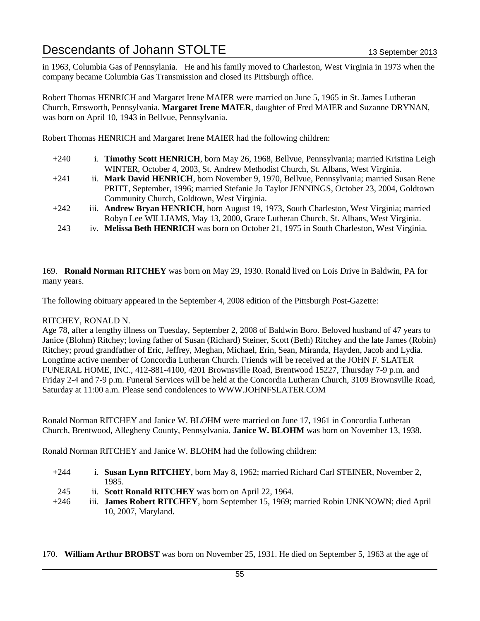in 1963, Columbia Gas of Pennsylania. He and his family moved to Charleston, West Virginia in 1973 when the company became Columbia Gas Transmission and closed its Pittsburgh office.

Robert Thomas HENRICH and Margaret Irene MAIER were married on June 5, 1965 in St. James Lutheran Church, Emsworth, Pennsylvania. **Margaret Irene MAIER**, daughter of Fred MAIER and Suzanne DRYNAN, was born on April 10, 1943 in Bellvue, Pennsylvania.

Robert Thomas HENRICH and Margaret Irene MAIER had the following children:

- +240 i. **Timothy Scott HENRICH**, born May 26, 1968, Bellvue, Pennsylvania; married Kristina Leigh WINTER, October 4, 2003, St. Andrew Methodist Church, St. Albans, West Virginia.
- +241 ii. **Mark David HENRICH**, born November 9, 1970, Bellvue, Pennsylvania; married Susan Rene PRITT, September, 1996; married Stefanie Jo Taylor JENNINGS, October 23, 2004, Goldtown Community Church, Goldtown, West Virginia.
- +242 iii. **Andrew Bryan HENRICH**, born August 19, 1973, South Charleston, West Virginia; married Robyn Lee WILLIAMS, May 13, 2000, Grace Lutheran Church, St. Albans, West Virginia.
- 243 iv. **Melissa Beth HENRICH** was born on October 21, 1975 in South Charleston, West Virginia.

169. **Ronald Norman RITCHEY** was born on May 29, 1930. Ronald lived on Lois Drive in Baldwin, PA for many years.

The following obituary appeared in the September 4, 2008 edition of the Pittsburgh Post-Gazette:

### RITCHEY, RONALD N.

Age 78, after a lengthy illness on Tuesday, September 2, 2008 of Baldwin Boro. Beloved husband of 47 years to Janice (Blohm) Ritchey; loving father of Susan (Richard) Steiner, Scott (Beth) Ritchey and the late James (Robin) Ritchey; proud grandfather of Eric, Jeffrey, Meghan, Michael, Erin, Sean, Miranda, Hayden, Jacob and Lydia. Longtime active member of Concordia Lutheran Church. Friends will be received at the JOHN F. SLATER FUNERAL HOME, INC., 412-881-4100, 4201 Brownsville Road, Brentwood 15227, Thursday 7-9 p.m. and Friday 2-4 and 7-9 p.m. Funeral Services will be held at the Concordia Lutheran Church, 3109 Brownsville Road, Saturday at 11:00 a.m. Please send condolences to WWW.JOHNFSLATER.COM

Ronald Norman RITCHEY and Janice W. BLOHM were married on June 17, 1961 in Concordia Lutheran Church, Brentwood, Allegheny County, Pennsylvania. **Janice W. BLOHM** was born on November 13, 1938.

Ronald Norman RITCHEY and Janice W. BLOHM had the following children:

- +244 i. **Susan Lynn RITCHEY**, born May 8, 1962; married Richard Carl STEINER, November 2, 1985.
- 245 ii. **Scott Ronald RITCHEY** was born on April 22, 1964.
- +246 iii. **James Robert RITCHEY**, born September 15, 1969; married Robin UNKNOWN; died April 10, 2007, Maryland.

170. **William Arthur BROBST** was born on November 25, 1931. He died on September 5, 1963 at the age of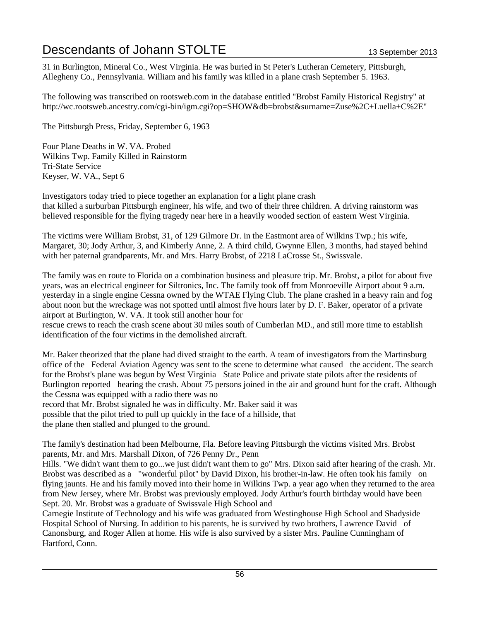31 in Burlington, Mineral Co., West Virginia. He was buried in St Peter's Lutheran Cemetery, Pittsburgh, Allegheny Co., Pennsylvania. William and his family was killed in a plane crash September 5. 1963.

The following was transcribed on rootsweb.com in the database entitled "Brobst Family Historical Registry" at http://wc.rootsweb.ancestry.com/cgi-bin/igm.cgi?op=SHOW&db=brobst&surname=Zuse%2C+Luella+C%2E"

The Pittsburgh Press, Friday, September 6, 1963

Four Plane Deaths in W. VA. Probed Wilkins Twp. Family Killed in Rainstorm Tri-State Service Keyser, W. VA., Sept 6

Investigators today tried to piece together an explanation for a light plane crash that killed a surburban Pittsburgh engineer, his wife, and two of their three children. A driving rainstorm was believed responsible for the flying tragedy near here in a heavily wooded section of eastern West Virginia.

The victims were William Brobst, 31, of 129 Gilmore Dr. in the Eastmont area of Wilkins Twp.; his wife, Margaret, 30; Jody Arthur, 3, and Kimberly Anne, 2. A third child, Gwynne Ellen, 3 months, had stayed behind with her paternal grandparents, Mr. and Mrs. Harry Brobst, of 2218 LaCrosse St., Swissvale.

The family was en route to Florida on a combination business and pleasure trip. Mr. Brobst, a pilot for about five years, was an electrical engineer for Siltronics, Inc. The family took off from Monroeville Airport about 9 a.m. yesterday in a single engine Cessna owned by the WTAE Flying Club. The plane crashed in a heavy rain and fog about noon but the wreckage was not spotted until almost five hours later by D. F. Baker, operator of a private airport at Burlington, W. VA. It took still another hour for rescue crews to reach the crash scene about 30 miles south of Cumberlan MD., and still more time to establish identification of the four victims in the demolished aircraft.

Mr. Baker theorized that the plane had dived straight to the earth. A team of investigators from the Martinsburg office of the Federal Aviation Agency was sent to the scene to determine what caused the accident. The search for the Brobst's plane was begun by West Virginia State Police and private state pilots after the residents of Burlington reported hearing the crash. About 75 persons joined in the air and ground hunt for the craft. Although the Cessna was equipped with a radio there was no record that Mr. Brobst signaled he was in difficulty. Mr. Baker said it was possible that the pilot tried to pull up quickly in the face of a hillside, that the plane then stalled and plunged to the ground.

The family's destination had been Melbourne, Fla. Before leaving Pittsburgh the victims visited Mrs. Brobst parents, Mr. and Mrs. Marshall Dixon, of 726 Penny Dr., Penn

Hills. "We didn't want them to go...we just didn't want them to go" Mrs. Dixon said after hearing of the crash. Mr. Brobst was described as a "wonderful pilot" by David Dixon, his brother-in-law. He often took his family on flying jaunts. He and his family moved into their home in Wilkins Twp. a year ago when they returned to the area from New Jersey, where Mr. Brobst was previously employed. Jody Arthur's fourth birthday would have been Sept. 20. Mr. Brobst was a graduate of Swissvale High School and

Carnegie Institute of Technology and his wife was graduated from Westinghouse High School and Shadyside Hospital School of Nursing. In addition to his parents, he is survived by two brothers, Lawrence David of Canonsburg, and Roger Allen at home. His wife is also survived by a sister Mrs. Pauline Cunningham of Hartford, Conn.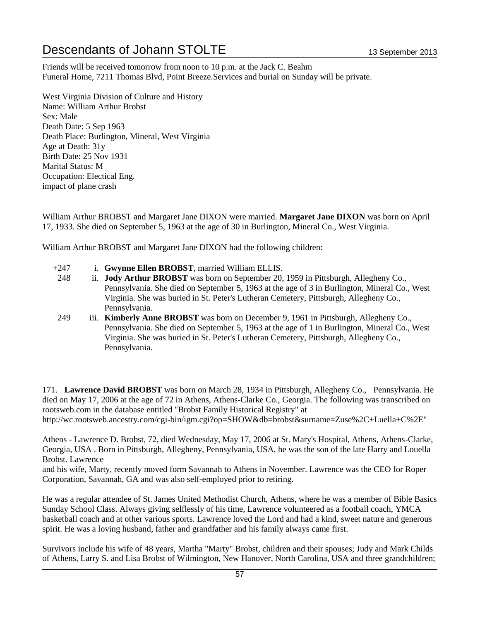Friends will be received tomorrow from noon to 10 p.m. at the Jack C. Beahm Funeral Home, 7211 Thomas Blvd, Point Breeze.Services and burial on Sunday will be private.

West Virginia Division of Culture and History Name: William Arthur Brobst Sex: Male Death Date: 5 Sep 1963 Death Place: Burlington, Mineral, West Virginia Age at Death: 31y Birth Date: 25 Nov 1931 Marital Status: M Occupation: Electical Eng. impact of plane crash

William Arthur BROBST and Margaret Jane DIXON were married. **Margaret Jane DIXON** was born on April 17, 1933. She died on September 5, 1963 at the age of 30 in Burlington, Mineral Co., West Virginia.

William Arthur BROBST and Margaret Jane DIXON had the following children:

- +247 i. **Gwynne Ellen BROBST**, married William ELLIS.
- 248 ii. **Jody Arthur BROBST** was born on September 20, 1959 in Pittsburgh, Allegheny Co., Pennsylvania. She died on September 5, 1963 at the age of 3 in Burlington, Mineral Co., West Virginia. She was buried in St. Peter's Lutheran Cemetery, Pittsburgh, Allegheny Co., Pennsylvania.
- 249 iii. **Kimberly Anne BROBST** was born on December 9, 1961 in Pittsburgh, Allegheny Co., Pennsylvania. She died on September 5, 1963 at the age of 1 in Burlington, Mineral Co., West Virginia. She was buried in St. Peter's Lutheran Cemetery, Pittsburgh, Allegheny Co., Pennsylvania.

171. **Lawrence David BROBST** was born on March 28, 1934 in Pittsburgh, Allegheny Co., Pennsylvania. He died on May 17, 2006 at the age of 72 in Athens, Athens-Clarke Co., Georgia. The following was transcribed on rootsweb.com in the database entitled "Brobst Family Historical Registry" at http://wc.rootsweb.ancestry.com/cgi-bin/igm.cgi?op=SHOW&db=brobst&surname=Zuse%2C+Luella+C%2E"

Athens - Lawrence D. Brobst, 72, died Wednesday, May 17, 2006 at St. Mary's Hospital, Athens, Athens-Clarke, Georgia, USA . Born in Pittsburgh, Allegheny, Pennsylvania, USA, he was the son of the late Harry and Louella Brobst. Lawrence

and his wife, Marty, recently moved form Savannah to Athens in November. Lawrence was the CEO for Roper Corporation, Savannah, GA and was also self-employed prior to retiring.

He was a regular attendee of St. James United Methodist Church, Athens, where he was a member of Bible Basics Sunday School Class. Always giving selflessly of his time, Lawrence volunteered as a football coach, YMCA basketball coach and at other various sports. Lawrence loved the Lord and had a kind, sweet nature and generous spirit. He was a loving husband, father and grandfather and his family always came first.

Survivors include his wife of 48 years, Martha "Marty" Brobst, children and their spouses; Judy and Mark Childs of Athens, Larry S. and Lisa Brobst of Wilmington, New Hanover, North Carolina, USA and three grandchildren;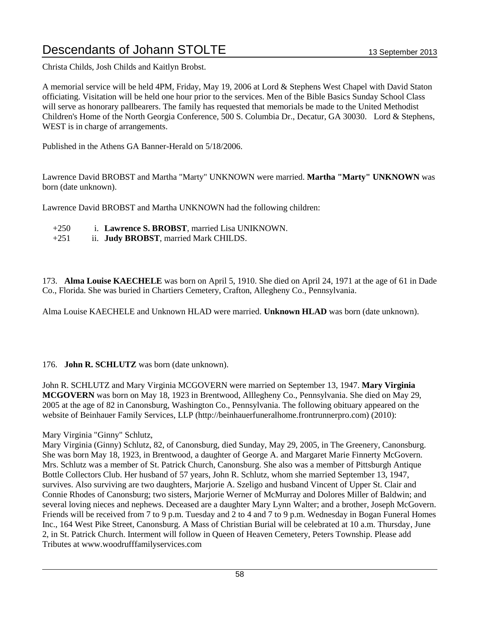Christa Childs, Josh Childs and Kaitlyn Brobst.

A memorial service will be held 4PM, Friday, May 19, 2006 at Lord & Stephens West Chapel with David Staton officiating. Visitation will be held one hour prior to the services. Men of the Bible Basics Sunday School Class will serve as honorary pallbearers. The family has requested that memorials be made to the United Methodist Children's Home of the North Georgia Conference, 500 S. Columbia Dr., Decatur, GA 30030. Lord & Stephens, WEST is in charge of arrangements.

Published in the Athens GA Banner-Herald on 5/18/2006.

Lawrence David BROBST and Martha "Marty" UNKNOWN were married. **Martha "Marty" UNKNOWN** was born (date unknown).

Lawrence David BROBST and Martha UNKNOWN had the following children:

- +250 i. **Lawrence S. BROBST**, married Lisa UNIKNOWN.
- +251 ii. **Judy BROBST**, married Mark CHILDS.

173. **Alma Louise KAECHELE** was born on April 5, 1910. She died on April 24, 1971 at the age of 61 in Dade Co., Florida. She was buried in Chartiers Cemetery, Crafton, Allegheny Co., Pennsylvania.

Alma Louise KAECHELE and Unknown HLAD were married. **Unknown HLAD** was born (date unknown).

176. **John R. SCHLUTZ** was born (date unknown).

John R. SCHLUTZ and Mary Virginia MCGOVERN were married on September 13, 1947. **Mary Virginia MCGOVERN** was born on May 18, 1923 in Brentwood, Alllegheny Co., Pennsylvania. She died on May 29, 2005 at the age of 82 in Canonsburg, Washington Co., Pennsylvania. The following obituary appeared on the website of Beinhauer Family Services, LLP (http://beinhauerfuneralhome.frontrunnerpro.com) (2010):

Mary Virginia "Ginny" Schlutz,

Mary Virginia (Ginny) Schlutz, 82, of Canonsburg, died Sunday, May 29, 2005, in The Greenery, Canonsburg. She was born May 18, 1923, in Brentwood, a daughter of George A. and Margaret Marie Finnerty McGovern. Mrs. Schlutz was a member of St. Patrick Church, Canonsburg. She also was a member of Pittsburgh Antique Bottle Collectors Club. Her husband of 57 years, John R. Schlutz, whom she married September 13, 1947, survives. Also surviving are two daughters, Marjorie A. Szeligo and husband Vincent of Upper St. Clair and Connie Rhodes of Canonsburg; two sisters, Marjorie Werner of McMurray and Dolores Miller of Baldwin; and several loving nieces and nephews. Deceased are a daughter Mary Lynn Walter; and a brother, Joseph McGovern. Friends will be received from 7 to 9 p.m. Tuesday and 2 to 4 and 7 to 9 p.m. Wednesday in Bogan Funeral Homes Inc., 164 West Pike Street, Canonsburg. A Mass of Christian Burial will be celebrated at 10 a.m. Thursday, June 2, in St. Patrick Church. Interment will follow in Queen of Heaven Cemetery, Peters Township. Please add Tributes at www.woodrufffamilyservices.com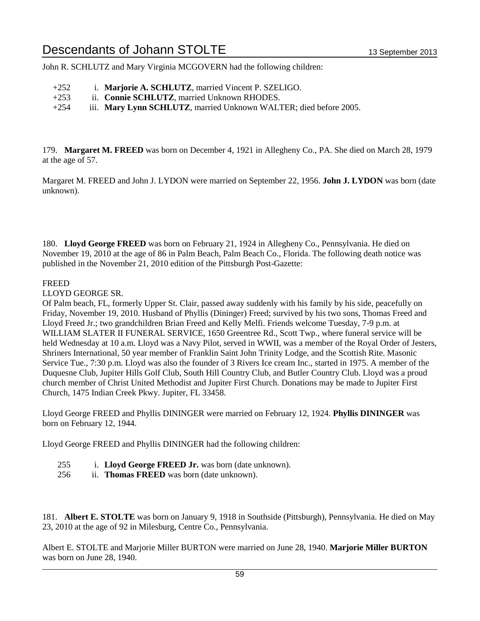John R. SCHLUTZ and Mary Virginia MCGOVERN had the following children:

- +252 i. **Marjorie A. SCHLUTZ**, married Vincent P. SZELIGO.
- +253 ii. **Connie SCHLUTZ**, married Unknown RHODES.
- +254 iii. **Mary Lynn SCHLUTZ**, married Unknown WALTER; died before 2005.

179. **Margaret M. FREED** was born on December 4, 1921 in Allegheny Co., PA. She died on March 28, 1979 at the age of 57.

Margaret M. FREED and John J. LYDON were married on September 22, 1956. **John J. LYDON** was born (date unknown).

180. **Lloyd George FREED** was born on February 21, 1924 in Allegheny Co., Pennsylvania. He died on November 19, 2010 at the age of 86 in Palm Beach, Palm Beach Co., Florida. The following death notice was published in the November 21, 2010 edition of the Pittsburgh Post-Gazette:

### FREED

LLOYD GEORGE SR.

Of Palm beach, FL, formerly Upper St. Clair, passed away suddenly with his family by his side, peacefully on Friday, November 19, 2010. Husband of Phyllis (Dininger) Freed; survived by his two sons, Thomas Freed and Lloyd Freed Jr.; two grandchildren Brian Freed and Kelly Melfi. Friends welcome Tuesday, 7-9 p.m. at WILLIAM SLATER II FUNERAL SERVICE, 1650 Greentree Rd., Scott Twp., where funeral service will be held Wednesday at 10 a.m. Lloyd was a Navy Pilot, served in WWII, was a member of the Royal Order of Jesters, Shriners International, 50 year member of Franklin Saint John Trinity Lodge, and the Scottish Rite. Masonic Service Tue., 7:30 p.m. Lloyd was also the founder of 3 Rivers Ice cream Inc., started in 1975. A member of the Duquesne Club, Jupiter Hills Golf Club, South Hill Country Club, and Butler Country Club. Lloyd was a proud church member of Christ United Methodist and Jupiter First Church. Donations may be made to Jupiter First Church, 1475 Indian Creek Pkwy. Jupiter, FL 33458.

Lloyd George FREED and Phyllis DININGER were married on February 12, 1924. **Phyllis DININGER** was born on February 12, 1944.

Lloyd George FREED and Phyllis DININGER had the following children:

- 255 i. **Lloyd George FREED Jr.** was born (date unknown).
- 256 ii. **Thomas FREED** was born (date unknown).

181. **Albert E. STOLTE** was born on January 9, 1918 in Southside (Pittsburgh), Pennsylvania. He died on May 23, 2010 at the age of 92 in Milesburg, Centre Co., Pennsylvania.

Albert E. STOLTE and Marjorie Miller BURTON were married on June 28, 1940. **Marjorie Miller BURTON** was born on June 28, 1940.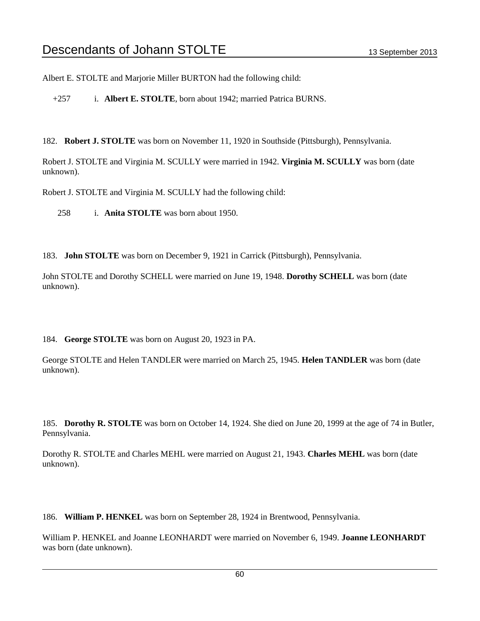Albert E. STOLTE and Marjorie Miller BURTON had the following child:

+257 i. **Albert E. STOLTE**, born about 1942; married Patrica BURNS.

182. **Robert J. STOLTE** was born on November 11, 1920 in Southside (Pittsburgh), Pennsylvania.

Robert J. STOLTE and Virginia M. SCULLY were married in 1942. **Virginia M. SCULLY** was born (date unknown).

Robert J. STOLTE and Virginia M. SCULLY had the following child:

258 i. **Anita STOLTE** was born about 1950.

183. **John STOLTE** was born on December 9, 1921 in Carrick (Pittsburgh), Pennsylvania.

John STOLTE and Dorothy SCHELL were married on June 19, 1948. **Dorothy SCHELL** was born (date unknown).

184. **George STOLTE** was born on August 20, 1923 in PA.

George STOLTE and Helen TANDLER were married on March 25, 1945. **Helen TANDLER** was born (date unknown).

185. **Dorothy R. STOLTE** was born on October 14, 1924. She died on June 20, 1999 at the age of 74 in Butler, Pennsylvania.

Dorothy R. STOLTE and Charles MEHL were married on August 21, 1943. **Charles MEHL** was born (date unknown).

186. **William P. HENKEL** was born on September 28, 1924 in Brentwood, Pennsylvania.

William P. HENKEL and Joanne LEONHARDT were married on November 6, 1949. **Joanne LEONHARDT** was born (date unknown).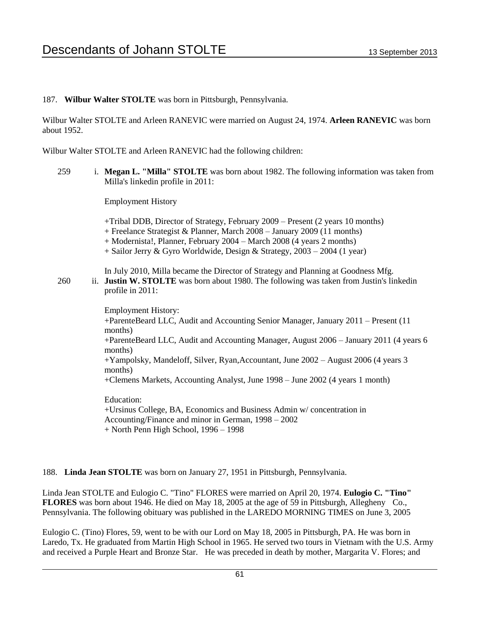### 187. **Wilbur Walter STOLTE** was born in Pittsburgh, Pennsylvania.

Wilbur Walter STOLTE and Arleen RANEVIC were married on August 24, 1974. **Arleen RANEVIC** was born about 1952.

Wilbur Walter STOLTE and Arleen RANEVIC had the following children:

259 i. **Megan L. "Milla" STOLTE** was born about 1982. The following information was taken from Milla's linkedin profile in 2011:

Employment History

+Tribal DDB, Director of Strategy, February 2009 – Present (2 years 10 months) + Freelance Strategist & Planner, March 2008 – January 2009 (11 months) + Modernista!, Planner, February 2004 – March 2008 (4 years 2 months) + Sailor Jerry & Gyro Worldwide, Design & Strategy, 2003 – 2004 (1 year)

In July 2010, Milla became the Director of Strategy and Planning at Goodness Mfg. 260 ii. **Justin W. STOLTE** was born about 1980. The following was taken from Justin's linkedin profile in 2011:

> Employment History: +ParenteBeard LLC, Audit and Accounting Senior Manager, January 2011 – Present (11 months) +ParenteBeard LLC, Audit and Accounting Manager, August 2006 – January 2011 (4 years 6 months) +Yampolsky, Mandeloff, Silver, Ryan,Accountant, June 2002 – August 2006 (4 years 3 months) +Clemens Markets, Accounting Analyst, June 1998 – June 2002 (4 years 1 month) Education:

+Ursinus College, BA, Economics and Business Admin w/ concentration in Accounting/Finance and minor in German, 1998 – 2002 + North Penn High School, 1996 – 1998

188. **Linda Jean STOLTE** was born on January 27, 1951 in Pittsburgh, Pennsylvania.

Linda Jean STOLTE and Eulogio C. "Tino" FLORES were married on April 20, 1974. **Eulogio C. "Tino" FLORES** was born about 1946. He died on May 18, 2005 at the age of 59 in Pittsburgh, Allegheny Co., Pennsylvania. The following obituary was published in the LAREDO MORNING TIMES on June 3, 2005

Eulogio C. (Tino) Flores, 59, went to be with our Lord on May 18, 2005 in Pittsburgh, PA. He was born in Laredo, Tx. He graduated from Martin High School in 1965. He served two tours in Vietnam with the U.S. Army and received a Purple Heart and Bronze Star. He was preceded in death by mother, Margarita V. Flores; and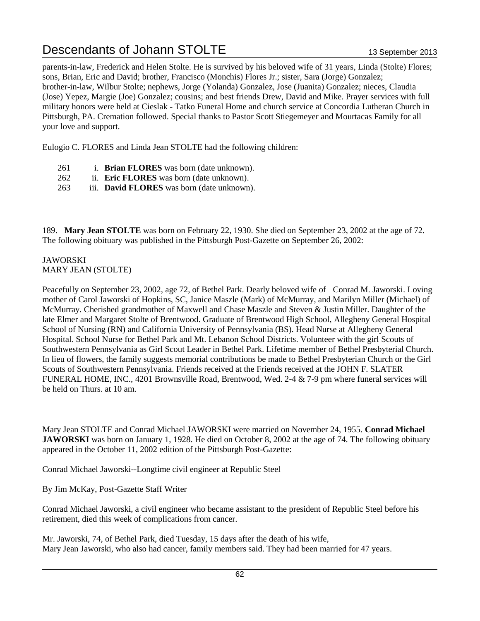parents-in-law, Frederick and Helen Stolte. He is survived by his beloved wife of 31 years, Linda (Stolte) Flores; sons, Brian, Eric and David; brother, Francisco (Monchis) Flores Jr.; sister, Sara (Jorge) Gonzalez; brother-in-law, Wilbur Stolte; nephews, Jorge (Yolanda) Gonzalez, Jose (Juanita) Gonzalez; nieces, Claudia (Jose) Yepez, Margie (Joe) Gonzalez; cousins; and best friends Drew, David and Mike. Prayer services with full military honors were held at Cieslak - Tatko Funeral Home and church service at Concordia Lutheran Church in Pittsburgh, PA. Cremation followed. Special thanks to Pastor Scott Stiegemeyer and Mourtacas Family for all your love and support.

Eulogio C. FLORES and Linda Jean STOLTE had the following children:

- 261 i. **Brian FLORES** was born (date unknown).
- 262 ii. **Eric FLORES** was born (date unknown).
- 263 iii. **David FLORES** was born (date unknown).

189. **Mary Jean STOLTE** was born on February 22, 1930. She died on September 23, 2002 at the age of 72. The following obituary was published in the Pittsburgh Post-Gazette on September 26, 2002:

### JAWORSKI MARY JEAN (STOLTE)

Peacefully on September 23, 2002, age 72, of Bethel Park. Dearly beloved wife of Conrad M. Jaworski. Loving mother of Carol Jaworski of Hopkins, SC, Janice Maszle (Mark) of McMurray, and Marilyn Miller (Michael) of McMurray. Cherished grandmother of Maxwell and Chase Maszle and Steven & Justin Miller. Daughter of the late Elmer and Margaret Stolte of Brentwood. Graduate of Brentwood High School, Allegheny General Hospital School of Nursing (RN) and California University of Pennsylvania (BS). Head Nurse at Allegheny General Hospital. School Nurse for Bethel Park and Mt. Lebanon School Districts. Volunteer with the girl Scouts of Southwestern Pennsylvania as Girl Scout Leader in Bethel Park. Lifetime member of Bethel Presbyterial Church. In lieu of flowers, the family suggests memorial contributions be made to Bethel Presbyterian Church or the Girl Scouts of Southwestern Pennsylvania. Friends received at the Friends received at the JOHN F. SLATER FUNERAL HOME, INC., 4201 Brownsville Road, Brentwood, Wed. 2-4 & 7-9 pm where funeral services will be held on Thurs. at 10 am.

Mary Jean STOLTE and Conrad Michael JAWORSKI were married on November 24, 1955. **Conrad Michael JAWORSKI** was born on January 1, 1928. He died on October 8, 2002 at the age of 74. The following obituary appeared in the October 11, 2002 edition of the Pittsburgh Post-Gazette:

Conrad Michael Jaworski--Longtime civil engineer at Republic Steel

By Jim McKay, Post-Gazette Staff Writer

Conrad Michael Jaworski, a civil engineer who became assistant to the president of Republic Steel before his retirement, died this week of complications from cancer.

Mr. Jaworski, 74, of Bethel Park, died Tuesday, 15 days after the death of his wife, Mary Jean Jaworski, who also had cancer, family members said. They had been married for 47 years.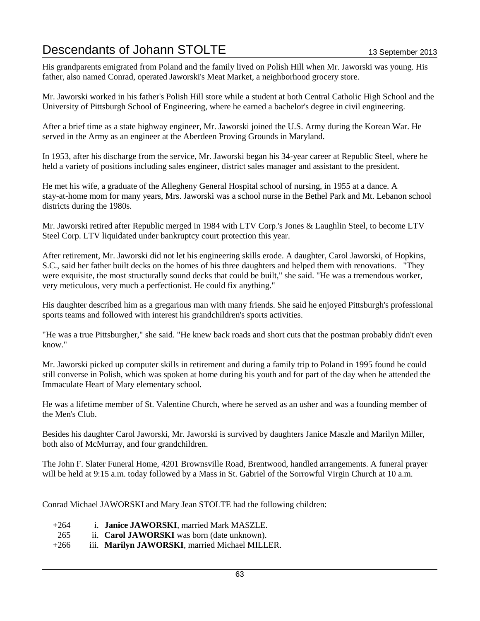His grandparents emigrated from Poland and the family lived on Polish Hill when Mr. Jaworski was young. His father, also named Conrad, operated Jaworski's Meat Market, a neighborhood grocery store.

Mr. Jaworski worked in his father's Polish Hill store while a student at both Central Catholic High School and the University of Pittsburgh School of Engineering, where he earned a bachelor's degree in civil engineering.

After a brief time as a state highway engineer, Mr. Jaworski joined the U.S. Army during the Korean War. He served in the Army as an engineer at the Aberdeen Proving Grounds in Maryland.

In 1953, after his discharge from the service, Mr. Jaworski began his 34-year career at Republic Steel, where he held a variety of positions including sales engineer, district sales manager and assistant to the president.

He met his wife, a graduate of the Allegheny General Hospital school of nursing, in 1955 at a dance. A stay-at-home mom for many years, Mrs. Jaworski was a school nurse in the Bethel Park and Mt. Lebanon school districts during the 1980s.

Mr. Jaworski retired after Republic merged in 1984 with LTV Corp.'s Jones & Laughlin Steel, to become LTV Steel Corp. LTV liquidated under bankruptcy court protection this year.

After retirement, Mr. Jaworski did not let his engineering skills erode. A daughter, Carol Jaworski, of Hopkins, S.C., said her father built decks on the homes of his three daughters and helped them with renovations. "They were exquisite, the most structurally sound decks that could be built," she said. "He was a tremendous worker, very meticulous, very much a perfectionist. He could fix anything."

His daughter described him as a gregarious man with many friends. She said he enjoyed Pittsburgh's professional sports teams and followed with interest his grandchildren's sports activities.

"He was a true Pittsburgher," she said. "He knew back roads and short cuts that the postman probably didn't even know."

Mr. Jaworski picked up computer skills in retirement and during a family trip to Poland in 1995 found he could still converse in Polish, which was spoken at home during his youth and for part of the day when he attended the Immaculate Heart of Mary elementary school.

He was a lifetime member of St. Valentine Church, where he served as an usher and was a founding member of the Men's Club.

Besides his daughter Carol Jaworski, Mr. Jaworski is survived by daughters Janice Maszle and Marilyn Miller, both also of McMurray, and four grandchildren.

The John F. Slater Funeral Home, 4201 Brownsville Road, Brentwood, handled arrangements. A funeral prayer will be held at 9:15 a.m. today followed by a Mass in St. Gabriel of the Sorrowful Virgin Church at 10 a.m.

Conrad Michael JAWORSKI and Mary Jean STOLTE had the following children:

- +264 i. **Janice JAWORSKI**, married Mark MASZLE.
- 265 ii. **Carol JAWORSKI** was born (date unknown).
- +266 iii. **Marilyn JAWORSKI**, married Michael MILLER.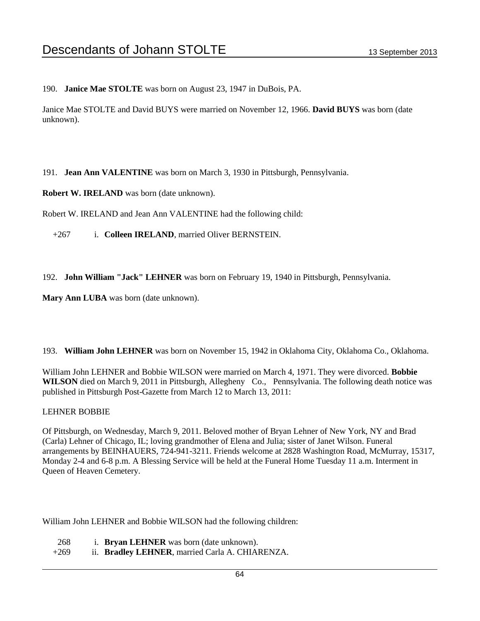190. **Janice Mae STOLTE** was born on August 23, 1947 in DuBois, PA.

Janice Mae STOLTE and David BUYS were married on November 12, 1966. **David BUYS** was born (date unknown).

191. **Jean Ann VALENTINE** was born on March 3, 1930 in Pittsburgh, Pennsylvania.

**Robert W. IRELAND** was born (date unknown).

Robert W. IRELAND and Jean Ann VALENTINE had the following child:

+267 i. **Colleen IRELAND**, married Oliver BERNSTEIN.

192. **John William "Jack" LEHNER** was born on February 19, 1940 in Pittsburgh, Pennsylvania.

**Mary Ann LUBA** was born (date unknown).

193. **William John LEHNER** was born on November 15, 1942 in Oklahoma City, Oklahoma Co., Oklahoma.

William John LEHNER and Bobbie WILSON were married on March 4, 1971. They were divorced. **Bobbie WILSON** died on March 9, 2011 in Pittsburgh, Allegheny Co., Pennsylvania. The following death notice was published in Pittsburgh Post-Gazette from March 12 to March 13, 2011:

### LEHNER BOBBIE

Of Pittsburgh, on Wednesday, March 9, 2011. Beloved mother of Bryan Lehner of New York, NY and Brad (Carla) Lehner of Chicago, IL; loving grandmother of Elena and Julia; sister of Janet Wilson. Funeral arrangements by BEINHAUERS, 724-941-3211. Friends welcome at 2828 Washington Road, McMurray, 15317, Monday 2-4 and 6-8 p.m. A Blessing Service will be held at the Funeral Home Tuesday 11 a.m. Interment in Queen of Heaven Cemetery.

William John LEHNER and Bobbie WILSON had the following children:

- 268 i. **Bryan LEHNER** was born (date unknown).
- +269 ii. **Bradley LEHNER**, married Carla A. CHIARENZA.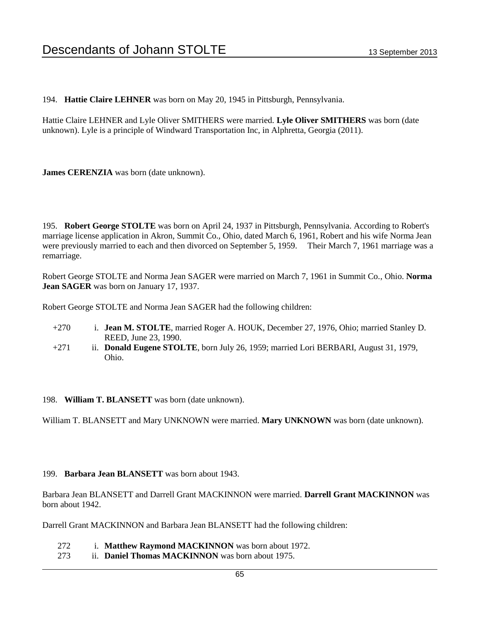194. **Hattie Claire LEHNER** was born on May 20, 1945 in Pittsburgh, Pennsylvania.

Hattie Claire LEHNER and Lyle Oliver SMITHERS were married. **Lyle Oliver SMITHERS** was born (date unknown). Lyle is a principle of Windward Transportation Inc, in Alphretta, Georgia (2011).

**James CERENZIA** was born (date unknown).

195. **Robert George STOLTE** was born on April 24, 1937 in Pittsburgh, Pennsylvania. According to Robert's marriage license application in Akron, Summit Co., Ohio, dated March 6, 1961, Robert and his wife Norma Jean were previously married to each and then divorced on September 5, 1959. Their March 7, 1961 marriage was a remarriage.

Robert George STOLTE and Norma Jean SAGER were married on March 7, 1961 in Summit Co., Ohio. **Norma Jean SAGER** was born on January 17, 1937.

Robert George STOLTE and Norma Jean SAGER had the following children:

- +270 i. **Jean M. STOLTE**, married Roger A. HOUK, December 27, 1976, Ohio; married Stanley D. REED, June 23, 1990.
- +271 ii. **Donald Eugene STOLTE**, born July 26, 1959; married Lori BERBARI, August 31, 1979, Ohio.
- 198. **William T. BLANSETT** was born (date unknown).

William T. BLANSETT and Mary UNKNOWN were married. **Mary UNKNOWN** was born (date unknown).

### 199. **Barbara Jean BLANSETT** was born about 1943.

Barbara Jean BLANSETT and Darrell Grant MACKINNON were married. **Darrell Grant MACKINNON** was born about 1942.

Darrell Grant MACKINNON and Barbara Jean BLANSETT had the following children:

- 272 i. **Matthew Raymond MACKINNON** was born about 1972.
- 273 ii. **Daniel Thomas MACKINNON** was born about 1975.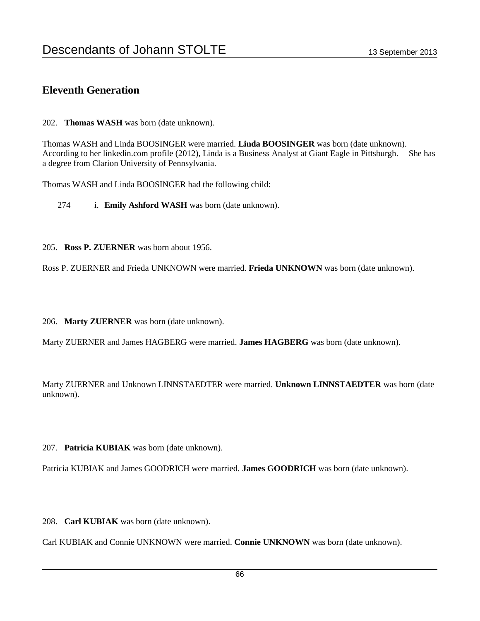### **Eleventh Generation**

202. **Thomas WASH** was born (date unknown).

Thomas WASH and Linda BOOSINGER were married. **Linda BOOSINGER** was born (date unknown). According to her linkedin.com profile (2012), Linda is a Business Analyst at Giant Eagle in Pittsburgh. She has a degree from Clarion University of Pennsylvania.

Thomas WASH and Linda BOOSINGER had the following child:

274 i. **Emily Ashford WASH** was born (date unknown).

205. **Ross P. ZUERNER** was born about 1956.

Ross P. ZUERNER and Frieda UNKNOWN were married. **Frieda UNKNOWN** was born (date unknown).

206. **Marty ZUERNER** was born (date unknown).

Marty ZUERNER and James HAGBERG were married. **James HAGBERG** was born (date unknown).

Marty ZUERNER and Unknown LINNSTAEDTER were married. **Unknown LINNSTAEDTER** was born (date unknown).

207. **Patricia KUBIAK** was born (date unknown).

Patricia KUBIAK and James GOODRICH were married. **James GOODRICH** was born (date unknown).

208. **Carl KUBIAK** was born (date unknown).

Carl KUBIAK and Connie UNKNOWN were married. **Connie UNKNOWN** was born (date unknown).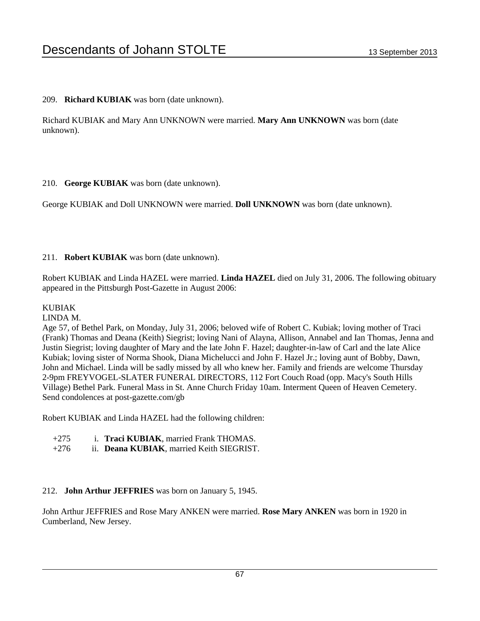209. **Richard KUBIAK** was born (date unknown).

Richard KUBIAK and Mary Ann UNKNOWN were married. **Mary Ann UNKNOWN** was born (date unknown).

210. **George KUBIAK** was born (date unknown).

George KUBIAK and Doll UNKNOWN were married. **Doll UNKNOWN** was born (date unknown).

### 211. **Robert KUBIAK** was born (date unknown).

Robert KUBIAK and Linda HAZEL were married. **Linda HAZEL** died on July 31, 2006. The following obituary appeared in the Pittsburgh Post-Gazette in August 2006:

### KUBIAK

### LINDA M.

Age 57, of Bethel Park, on Monday, July 31, 2006; beloved wife of Robert C. Kubiak; loving mother of Traci (Frank) Thomas and Deana (Keith) Siegrist; loving Nani of Alayna, Allison, Annabel and Ian Thomas, Jenna and Justin Siegrist; loving daughter of Mary and the late John F. Hazel; daughter-in-law of Carl and the late Alice Kubiak; loving sister of Norma Shook, Diana Michelucci and John F. Hazel Jr.; loving aunt of Bobby, Dawn, John and Michael. Linda will be sadly missed by all who knew her. Family and friends are welcome Thursday 2-9pm FREYVOGEL-SLATER FUNERAL DIRECTORS, 112 Fort Couch Road (opp. Macy's South Hills Village) Bethel Park. Funeral Mass in St. Anne Church Friday 10am. Interment Queen of Heaven Cemetery. Send condolences at post-gazette.com/gb

Robert KUBIAK and Linda HAZEL had the following children:

- +275 i. **Traci KUBIAK**, married Frank THOMAS.
- +276 ii. **Deana KUBIAK**, married Keith SIEGRIST.

### 212. **John Arthur JEFFRIES** was born on January 5, 1945.

John Arthur JEFFRIES and Rose Mary ANKEN were married. **Rose Mary ANKEN** was born in 1920 in Cumberland, New Jersey.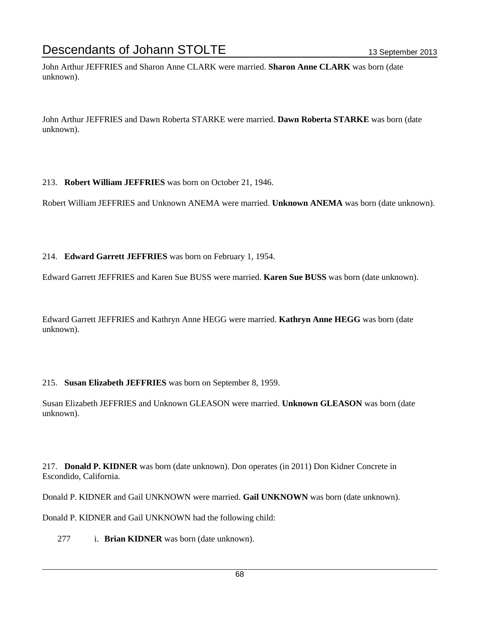John Arthur JEFFRIES and Sharon Anne CLARK were married. **Sharon Anne CLARK** was born (date unknown).

John Arthur JEFFRIES and Dawn Roberta STARKE were married. **Dawn Roberta STARKE** was born (date unknown).

### 213. **Robert William JEFFRIES** was born on October 21, 1946.

Robert William JEFFRIES and Unknown ANEMA were married. **Unknown ANEMA** was born (date unknown).

### 214. **Edward Garrett JEFFRIES** was born on February 1, 1954.

Edward Garrett JEFFRIES and Karen Sue BUSS were married. **Karen Sue BUSS** was born (date unknown).

Edward Garrett JEFFRIES and Kathryn Anne HEGG were married. **Kathryn Anne HEGG** was born (date unknown).

### 215. **Susan Elizabeth JEFFRIES** was born on September 8, 1959.

Susan Elizabeth JEFFRIES and Unknown GLEASON were married. **Unknown GLEASON** was born (date unknown).

217. **Donald P. KIDNER** was born (date unknown). Don operates (in 2011) Don Kidner Concrete in Escondido, California.

Donald P. KIDNER and Gail UNKNOWN were married. **Gail UNKNOWN** was born (date unknown).

Donald P. KIDNER and Gail UNKNOWN had the following child:

277 i. **Brian KIDNER** was born (date unknown).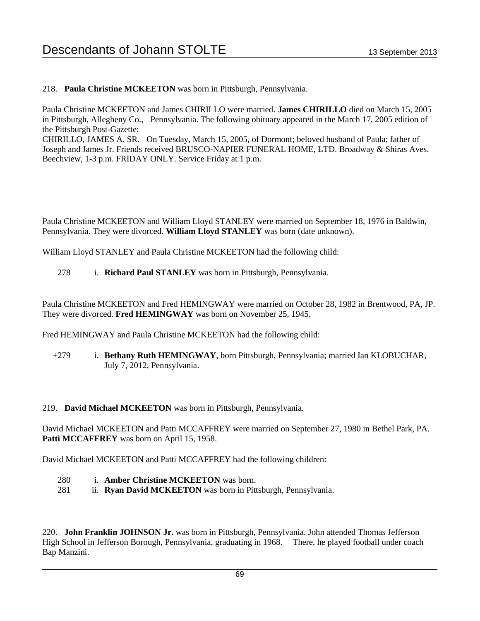218. **Paula Christine MCKEETON** was born in Pittsburgh, Pennsylvania.

Paula Christine MCKEETON and James CHIRILLO were married. **James CHIRILLO** died on March 15, 2005 in Pittsburgh, Allegheny Co., Pennsylvania. The following obituary appeared in the March 17, 2005 edition of the Pittsburgh Post-Gazette:

CHIRILLO, JAMES A. SR. On Tuesday, March 15, 2005, of Dormont; beloved husband of Paula; father of Joseph and James Jr. Friends received BRUSCO-NAPIER FUNERAL HOME, LTD. Broadway & Shiras Aves. Beechview, 1-3 p.m. FRIDAY ONLY. Service Friday at 1 p.m.

Paula Christine MCKEETON and William Lloyd STANLEY were married on September 18, 1976 in Baldwin, Pennsylvania. They were divorced. **William Lloyd STANLEY** was born (date unknown).

William Lloyd STANLEY and Paula Christine MCKEETON had the following child:

278 i. **Richard Paul STANLEY** was born in Pittsburgh, Pennsylvania.

Paula Christine MCKEETON and Fred HEMINGWAY were married on October 28, 1982 in Brentwood, PA, JP. They were divorced. **Fred HEMINGWAY** was born on November 25, 1945.

Fred HEMINGWAY and Paula Christine MCKEETON had the following child:

+279 i. **Bethany Ruth HEMINGWAY**, born Pittsburgh, Pennsylvania; married Ian KLOBUCHAR, July 7, 2012, Pennsylvania.

219. **David Michael MCKEETON** was born in Pittsburgh, Pennsylvania.

David Michael MCKEETON and Patti MCCAFFREY were married on September 27, 1980 in Bethel Park, PA. Patti MCCAFFREY was born on April 15, 1958.

David Michael MCKEETON and Patti MCCAFFREY had the following children:

- 280 i. **Amber Christine MCKEETON** was born.
- 281 ii. **Ryan David MCKEETON** was born in Pittsburgh, Pennsylvania.

220. **John Franklin JOHNSON Jr.** was born in Pittsburgh, Pennsylvania. John attended Thomas Jefferson High School in Jefferson Borough, Pennsylvania, graduating in 1968. There, he played football under coach Bap Manzini.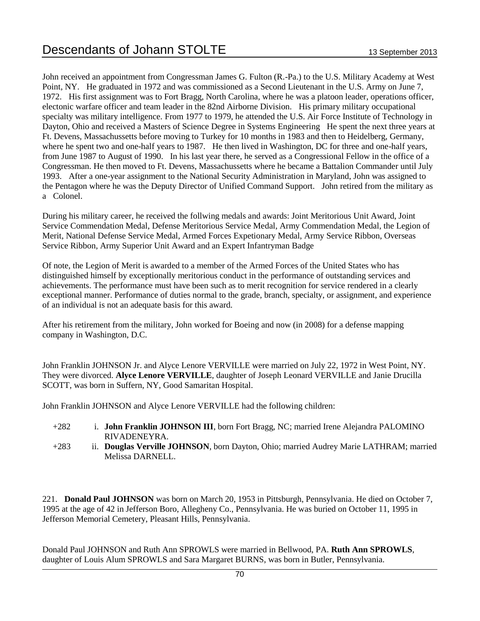John received an appointment from Congressman James G. Fulton (R.-Pa.) to the U.S. Military Academy at West Point, NY. He graduated in 1972 and was commissioned as a Second Lieutenant in the U.S. Army on June 7, 1972. His first assignment was to Fort Bragg, North Carolina, where he was a platoon leader, operations officer, electonic warfare officer and team leader in the 82nd Airborne Division. His primary military occupational specialty was military intelligence. From 1977 to 1979, he attended the U.S. Air Force Institute of Technology in Dayton, Ohio and received a Masters of Science Degree in Systems Engineering He spent the next three years at Ft. Devens, Massachussetts before moving to Turkey for 10 months in 1983 and then to Heidelberg, Germany, where he spent two and one-half years to 1987. He then lived in Washington, DC for three and one-half years, from June 1987 to August of 1990. In his last year there, he served as a Congressional Fellow in the office of a Congressman. He then moved to Ft. Devens, Massachussetts where he became a Battalion Commander until July 1993. After a one-year assignment to the National Security Administration in Maryland, John was assigned to the Pentagon where he was the Deputy Director of Unified Command Support. John retired from the military as a Colonel.

During his military career, he received the follwing medals and awards: Joint Meritorious Unit Award, Joint Service Commendation Medal, Defense Meritorious Service Medal, Army Commendation Medal, the Legion of Merit, National Defense Service Medal, Armed Forces Expetionary Medal, Army Service Ribbon, Overseas Service Ribbon, Army Superior Unit Award and an Expert Infantryman Badge

Of note, the Legion of Merit is awarded to a member of the Armed Forces of the United States who has distinguished himself by exceptionally meritorious conduct in the performance of outstanding services and achievements. The performance must have been such as to merit recognition for service rendered in a clearly exceptional manner. Performance of duties normal to the grade, branch, specialty, or assignment, and experience of an individual is not an adequate basis for this award.

After his retirement from the military, John worked for Boeing and now (in 2008) for a defense mapping company in Washington, D.C.

John Franklin JOHNSON Jr. and Alyce Lenore VERVILLE were married on July 22, 1972 in West Point, NY. They were divorced. **Alyce Lenore VERVILLE**, daughter of Joseph Leonard VERVILLE and Janie Drucilla SCOTT, was born in Suffern, NY, Good Samaritan Hospital.

John Franklin JOHNSON and Alyce Lenore VERVILLE had the following children:

- +282 i. **John Franklin JOHNSON III**, born Fort Bragg, NC; married Irene Alejandra PALOMINO RIVADENEYRA.
- +283 ii. **Douglas Verville JOHNSON**, born Dayton, Ohio; married Audrey Marie LATHRAM; married Melissa DARNELL.

221. **Donald Paul JOHNSON** was born on March 20, 1953 in Pittsburgh, Pennsylvania. He died on October 7, 1995 at the age of 42 in Jefferson Boro, Allegheny Co., Pennsylvania. He was buried on October 11, 1995 in Jefferson Memorial Cemetery, Pleasant Hills, Pennsylvania.

Donald Paul JOHNSON and Ruth Ann SPROWLS were married in Bellwood, PA. **Ruth Ann SPROWLS**, daughter of Louis Alum SPROWLS and Sara Margaret BURNS, was born in Butler, Pennsylvania.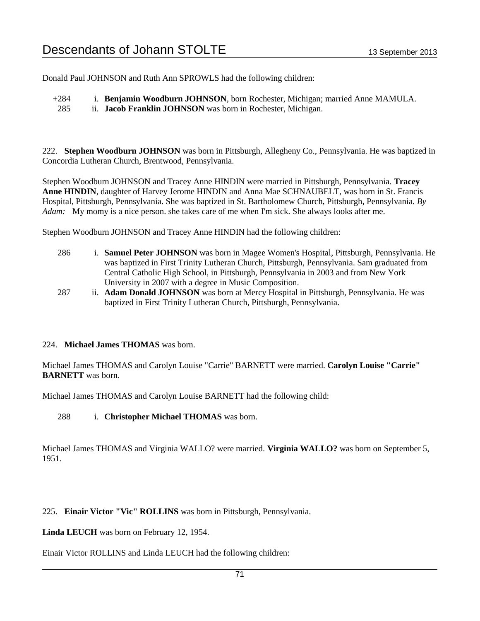Donald Paul JOHNSON and Ruth Ann SPROWLS had the following children:

+284 i. **Benjamin Woodburn JOHNSON**, born Rochester, Michigan; married Anne MAMULA.

285 ii. **Jacob Franklin JOHNSON** was born in Rochester, Michigan.

222. **Stephen Woodburn JOHNSON** was born in Pittsburgh, Allegheny Co., Pennsylvania. He was baptized in Concordia Lutheran Church, Brentwood, Pennsylvania.

Stephen Woodburn JOHNSON and Tracey Anne HINDIN were married in Pittsburgh, Pennsylvania. **Tracey Anne HINDIN**, daughter of Harvey Jerome HINDIN and Anna Mae SCHNAUBELT, was born in St. Francis Hospital, Pittsburgh, Pennsylvania. She was baptized in St. Bartholomew Church, Pittsburgh, Pennsylvania. *By Adam:* My momy is a nice person. she takes care of me when I'm sick. She always looks after me.

Stephen Woodburn JOHNSON and Tracey Anne HINDIN had the following children:

- 286 i. **Samuel Peter JOHNSON** was born in Magee Women's Hospital, Pittsburgh, Pennsylvania. He was baptized in First Trinity Lutheran Church, Pittsburgh, Pennsylvania. Sam graduated from Central Catholic High School, in Pittsburgh, Pennsylvania in 2003 and from New York University in 2007 with a degree in Music Composition.
- 287 ii. **Adam Donald JOHNSON** was born at Mercy Hospital in Pittsburgh, Pennsylvania. He was baptized in First Trinity Lutheran Church, Pittsburgh, Pennsylvania.

### 224. **Michael James THOMAS** was born.

Michael James THOMAS and Carolyn Louise "Carrie" BARNETT were married. **Carolyn Louise "Carrie" BARNETT** was born.

Michael James THOMAS and Carolyn Louise BARNETT had the following child:

288 i. **Christopher Michael THOMAS** was born.

Michael James THOMAS and Virginia WALLO? were married. **Virginia WALLO?** was born on September 5, 1951.

225. **Einair Victor "Vic" ROLLINS** was born in Pittsburgh, Pennsylvania.

**Linda LEUCH** was born on February 12, 1954.

Einair Victor ROLLINS and Linda LEUCH had the following children: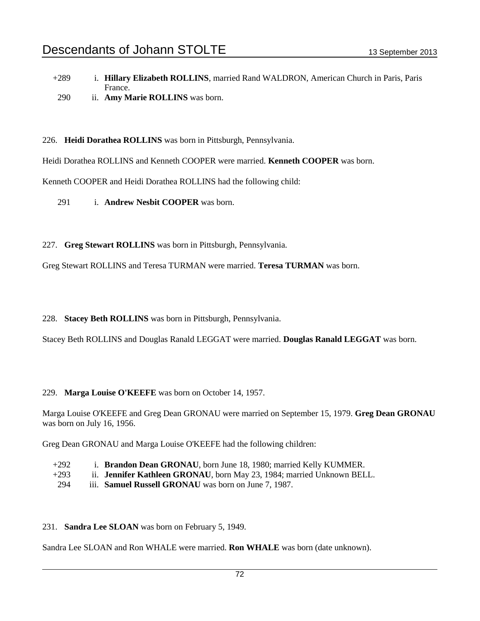- +289 i. **Hillary Elizabeth ROLLINS**, married Rand WALDRON, American Church in Paris, Paris France.
- 290 ii. **Amy Marie ROLLINS** was born.

226. **Heidi Dorathea ROLLINS** was born in Pittsburgh, Pennsylvania.

Heidi Dorathea ROLLINS and Kenneth COOPER were married. **Kenneth COOPER** was born.

Kenneth COOPER and Heidi Dorathea ROLLINS had the following child:

- 291 i. **Andrew Nesbit COOPER** was born.
- 227. **Greg Stewart ROLLINS** was born in Pittsburgh, Pennsylvania.

Greg Stewart ROLLINS and Teresa TURMAN were married. **Teresa TURMAN** was born.

228. **Stacey Beth ROLLINS** was born in Pittsburgh, Pennsylvania.

Stacey Beth ROLLINS and Douglas Ranald LEGGAT were married. **Douglas Ranald LEGGAT** was born.

### 229. **Marga Louise O'KEEFE** was born on October 14, 1957.

Marga Louise O'KEEFE and Greg Dean GRONAU were married on September 15, 1979. **Greg Dean GRONAU** was born on July 16, 1956.

Greg Dean GRONAU and Marga Louise O'KEEFE had the following children:

- +292 i. **Brandon Dean GRONAU**, born June 18, 1980; married Kelly KUMMER.
- +293 ii. **Jennifer Kathleen GRONAU**, born May 23, 1984; married Unknown BELL.
- 294 iii. **Samuel Russell GRONAU** was born on June 7, 1987.

### 231. **Sandra Lee SLOAN** was born on February 5, 1949.

Sandra Lee SLOAN and Ron WHALE were married. **Ron WHALE** was born (date unknown).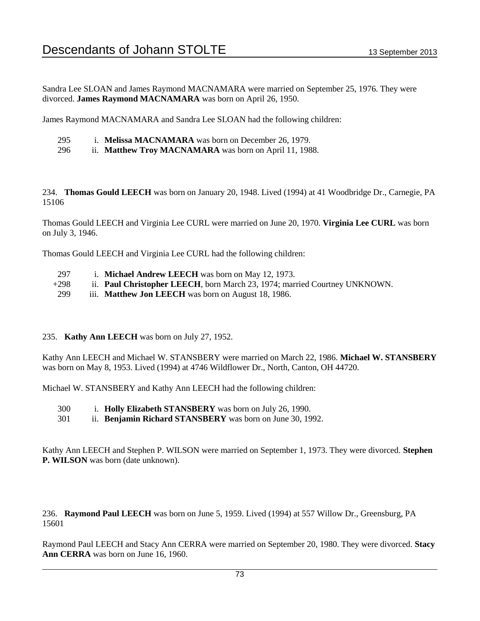Sandra Lee SLOAN and James Raymond MACNAMARA were married on September 25, 1976. They were divorced. **James Raymond MACNAMARA** was born on April 26, 1950.

James Raymond MACNAMARA and Sandra Lee SLOAN had the following children:

- 295 i. **Melissa MACNAMARA** was born on December 26, 1979.
- 296 ii. **Matthew Troy MACNAMARA** was born on April 11, 1988.

234. **Thomas Gould LEECH** was born on January 20, 1948. Lived (1994) at 41 Woodbridge Dr., Carnegie, PA 15106

Thomas Gould LEECH and Virginia Lee CURL were married on June 20, 1970. **Virginia Lee CURL** was born on July 3, 1946.

Thomas Gould LEECH and Virginia Lee CURL had the following children:

- 297 i. **Michael Andrew LEECH** was born on May 12, 1973.
- +298 ii. **Paul Christopher LEECH**, born March 23, 1974; married Courtney UNKNOWN.
- 299 iii. **Matthew Jon LEECH** was born on August 18, 1986.

#### 235. **Kathy Ann LEECH** was born on July 27, 1952.

Kathy Ann LEECH and Michael W. STANSBERY were married on March 22, 1986. **Michael W. STANSBERY** was born on May 8, 1953. Lived (1994) at 4746 Wildflower Dr., North, Canton, OH 44720.

Michael W. STANSBERY and Kathy Ann LEECH had the following children:

- 300 i. **Holly Elizabeth STANSBERY** was born on July 26, 1990.
- 301 ii. **Benjamin Richard STANSBERY** was born on June 30, 1992.

Kathy Ann LEECH and Stephen P. WILSON were married on September 1, 1973. They were divorced. **Stephen P. WILSON** was born (date unknown).

236. **Raymond Paul LEECH** was born on June 5, 1959. Lived (1994) at 557 Willow Dr., Greensburg, PA 15601

Raymond Paul LEECH and Stacy Ann CERRA were married on September 20, 1980. They were divorced. **Stacy Ann CERRA** was born on June 16, 1960.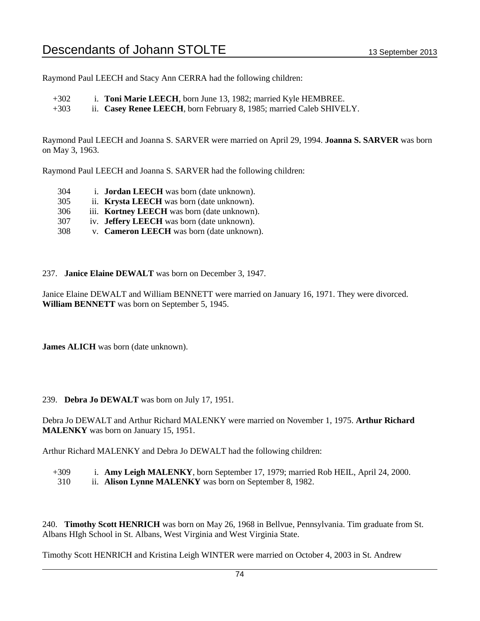Raymond Paul LEECH and Stacy Ann CERRA had the following children:

+302 i. **Toni Marie LEECH**, born June 13, 1982; married Kyle HEMBREE.

+303 ii. **Casey Renee LEECH**, born February 8, 1985; married Caleb SHIVELY.

Raymond Paul LEECH and Joanna S. SARVER were married on April 29, 1994. **Joanna S. SARVER** was born on May 3, 1963.

Raymond Paul LEECH and Joanna S. SARVER had the following children:

- 304 i. **Jordan LEECH** was born (date unknown).
- 305 ii. **Krysta LEECH** was born (date unknown).
- 306 iii. **Kortney LEECH** was born (date unknown).
- 307 iv. **Jeffery LEECH** was born (date unknown).
- 308 v. **Cameron LEECH** was born (date unknown).

237. **Janice Elaine DEWALT** was born on December 3, 1947.

Janice Elaine DEWALT and William BENNETT were married on January 16, 1971. They were divorced. **William BENNETT** was born on September 5, 1945.

**James ALICH** was born (date unknown).

239. **Debra Jo DEWALT** was born on July 17, 1951.

Debra Jo DEWALT and Arthur Richard MALENKY were married on November 1, 1975. **Arthur Richard MALENKY** was born on January 15, 1951.

Arthur Richard MALENKY and Debra Jo DEWALT had the following children:

+309 i. **Amy Leigh MALENKY**, born September 17, 1979; married Rob HEIL, April 24, 2000. 310 ii. **Alison Lynne MALENKY** was born on September 8, 1982.

240. **Timothy Scott HENRICH** was born on May 26, 1968 in Bellvue, Pennsylvania. Tim graduate from St. Albans HIgh School in St. Albans, West Virginia and West Virginia State.

Timothy Scott HENRICH and Kristina Leigh WINTER were married on October 4, 2003 in St. Andrew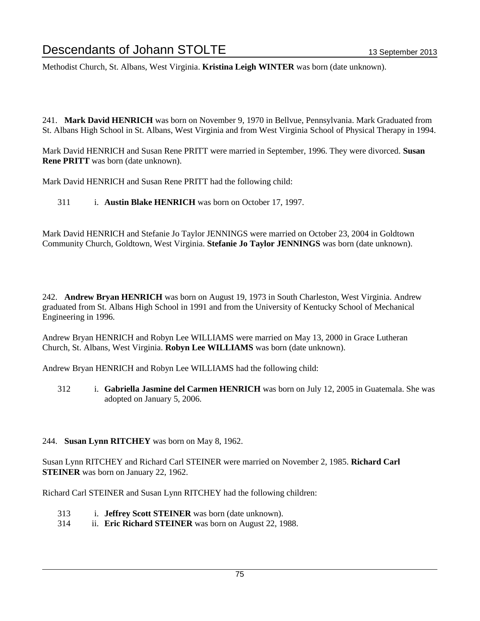Methodist Church, St. Albans, West Virginia. **Kristina Leigh WINTER** was born (date unknown).

241. **Mark David HENRICH** was born on November 9, 1970 in Bellvue, Pennsylvania. Mark Graduated from St. Albans High School in St. Albans, West Virginia and from West Virginia School of Physical Therapy in 1994.

Mark David HENRICH and Susan Rene PRITT were married in September, 1996. They were divorced. **Susan Rene PRITT** was born (date unknown).

Mark David HENRICH and Susan Rene PRITT had the following child:

311 i. **Austin Blake HENRICH** was born on October 17, 1997.

Mark David HENRICH and Stefanie Jo Taylor JENNINGS were married on October 23, 2004 in Goldtown Community Church, Goldtown, West Virginia. **Stefanie Jo Taylor JENNINGS** was born (date unknown).

242. **Andrew Bryan HENRICH** was born on August 19, 1973 in South Charleston, West Virginia. Andrew graduated from St. Albans High School in 1991 and from the University of Kentucky School of Mechanical Engineering in 1996.

Andrew Bryan HENRICH and Robyn Lee WILLIAMS were married on May 13, 2000 in Grace Lutheran Church, St. Albans, West Virginia. **Robyn Lee WILLIAMS** was born (date unknown).

Andrew Bryan HENRICH and Robyn Lee WILLIAMS had the following child:

312 i. **Gabriella Jasmine del Carmen HENRICH** was born on July 12, 2005 in Guatemala. She was adopted on January 5, 2006.

#### 244. **Susan Lynn RITCHEY** was born on May 8, 1962.

Susan Lynn RITCHEY and Richard Carl STEINER were married on November 2, 1985. **Richard Carl STEINER** was born on January 22, 1962.

Richard Carl STEINER and Susan Lynn RITCHEY had the following children:

- 313 i. **Jeffrey Scott STEINER** was born (date unknown).
- 314 ii. **Eric Richard STEINER** was born on August 22, 1988.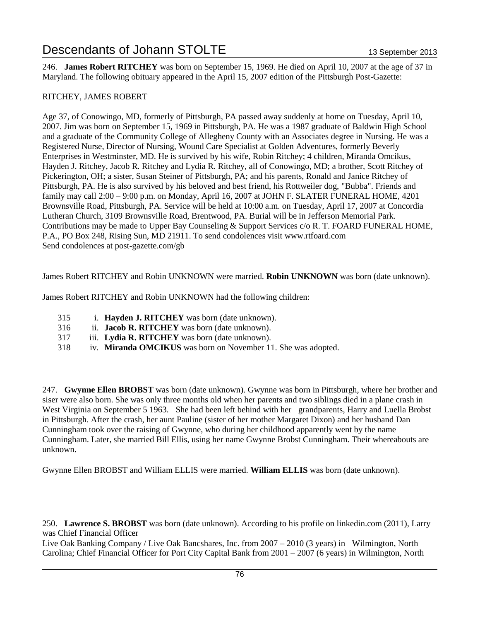246. **James Robert RITCHEY** was born on September 15, 1969. He died on April 10, 2007 at the age of 37 in Maryland. The following obituary appeared in the April 15, 2007 edition of the Pittsburgh Post-Gazette:

# RITCHEY, JAMES ROBERT

Age 37, of Conowingo, MD, formerly of Pittsburgh, PA passed away suddenly at home on Tuesday, April 10, 2007. Jim was born on September 15, 1969 in Pittsburgh, PA. He was a 1987 graduate of Baldwin High School and a graduate of the Community College of Allegheny County with an Associates degree in Nursing. He was a Registered Nurse, Director of Nursing, Wound Care Specialist at Golden Adventures, formerly Beverly Enterprises in Westminster, MD. He is survived by his wife, Robin Ritchey; 4 children, Miranda Omcikus, Hayden J. Ritchey, Jacob R. Ritchey and Lydia R. Ritchey, all of Conowingo, MD; a brother, Scott Ritchey of Pickerington, OH; a sister, Susan Steiner of Pittsburgh, PA; and his parents, Ronald and Janice Ritchey of Pittsburgh, PA. He is also survived by his beloved and best friend, his Rottweiler dog, "Bubba". Friends and family may call 2:00 – 9:00 p.m. on Monday, April 16, 2007 at JOHN F. SLATER FUNERAL HOME, 4201 Brownsville Road, Pittsburgh, PA. Service will be held at 10:00 a.m. on Tuesday, April 17, 2007 at Concordia Lutheran Church, 3109 Brownsville Road, Brentwood, PA. Burial will be in Jefferson Memorial Park. Contributions may be made to Upper Bay Counseling & Support Services c/o R. T. FOARD FUNERAL HOME, P.A., PO Box 248, Rising Sun, MD 21911. To send condolences visit www.rtfoard.com Send condolences at post-gazette.com/gb

James Robert RITCHEY and Robin UNKNOWN were married. **Robin UNKNOWN** was born (date unknown).

James Robert RITCHEY and Robin UNKNOWN had the following children:

- 315 i. **Hayden J. RITCHEY** was born (date unknown).
- 316 ii. **Jacob R. RITCHEY** was born (date unknown).
- 317 iii. **Lydia R. RITCHEY** was born (date unknown).
- 318 iv. **Miranda OMCIKUS** was born on November 11. She was adopted.

247. **Gwynne Ellen BROBST** was born (date unknown). Gwynne was born in Pittsburgh, where her brother and siser were also born. She was only three months old when her parents and two siblings died in a plane crash in West Virginia on September 5 1963. She had been left behind with her grandparents, Harry and Luella Brobst in Pittsburgh. After the crash, her aunt Pauline (sister of her mother Margaret Dixon) and her husband Dan Cunningham took over the raising of Gwynne, who during her childhood apparently went by the name Cunningham. Later, she married Bill Ellis, using her name Gwynne Brobst Cunningham. Their whereabouts are unknown.

Gwynne Ellen BROBST and William ELLIS were married. **William ELLIS** was born (date unknown).

250. **Lawrence S. BROBST** was born (date unknown). According to his profile on linkedin.com (2011), Larry was Chief Financial Officer

Live Oak Banking Company / Live Oak Bancshares, Inc. from 2007 – 2010 (3 years) in Wilmington, North Carolina; Chief Financial Officer for Port City Capital Bank from 2001 – 2007 (6 years) in Wilmington, North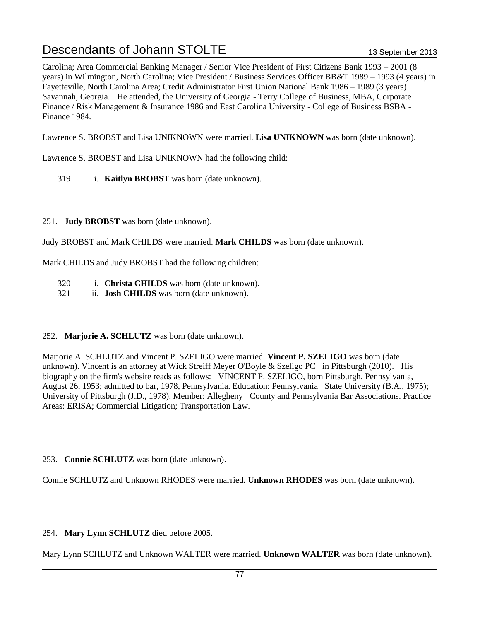Carolina; Area Commercial Banking Manager / Senior Vice President of First Citizens Bank 1993 – 2001 (8 years) in Wilmington, North Carolina; Vice President / Business Services Officer BB&T 1989 – 1993 (4 years) in Fayetteville, North Carolina Area; Credit Administrator First Union National Bank 1986 – 1989 (3 years) Savannah, Georgia. He attended, the University of Georgia - Terry College of Business, MBA, Corporate Finance / Risk Management & Insurance 1986 and East Carolina University - College of Business BSBA - Finance 1984.

Lawrence S. BROBST and Lisa UNIKNOWN were married. **Lisa UNIKNOWN** was born (date unknown).

Lawrence S. BROBST and Lisa UNIKNOWN had the following child:

- 319 i. **Kaitlyn BROBST** was born (date unknown).
- 251. **Judy BROBST** was born (date unknown).

Judy BROBST and Mark CHILDS were married. **Mark CHILDS** was born (date unknown).

Mark CHILDS and Judy BROBST had the following children:

- 320 i. **Christa CHILDS** was born (date unknown).
- 321 ii. **Josh CHILDS** was born (date unknown).
- 252. **Marjorie A. SCHLUTZ** was born (date unknown).

Marjorie A. SCHLUTZ and Vincent P. SZELIGO were married. **Vincent P. SZELIGO** was born (date unknown). Vincent is an attorney at Wick Streiff Meyer O'Boyle & Szeligo PC in Pittsburgh (2010). His biography on the firm's website reads as follows: VINCENT P. SZELIGO, born Pittsburgh, Pennsylvania, August 26, 1953; admitted to bar, 1978, Pennsylvania. Education: Pennsylvania State University (B.A., 1975); University of Pittsburgh (J.D., 1978). Member: Allegheny County and Pennsylvania Bar Associations. Practice Areas: ERISA; Commercial Litigation; Transportation Law.

253. **Connie SCHLUTZ** was born (date unknown).

Connie SCHLUTZ and Unknown RHODES were married. **Unknown RHODES** was born (date unknown).

254. **Mary Lynn SCHLUTZ** died before 2005.

Mary Lynn SCHLUTZ and Unknown WALTER were married. **Unknown WALTER** was born (date unknown).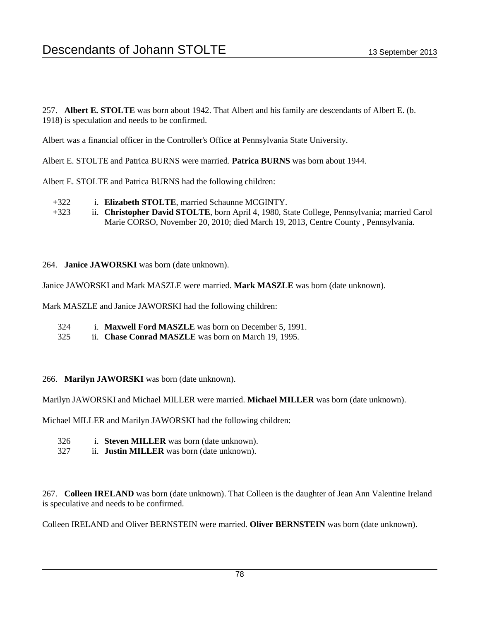257. **Albert E. STOLTE** was born about 1942. That Albert and his family are descendants of Albert E. (b. 1918) is speculation and needs to be confirmed.

Albert was a financial officer in the Controller's Office at Pennsylvania State University.

Albert E. STOLTE and Patrica BURNS were married. **Patrica BURNS** was born about 1944.

Albert E. STOLTE and Patrica BURNS had the following children:

- +322 i. **Elizabeth STOLTE**, married Schaunne MCGINTY.
- +323 ii. **Christopher David STOLTE**, born April 4, 1980, State College, Pennsylvania; married Carol Marie CORSO, November 20, 2010; died March 19, 2013, Centre County , Pennsylvania.
- 264. **Janice JAWORSKI** was born (date unknown).

Janice JAWORSKI and Mark MASZLE were married. **Mark MASZLE** was born (date unknown).

Mark MASZLE and Janice JAWORSKI had the following children:

- 324 i. **Maxwell Ford MASZLE** was born on December 5, 1991.
- 325 ii. **Chase Conrad MASZLE** was born on March 19, 1995.
- 266. **Marilyn JAWORSKI** was born (date unknown).

Marilyn JAWORSKI and Michael MILLER were married. **Michael MILLER** was born (date unknown).

Michael MILLER and Marilyn JAWORSKI had the following children:

- 326 i. **Steven MILLER** was born (date unknown).
- 327 ii. **Justin MILLER** was born (date unknown).

267. **Colleen IRELAND** was born (date unknown). That Colleen is the daughter of Jean Ann Valentine Ireland is speculative and needs to be confirmed.

Colleen IRELAND and Oliver BERNSTEIN were married. **Oliver BERNSTEIN** was born (date unknown).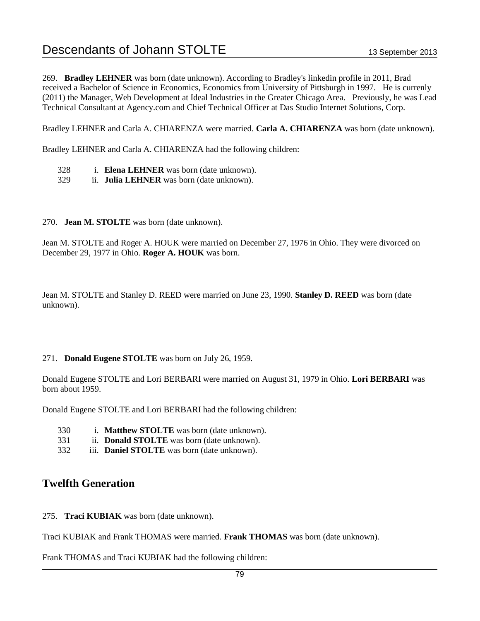269. **Bradley LEHNER** was born (date unknown). According to Bradley's linkedin profile in 2011, Brad received a Bachelor of Science in Economics, Economics from University of Pittsburgh in 1997. He is currenly (2011) the Manager, Web Development at Ideal Industries in the Greater Chicago Area. Previously, he was Lead Technical Consultant at Agency.com and Chief Technical Officer at Das Studio Internet Solutions, Corp.

Bradley LEHNER and Carla A. CHIARENZA were married. **Carla A. CHIARENZA** was born (date unknown).

Bradley LEHNER and Carla A. CHIARENZA had the following children:

- 328 i. **Elena LEHNER** was born (date unknown).
- 329 ii. **Julia LEHNER** was born (date unknown).
- 270. **Jean M. STOLTE** was born (date unknown).

Jean M. STOLTE and Roger A. HOUK were married on December 27, 1976 in Ohio. They were divorced on December 29, 1977 in Ohio. **Roger A. HOUK** was born.

Jean M. STOLTE and Stanley D. REED were married on June 23, 1990. **Stanley D. REED** was born (date unknown).

# 271. **Donald Eugene STOLTE** was born on July 26, 1959.

Donald Eugene STOLTE and Lori BERBARI were married on August 31, 1979 in Ohio. **Lori BERBARI** was born about 1959.

Donald Eugene STOLTE and Lori BERBARI had the following children:

- 330 i. **Matthew STOLTE** was born (date unknown).
- 331 ii. **Donald STOLTE** was born (date unknown).
- 332 iii. **Daniel STOLTE** was born (date unknown).

# **Twelfth Generation**

275. **Traci KUBIAK** was born (date unknown).

Traci KUBIAK and Frank THOMAS were married. **Frank THOMAS** was born (date unknown).

Frank THOMAS and Traci KUBIAK had the following children: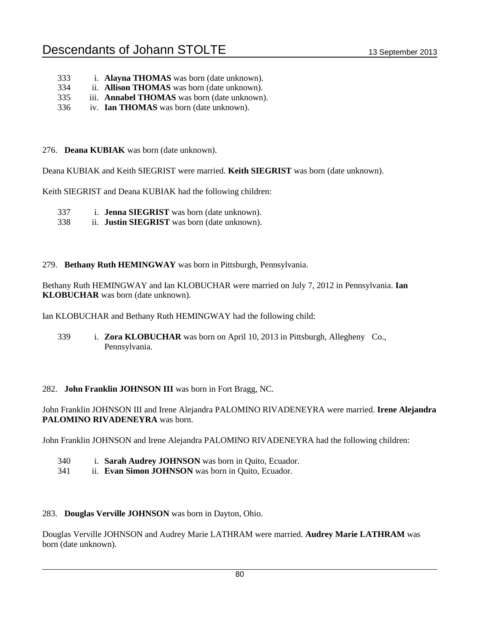- 333 i. **Alayna THOMAS** was born (date unknown).
- 334 ii. **Allison THOMAS** was born (date unknown).
- 335 iii. **Annabel THOMAS** was born (date unknown).
- 336 iv. **Ian THOMAS** was born (date unknown).

### 276. **Deana KUBIAK** was born (date unknown).

Deana KUBIAK and Keith SIEGRIST were married. **Keith SIEGRIST** was born (date unknown).

Keith SIEGRIST and Deana KUBIAK had the following children:

- 337 i. **Jenna SIEGRIST** was born (date unknown).
- 338 ii. **Justin SIEGRIST** was born (date unknown).

### 279. **Bethany Ruth HEMINGWAY** was born in Pittsburgh, Pennsylvania.

Bethany Ruth HEMINGWAY and Ian KLOBUCHAR were married on July 7, 2012 in Pennsylvania. **Ian KLOBUCHAR** was born (date unknown).

Ian KLOBUCHAR and Bethany Ruth HEMINGWAY had the following child:

339 i. **Zora KLOBUCHAR** was born on April 10, 2013 in Pittsburgh, Allegheny Co., Pennsylvania.

# 282. **John Franklin JOHNSON III** was born in Fort Bragg, NC.

John Franklin JOHNSON III and Irene Alejandra PALOMINO RIVADENEYRA were married. **Irene Alejandra PALOMINO RIVADENEYRA** was born.

John Franklin JOHNSON and Irene Alejandra PALOMINO RIVADENEYRA had the following children:

- 340 i. **Sarah Audrey JOHNSON** was born in Quito, Ecuador.
- 341 ii. **Evan Simon JOHNSON** was born in Quito, Ecuador.

#### 283. **Douglas Verville JOHNSON** was born in Dayton, Ohio.

Douglas Verville JOHNSON and Audrey Marie LATHRAM were married. **Audrey Marie LATHRAM** was born (date unknown).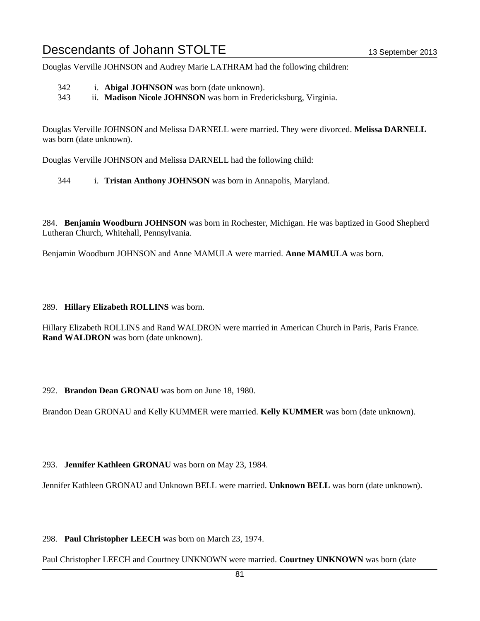Douglas Verville JOHNSON and Audrey Marie LATHRAM had the following children:

342 i. **Abigal JOHNSON** was born (date unknown).

343 ii. **Madison Nicole JOHNSON** was born in Fredericksburg, Virginia.

Douglas Verville JOHNSON and Melissa DARNELL were married. They were divorced. **Melissa DARNELL** was born (date unknown).

Douglas Verville JOHNSON and Melissa DARNELL had the following child:

344 i. **Tristan Anthony JOHNSON** was born in Annapolis, Maryland.

284. **Benjamin Woodburn JOHNSON** was born in Rochester, Michigan. He was baptized in Good Shepherd Lutheran Church, Whitehall, Pennsylvania.

Benjamin Woodburn JOHNSON and Anne MAMULA were married. **Anne MAMULA** was born.

#### 289. **Hillary Elizabeth ROLLINS** was born.

Hillary Elizabeth ROLLINS and Rand WALDRON were married in American Church in Paris, Paris France. **Rand WALDRON** was born (date unknown).

# 292. **Brandon Dean GRONAU** was born on June 18, 1980.

Brandon Dean GRONAU and Kelly KUMMER were married. **Kelly KUMMER** was born (date unknown).

# 293. **Jennifer Kathleen GRONAU** was born on May 23, 1984.

Jennifer Kathleen GRONAU and Unknown BELL were married. **Unknown BELL** was born (date unknown).

# 298. **Paul Christopher LEECH** was born on March 23, 1974.

Paul Christopher LEECH and Courtney UNKNOWN were married. **Courtney UNKNOWN** was born (date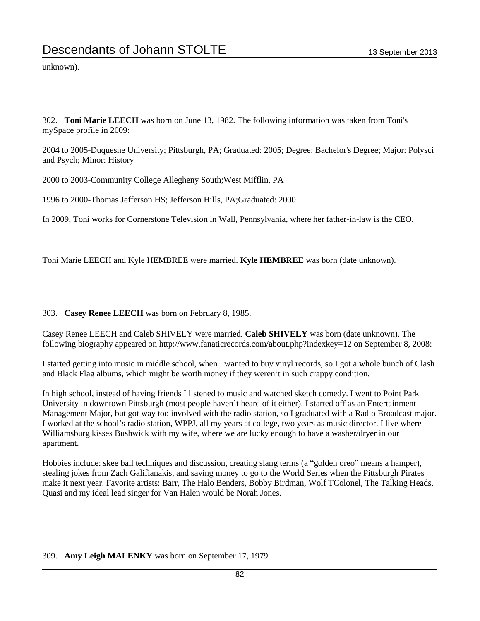unknown).

302. **Toni Marie LEECH** was born on June 13, 1982. The following information was taken from Toni's mySpace profile in 2009:

2004 to 2005-Duquesne University; Pittsburgh, PA; Graduated: 2005; Degree: Bachelor's Degree; Major: Polysci and Psych; Minor: History

2000 to 2003-Community College Allegheny South;West Mifflin, PA

1996 to 2000-Thomas Jefferson HS; Jefferson Hills, PA;Graduated: 2000

In 2009, Toni works for Cornerstone Television in Wall, Pennsylvania, where her father-in-law is the CEO.

Toni Marie LEECH and Kyle HEMBREE were married. **Kyle HEMBREE** was born (date unknown).

#### 303. **Casey Renee LEECH** was born on February 8, 1985.

Casey Renee LEECH and Caleb SHIVELY were married. **Caleb SHIVELY** was born (date unknown). The following biography appeared on http://www.fanaticrecords.com/about.php?indexkey=12 on September 8, 2008:

I started getting into music in middle school, when I wanted to buy vinyl records, so I got a whole bunch of Clash and Black Flag albums, which might be worth money if they weren't in such crappy condition.

In high school, instead of having friends I listened to music and watched sketch comedy. I went to Point Park University in downtown Pittsburgh (most people haven't heard of it either). I started off as an Entertainment Management Major, but got way too involved with the radio station, so I graduated with a Radio Broadcast major. I worked at the school's radio station, WPPJ, all my years at college, two years as music director. I live where Williamsburg kisses Bushwick with my wife, where we are lucky enough to have a washer/dryer in our apartment.

Hobbies include: skee ball techniques and discussion, creating slang terms (a "golden oreo" means a hamper), stealing jokes from Zach Galifianakis, and saving money to go to the World Series when the Pittsburgh Pirates make it next year. Favorite artists: Barr, The Halo Benders, Bobby Birdman, Wolf TColonel, The Talking Heads, Quasi and my ideal lead singer for Van Halen would be Norah Jones.

#### 309. **Amy Leigh MALENKY** was born on September 17, 1979.